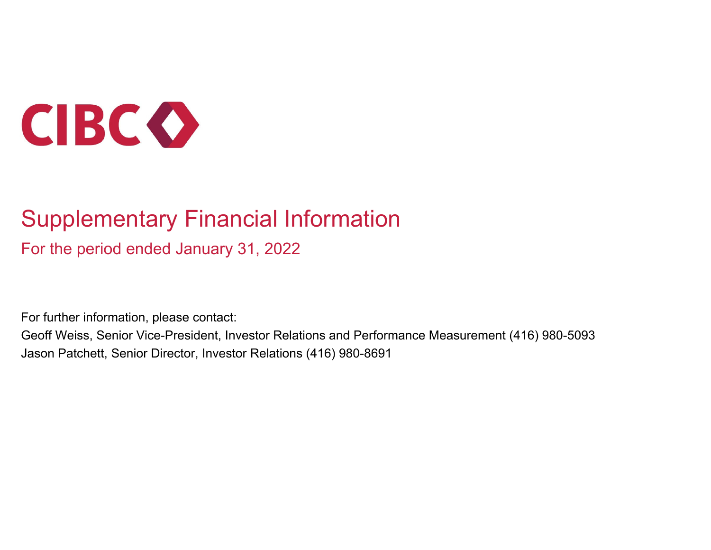

# Supplementary Financial Information

For the period ended January 31, 2022

For further information, please contact:

Geoff Weiss, Senior Vice-President, Investor Relations and Performance Measurement (416) 980-5093 Jason Patchett, Senior Director, Investor Relations (416) 980-8691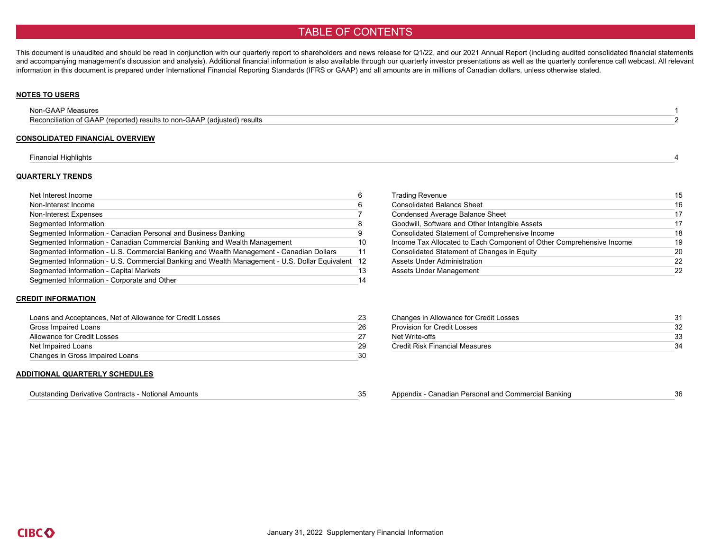### TABLE OF CONTENTS

This document is unaudited and should be read in conjunction with our quarterly report to shareholders and news release for Q1/22, and our 2021 Annual Report (including audited consolidated financial statements and accompanying management's discussion and analysis). Additional financial information is also available through our quarterly investor presentations as well as the quarterly conference call webcast. All relevant information in this document is prepared under International Financial Reporting Standards (IFRS or GAAP) and all amounts are in millions of Canadian dollars, unless otherwise stated.

#### **NOTES TO USERS**

| Non-GAAP Measures                                                        |  |
|--------------------------------------------------------------------------|--|
| Reconciliation of GAAP (reported) results to non-GAAP (adjusted) results |  |
|                                                                          |  |

#### **CONSOLIDATED FINANCIAL OVERVIEW**

#### Financial Highlights 4

#### **QUARTERLY TRENDS**

| Net Interest Income                                                                               |     | <b>Trading Revenue</b>                                               | 15 |
|---------------------------------------------------------------------------------------------------|-----|----------------------------------------------------------------------|----|
| Non-Interest Income                                                                               |     | <b>Consolidated Balance Sheet</b>                                    | 16 |
| Non-Interest Expenses                                                                             |     | <b>Condensed Average Balance Sheet</b>                               | 17 |
| Segmented Information                                                                             |     | Goodwill, Software and Other Intangible Assets                       | 17 |
| Segmented Information - Canadian Personal and Business Banking                                    |     | Consolidated Statement of Comprehensive Income                       | 18 |
| Segmented Information - Canadian Commercial Banking and Wealth Management                         | 10  | Income Tax Allocated to Each Component of Other Comprehensive Income | 19 |
| Segmented Information - U.S. Commercial Banking and Wealth Management - Canadian Dollars          | -11 | Consolidated Statement of Changes in Equity                          | 20 |
| Segmented Information - U.S. Commercial Banking and Wealth Management - U.S. Dollar Equivalent 12 |     | Assets Under Administration                                          | 22 |
| Segmented Information - Capital Markets                                                           |     | Assets Under Management                                              | 22 |
| Segmented Information - Corporate and Other                                                       |     |                                                                      |    |

| <b>Trading Revenue</b>                                               | 15 |
|----------------------------------------------------------------------|----|
| <b>Consolidated Balance Sheet</b>                                    | 16 |
| <b>Condensed Average Balance Sheet</b>                               | 17 |
| Goodwill, Software and Other Intangible Assets                       | 17 |
| Consolidated Statement of Comprehensive Income                       | 18 |
| Income Tax Allocated to Each Component of Other Comprehensive Income | 19 |
| Consolidated Statement of Changes in Equity                          | 20 |
| Assets Under Administration                                          | 22 |
| Assets Under Management                                              | 22 |

#### **CREDIT INFORMATION**

| Loans and Acceptances, Net of Allowance for Credit Losses | 23 | Changes in Allowance for Credit Losses | 31  |
|-----------------------------------------------------------|----|----------------------------------------|-----|
| Gross Impaired Loans                                      | 26 | <b>Provision for Credit Losses</b>     | 32  |
| Allowance for Credit Losses                               |    | Net Write-offs                         | 33  |
| Net Impaired Loans                                        | 29 | Credit Risk Financial Measures         | .34 |
| Changes in Gross Impaired Loans                           | 30 |                                        |     |

#### **ADDITIONAL QUARTERLY SCHEDULES**

| $\sim$ .<br>- Notional Amounts<br>Outstanding Derivative Contracts |  | Canadian Personal and<br>l Commercial Banking<br>Appendix | -50 |
|--------------------------------------------------------------------|--|-----------------------------------------------------------|-----|
|--------------------------------------------------------------------|--|-----------------------------------------------------------|-----|

|                                                     | 36 |
|-----------------------------------------------------|----|
| Appendix - Canadian Personal and Commercial Banking |    |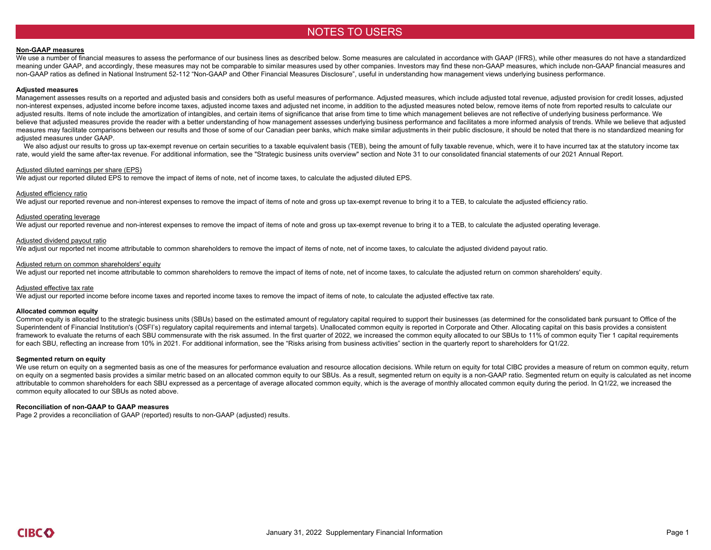### NOTES TO USERS

#### **Non-GAAP measures**

We use a number of financial measures to assess the performance of our business lines as described below. Some measures are calculated in accordance with GAAP (IFRS), while other measures do not have a standardized meaning under GAAP, and accordingly, these measures may not be comparable to similar measures used by other companies. Investors may find these non-GAAP measures, which include non-GAAP financial measures and non-GAAP ratios as defined in National Instrument 52-112 "Non-GAAP and Other Financial Measures Disclosure", useful in understanding how management views underlying business performance.

#### **Adjusted measures**

Management assesses results on a reported and adjusted basis and considers both as useful measures of performance. Adjusted measures, which include adjusted total revenue, adjusted provision for credit losses, adjusted non-interest expenses, adjusted income before income taxes, adjusted income taxes and adjusted net income, in addition to the adjusted measures noted below, remove items of note from reported results to calculate our adjusted results. Items of note include the amortization of intangibles, and certain items of significance that arise from time to time which management believes are not reflective of underlying business performance. We believe that adjusted measures provide the reader with a better understanding of how management assesses underlying business performance and facilitates a more informed analysis of trends. While we believe that adjusted measures may facilitate comparisons between our results and those of some of our Canadian peer banks, which make similar adjustments in their public disclosure, it should be noted that there is no standardized meaning for adjusted measures under GAAP.

We also adjust our results to gross up tax-exempt revenue on certain securities to a taxable equivalent basis (TEB), being the amount of fully taxable revenue, which, were it to have incurred tax at the statutory income ta rate, would yield the same after-tax revenue. For additional information, see the "Strategic business units overview" section and Note 31 to our consolidated financial statements of our 2021 Annual Report.

#### Adjusted diluted earnings per share (EPS)

We adjust our reported diluted EPS to remove the impact of items of note, net of income taxes, to calculate the adjusted diluted EPS.

#### Adjusted efficiency ratio

We adjust our reported revenue and non-interest expenses to remove the impact of items of note and gross up tax-exempt revenue to bring it to a TEB, to calculate the adjusted efficiency ratio.

#### Adjusted operating leverage

We adjust our reported revenue and non-interest expenses to remove the impact of items of note and gross up tax-exempt revenue to bring it to a TEB, to calculate the adjusted operating leverage.

#### Adjusted dividend payout ratio

We adjust our reported net income attributable to common shareholders to remove the impact of items of note, net of income taxes, to calculate the adjusted dividend payout ratio.

#### Adjusted return on common shareholders' equity

We adjust our reported net income attributable to common shareholders to remove the impact of items of note, net of income taxes, to calculate the adjusted return on common shareholders' equity.

#### Adjusted effective tax rate

We adjust our reported income before income taxes and reported income taxes to remove the impact of items of note, to calculate the adjusted effective tax rate.

#### **Allocated common equity**

Common equity is allocated to the strategic business units (SBUs) based on the estimated amount of regulatory capital required to support their businesses (as determined for the consolidated bank pursuant to Office of the Superintendent of Financial Institution's (OSFI's) regulatory capital requirements and internal targets). Unallocated common equity is reported in Corporate and Other. Allocating capital on this basis provides a consistent framework to evaluate the returns of each SBU commensurate with the risk assumed. In the first quarter of 2022, we increased the common equity allocated to our SBUs to 11% of common equity Tier 1 capital requirements for each SBU, reflecting an increase from 10% in 2021. For additional information, see the "Risks arising from business activities" section in the quarterly report to shareholders for Q1/22.

#### **Segmented return on equity**

We use return on equity on a segmented basis as one of the measures for performance evaluation and resource allocation decisions. While return on equity for total CIBC provides a measure of return on common equity, return on equity on a segmented basis provides a similar metric based on an allocated common equity to our SBUs. As a result, segmented return on equity is a non-GAAP ratio. Segmented return on equity is calculated as net income attributable to common shareholders for each SBU expressed as a percentage of average allocated common equity, which is the average of monthly allocated common equity during the period. In Q1/22, we increased the common equity allocated to our SBUs as noted above.

#### **Reconciliation of non-GAAP to GAAP measures**

Page 2 provides a reconciliation of GAAP (reported) results to non-GAAP (adjusted) results.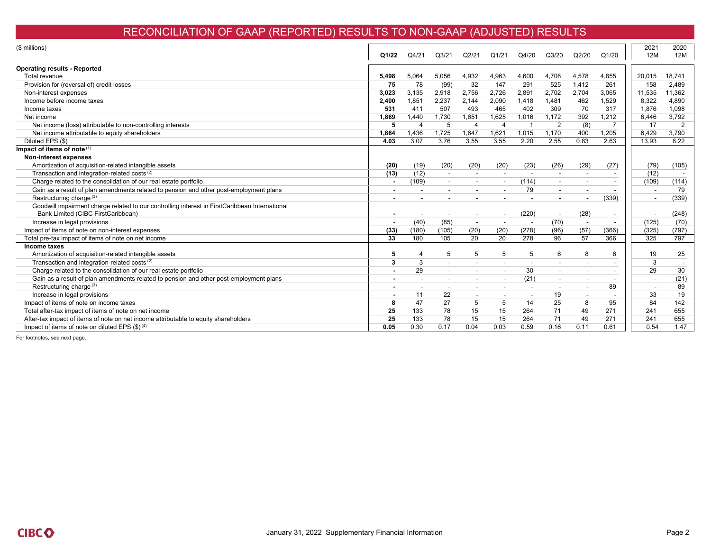# RECONCILIATION OF GAAP (REPORTED) RESULTS TO NON-GAAP (ADJUSTED) RESULTS

| (\$ millions)                                                                                  |       |                          |                    |                          |                 |                          |                          |       |                          | 2021                     | 2020   |
|------------------------------------------------------------------------------------------------|-------|--------------------------|--------------------|--------------------------|-----------------|--------------------------|--------------------------|-------|--------------------------|--------------------------|--------|
|                                                                                                | Q1/22 | Q4/21                    | Q <sub>3</sub> /21 | Q2/21                    | Q1/21           | Q4/20                    | Q3/20                    | Q2/20 | Q1/20                    | 12M                      | 12M    |
|                                                                                                |       |                          |                    |                          |                 |                          |                          |       |                          |                          |        |
| <b>Operating results - Reported</b>                                                            |       |                          |                    |                          |                 |                          |                          |       |                          |                          |        |
| Total revenue                                                                                  | 5,498 | 5,064                    | 5,056              | 4,932                    | 4,963           | 4,600                    | 4,708                    | 4,578 | 4,855                    | 20,015                   | 18,741 |
| Provision for (reversal of) credit losses                                                      | 75    | 78                       | (99)               | 32                       | 147             | 291                      | 525                      | 1,412 | 261                      | 158                      | 2,489  |
| Non-interest expenses                                                                          | 3.023 | 3,135                    | 2,918              | 2,756                    | 2,726           | 2,891                    | 2,702                    | 2,704 | 3,065                    | 11,535                   | 11,362 |
| Income before income taxes                                                                     | 2.400 | 1,851                    | 2.237              | 2,144                    | 2,090           | 1.418                    | 1.481                    | 462   | 1,529                    | 8,322                    | 4.890  |
| Income taxes                                                                                   | 531   | 411                      | 507                | 493                      | 465             | 402                      | 309                      | 70    | 317                      | 1,876                    | 1,098  |
| Net income                                                                                     | 1,869 | 1,440                    | .730               | 1,651                    | 1,625           | 1,016                    | 1,172                    | 392   | 1,212                    | 6,446                    | 3,792  |
| Net income (loss) attributable to non-controlling interests                                    | 5     | $\overline{4}$           | 5                  | $\overline{4}$           | $\overline{4}$  |                          | 2                        | (8)   |                          | 17                       | 2      |
| Net income attributable to equity shareholders                                                 | 1.864 | 1,436                    | 1.725              | 1,647                    | 1.621           | 1,015                    | 1.170                    | 400   | 1.205                    | 6.429                    | 3,790  |
| Diluted EPS (\$)                                                                               | 4.03  | 3.07                     | 3.76               | 3.55                     | 3.55            | 2.20                     | 2.55                     | 0.83  | 2.63                     | 13.93                    | 8.22   |
| Impact of items of note (1)                                                                    |       |                          |                    |                          |                 |                          |                          |       |                          |                          |        |
| Non-interest expenses                                                                          |       |                          |                    |                          |                 |                          |                          |       |                          |                          |        |
| Amortization of acquisition-related intangible assets                                          | (20)  | (19)                     | (20)               | (20)                     | (20)            | (23)                     | (26)                     | (29)  | (27)                     | (79)                     | (105)  |
| Transaction and integration-related costs <sup>(2)</sup>                                       | (13)  | (12)                     |                    |                          |                 |                          |                          |       |                          | (12)                     |        |
| Charge related to the consolidation of our real estate portfolio                               | . .   | (109)                    |                    |                          |                 | (114)                    | $\blacksquare$           |       |                          | (109)                    | (114)  |
| Gain as a result of plan amendments related to pension and other post-employment plans         |       |                          |                    |                          |                 | 79                       | $\overline{\phantom{a}}$ |       |                          | $\overline{\phantom{a}}$ | 79     |
| Restructuring charge <sup>(3)</sup>                                                            |       |                          |                    |                          |                 |                          |                          |       | (339)                    | $\overline{\phantom{a}}$ | (339)  |
| Goodwill impairment charge related to our controlling interest in FirstCaribbean International |       |                          |                    |                          |                 |                          |                          |       |                          |                          |        |
| Bank Limited (CIBC FirstCaribbean)                                                             |       |                          |                    | $\overline{\phantom{a}}$ |                 | (220)                    | $\overline{\phantom{a}}$ | (28)  | $\overline{\phantom{a}}$ |                          | (248)  |
| Increase in legal provisions                                                                   |       | (40)                     | (85)               | $\overline{\phantom{a}}$ |                 | $\overline{\phantom{a}}$ | (70)                     |       | $\overline{\phantom{a}}$ | (125)                    | (70)   |
| Impact of items of note on non-interest expenses                                               | (33)  | (180)                    | (105)              | (20)                     | (20)            | (278)                    | (96)                     | (57)  | (366)                    | (325)                    | (797)  |
| Total pre-tax impact of items of note on net income                                            | 33    | 180                      | 105                | 20                       | $\overline{20}$ | 278                      | 96                       | 57    | 366                      | 325                      | 797    |
| Income taxes                                                                                   |       |                          |                    |                          |                 |                          |                          |       |                          |                          |        |
| Amortization of acquisition-related intangible assets                                          | 5     | $\overline{4}$           | 5                  | 5                        | 5               | 5                        | 6                        | 8     | 6                        | 19                       | 25     |
| Transaction and integration-related costs <sup>(2)</sup>                                       | 3     | 3                        |                    |                          |                 |                          |                          |       | $\overline{\phantom{a}}$ | 3                        |        |
| Charge related to the consolidation of our real estate portfolio                               |       | 29                       |                    |                          |                 | 30                       | $\blacksquare$           |       |                          | 29                       | 30     |
| Gain as a result of plan amendments related to pension and other post-employment plans         |       | $\overline{\phantom{a}}$ |                    |                          |                 | (21)                     | $\overline{\phantom{a}}$ |       |                          | $\overline{\phantom{a}}$ | (21)   |
| Restructuring charge <sup>(3)</sup>                                                            |       |                          |                    |                          |                 |                          |                          |       | 89                       | $\overline{\phantom{a}}$ | 89     |
| Increase in legal provisions                                                                   |       | 11                       | 22                 |                          |                 |                          | 19                       |       |                          | 33                       | 19     |
| Impact of items of note on income taxes                                                        | 8     | 47                       | 27                 | 5                        | 5               | 14                       | 25                       | 8     | 95                       | 84                       | 142    |
| Total after-tax impact of items of note on net income                                          | 25    | 133                      | 78                 | 15                       | 15              | 264                      | 71                       | 49    | 271                      | 241                      | 655    |
| After-tax impact of items of note on net income attributable to equity shareholders            | 25    | 133                      | 78                 | 15                       | 15              | 264                      | 71                       | 49    | 271                      | 241                      | 655    |
| Impact of items of note on diluted EPS $(\$)^{(4)}$                                            | 0.05  | 0.30                     | 0.17               | 0.04                     | 0.03            | 0.59                     | 0.16                     | 0.11  | 0.61                     | 0.54                     | 1.47   |

For footnotes, see next page.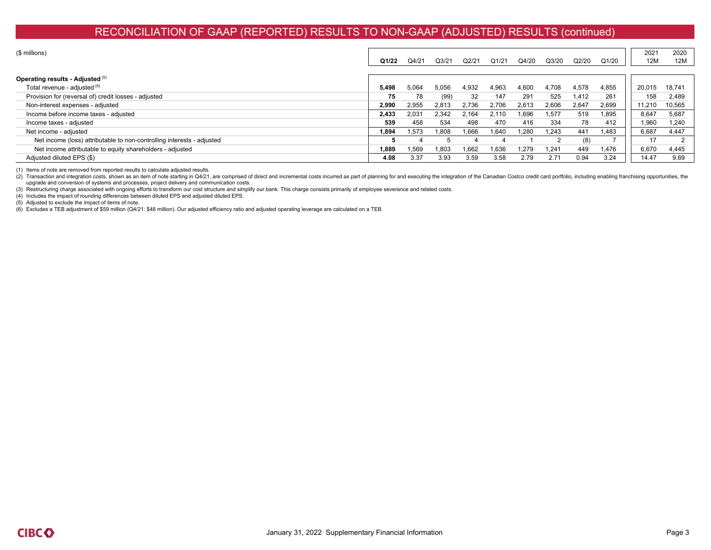### RECONCILIATION OF GAAP (REPORTED) RESULTS TO NON-GAAP (ADJUSTED) RESULTS (continued)

| $($$ millions)                                                         | Q1/22 | Q4/21 | Q <sub>3/21</sub> | Q2/21 | Q1/21 | Q4/20 | Q3/20 | Q2/20 | Q1/20 | 2021<br>12M | 2020<br>12M |
|------------------------------------------------------------------------|-------|-------|-------------------|-------|-------|-------|-------|-------|-------|-------------|-------------|
| Operating results - Adjusted (5)                                       |       |       |                   |       |       |       |       |       |       |             |             |
| Total revenue - adjusted (6)                                           | 5,498 | 5,064 | 5,056             | 4,932 | 4,963 | 4,600 | 4,708 | 4,578 | 4,855 | 20,015      | 18,741      |
| Provision for (reversal of) credit losses - adjusted                   | 75    | 78    | (99)              | 32    | 147   | 291   | 525   | 1.412 | 261   | 158         | 2,489       |
| Non-interest expenses - adjusted                                       | 2,990 | 2,955 | 2,813             | 2,736 | 2.706 | 2,613 | 2,606 | 2,647 | 2,699 | 11,210      | 10,565      |
| Income before income taxes - adjusted                                  | 2,433 | 2,031 | 2,342             | 2,164 | 2.110 | 0.696 | 1,577 | 519   | 1,895 | 8,647       | 5,687       |
| Income taxes - adjusted                                                | 539   | 458   | 534               | 498   | 470   | 416   | 334   | 78    | 412   | 960,∣       | 1,240       |
| Net income - adjusted                                                  | 1,894 | 1,573 | 1.808             | 1.666 | 1.640 | ,280  | 1.243 | 441   | 1,483 | 6,687       | 4,447       |
| Net income (loss) attributable to non-controlling interests - adjusted |       |       |                   |       |       |       |       |       |       | 17          |             |
| Net income attributable to equity shareholders - adjusted              | 1.889 | 1.569 | 1.803             | 1.662 | 1.636 | .279  | 1.241 | 449   | 1.476 | 6,670       | 4,445       |
| Adiusted diluted EPS (\$)                                              | 4.08  | 3.37  | 3.93              | 3.59  | 3.58  | 2.79  | 2.71  | 0.94  | 3.24  | 14.47       | 9.69        |

(1) Items of note are removed from reported results to calculate adjusted results.

(2) Transaction and integration costs, shown as an item of note starting in Q4/21, are comprised of direct and incremental costs incurred as part of planning for and executing the integration of the Canadian Costco credit upgrade and conversion of systems and processes, project delivery and communication costs.

(3) Restructuring charge associated with ongoing efforts to transform our cost structure and simplify our bank. This charge consists primarily of employee severance and related costs.

(4) Includes the impact of rounding differences between diluted EPS and adjusted diluted EPS.

(5) Adjusted to exclude the impact of items of note.

(6) Excludes a TEB adjustment of \$59 million (Q4/21: \$48 million). Our adjusted efficiency ratio and adjusted operating leverage are calculated on a TEB.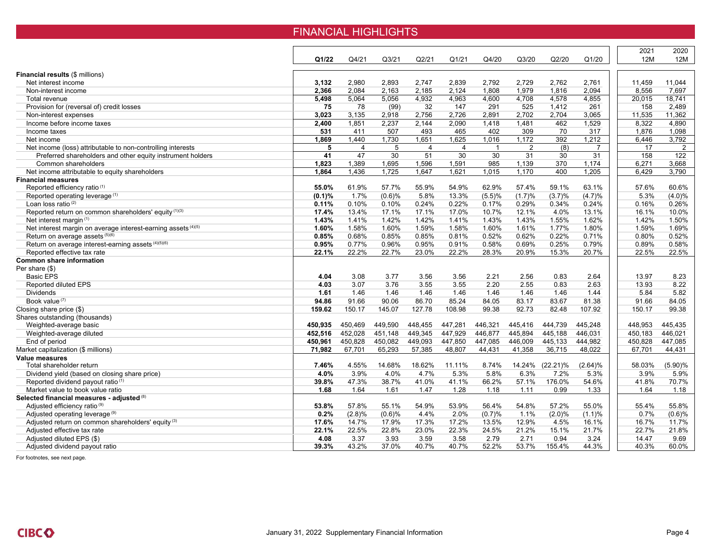### FINANCIAL HIGHLIGHTS

|                                                               |           |                 |                    |                |                 |              |                |             |                | 2021    | 2020      |
|---------------------------------------------------------------|-----------|-----------------|--------------------|----------------|-----------------|--------------|----------------|-------------|----------------|---------|-----------|
|                                                               | Q1/22     | Q4/21           | Q <sub>3</sub> /21 | Q2/21          | Q1/21           | Q4/20        | Q3/20          | Q2/20       | Q1/20          | 12M     | 12M       |
|                                                               |           |                 |                    |                |                 |              |                |             |                |         |           |
| <b>Financial results (\$ millions)</b>                        |           |                 |                    |                |                 |              |                |             |                |         |           |
| Net interest income                                           | 3,132     | 2,980           | 2,893              | 2,747          | 2,839           | 2,792        | 2,729          | 2,762       | 2,761          | 11,459  | 11,044    |
| Non-interest income                                           | 2,366     | 2,084           | 2,163              | 2,185          | 2,124           | 1,808        | 1,979          | 1,816       | 2,094          | 8,556   | 7,697     |
| Total revenue                                                 | 5.498     | 5.064           | 5.056              | 4.932          | 4.963           | 4.600        | 4.708          | 4.578       | 4.855          | 20,015  | 18.741    |
| Provision for (reversal of) credit losses                     | 75        | 78              | (99)               | 32             | 147             | 291          | 525            | 1,412       | 261            | 158     | 2,489     |
| Non-interest expenses                                         | 3,023     | 3,135           | 2,918              | 2,756          | 2,726           | 2,891        | 2,702          | 2,704       | 3,065          | 11,535  | 11,362    |
| Income before income taxes                                    | 2,400     | 1,851           | 2,237              | 2,144          | 2,090           | 1,418        | 1,481          | 462         | 1,529          | 8,322   | 4,890     |
| Income taxes                                                  | 531       | 411             | 507                | 493            | 465             | 402          | 309            | 70          | 317            | 1,876   | 1.098     |
| Net income                                                    | 1.869     | 1,440           | 1,730              | 1,651          | 1.625           | 1,016        | 1,172          | 392         | 1,212          | 6.446   | 3,792     |
| Net income (loss) attributable to non-controlling interests   | 5         | $\overline{4}$  | 5                  | $\overline{4}$ | $\overline{4}$  | $\mathbf{1}$ | $\overline{2}$ | (8)         | $\overline{7}$ | 17      | 2         |
| Preferred shareholders and other equity instrument holders    | 41        | $\overline{47}$ | 30                 | 51             | $\overline{30}$ | 30           | 31             | 30          | 31             | 158     | 122       |
| Common shareholders                                           | 1,823     | 1,389           | 1,695              | 1,596          | 1,591           | 985          | 1,139          | 370         | 1,174          | 6,271   | 3,668     |
| Net income attributable to equity shareholders                | 1,864     | 1,436           | 1,725              | 1,647          | 1,621           | 1,015        | 1,170          | 400         | 1,205          | 6.429   | 3.790     |
| <b>Financial measures</b>                                     |           |                 |                    |                |                 |              |                |             |                |         |           |
| Reported efficiency ratio (1)                                 | 55.0%     | 61.9%           | 57.7%              | 55.9%          | 54.9%           | 62.9%        | 57.4%          | 59.1%       | 63.1%          | 57.6%   | 60.6%     |
| Reported operating leverage <sup>(1)</sup>                    | $(0.1)\%$ | 1.7%            | (0.6)%             | 5.8%           | 13.3%           | (5.5)%       | (1.7)%         | (3.7)%      | (4.7)%         | 5.3%    | $(4.0)\%$ |
| Loan loss ratio <sup>(2)</sup>                                | 0.11%     | 0.10%           | 0.10%              | 0.24%          | 0.22%           | 0.17%        | 0.29%          | 0.34%       | 0.24%          | 0.16%   | 0.26%     |
| Reported return on common shareholders' equity (1)(3)         | 17.4%     | 13.4%           | 17.1%              | 17.1%          | 17.0%           | 10.7%        | 12.1%          | 4.0%        | 13.1%          | 16.1%   | 10.0%     |
| Net interest margin <sup>(1)</sup>                            | 1.43%     | 1.41%           | 1.42%              | 1.42%          | 1.41%           | 1.43%        | 1.43%          | 1.55%       | 1.62%          | 1.42%   | 1.50%     |
| Net interest margin on average interest-earning assets (4)(5) | 1.60%     | 1.58%           | 1.60%              | 1.59%          | 1.58%           | 1.60%        | 1.61%          | 1.77%       | 1.80%          | 1.59%   | 1.69%     |
| Return on average assets (5)(6)                               | 0.85%     | 0.68%           | 0.85%              | 0.85%          | 0.81%           | 0.52%        | 0.62%          | 0.22%       | 0.71%          | 0.80%   | 0.52%     |
| Return on average interest-earning assets (4)(5)(6)           | 0.95%     | 0.77%           | 0.96%              | 0.95%          | 0.91%           | 0.58%        | 0.69%          | 0.25%       | 0.79%          | 0.89%   | 0.58%     |
| Reported effective tax rate                                   | 22.1%     | 22.2%           | 22.7%              | 23.0%          | 22.2%           | 28.3%        | 20.9%          | 15.3%       | 20.7%          | 22.5%   | 22.5%     |
| <b>Common share information</b>                               |           |                 |                    |                |                 |              |                |             |                |         |           |
| Per share (\$)                                                |           |                 |                    |                |                 |              |                |             |                |         |           |
| <b>Basic EPS</b>                                              | 4.04      | 3.08            | 3.77               | 3.56           | 3.56            | 2.21         | 2.56           | 0.83        | 2.64           | 13.97   | 8.23      |
| Reported diluted EPS                                          | 4.03      | 3.07            | 3.76               | 3.55           | 3.55            | 2.20         | 2.55           | 0.83        | 2.63           | 13.93   | 8.22      |
| <b>Dividends</b>                                              | 1.61      | 1.46            | 1.46               | 1.46           | 1.46            | 1.46         | 1.46           | 1.46        | 1.44           | 5.84    | 5.82      |
| Book value (7)                                                | 94.86     | 91.66           | 90.06              | 86.70          | 85.24           | 84.05        | 83.17          | 83.67       | 81.38          | 91.66   | 84.05     |
| Closing share price (\$)                                      | 159.62    | 150.17          | 145.07             | 127.78         | 108.98          | 99.38        | 92.73          | 82.48       | 107.92         | 150.17  | 99.38     |
| Shares outstanding (thousands)                                |           |                 |                    |                |                 |              |                |             |                |         |           |
| Weighted-average basic                                        | 450,935   | 450,469         | 449,590            | 448.455        | 447,281         | 446,321      | 445,416        | 444,739     | 445,248        | 448,953 | 445,435   |
| Weighted-average diluted                                      | 452.516   | 452,028         | 451.148            | 449.345        | 447.929         | 446.877      | 445.894        | 445.188     | 446.031        | 450.183 | 446.021   |
| End of period                                                 | 450,961   | 450,828         | 450,082            | 449,093        | 447,850         | 447,085      | 446,009        | 445,133     | 444,982        | 450,828 | 447,085   |
| Market capitalization (\$ millions)                           | 71,982    | 67,701          | 65,293             | 57,385         | 48,807          | 44,431       | 41,358         | 36,715      | 48,022         | 67,701  | 44,431    |
| <b>Value measures</b>                                         |           |                 |                    |                |                 |              |                |             |                |         |           |
| Total shareholder return                                      | 7.46%     | 4.55%           | 14.68%             | 18.62%         | 11.11%          | 8.74%        | 14.24%         | $(22.21)\%$ | (2.64)%        | 58.03%  | (5.90)%   |
| Dividend yield (based on closing share price)                 | 4.0%      | 3.9%            | 4.0%               | 4.7%           | 5.3%            | 5.8%         | 6.3%           | 7.2%        | 5.3%           | 3.9%    | 5.9%      |
| Reported dividend payout ratio <sup>(1)</sup>                 | 39.8%     | 47.3%           | 38.7%              | 41.0%          | 41.1%           | 66.2%        | 57.1%          | 176.0%      | 54.6%          | 41.8%   | 70.7%     |
| Market value to book value ratio                              | 1.68      | 1.64            | 1.61               | 1.47           | 1.28            | 1.18         | 1.11           | 0.99        | 1.33           | 1.64    | 1.18      |
| Selected financial measures - adjusted (8)                    |           |                 |                    |                |                 |              |                |             |                |         |           |
| Adjusted efficiency ratio <sup>(9)</sup>                      | 53.8%     | 57.8%           | 55.1%              | 54.9%          | 53.9%           | 56.4%        | 54.8%          | 57.2%       | 55.0%          | 55.4%   | 55.8%     |
| Adjusted operating leverage <sup>(9)</sup>                    | 0.2%      | (2.8)%          | (0.6)%             | 4.4%           | 2.0%            | (0.7)%       | 1.1%           | (2.0)%      | (1.1)%         | 0.7%    | (0.6)%    |
| Adjusted return on common shareholders' equity <sup>(3)</sup> | 17.6%     | 14.7%           | 17.9%              | 17.3%          | 17.2%           | 13.5%        | 12.9%          | 4.5%        | 16.1%          | 16.7%   | 11.7%     |
| Adjusted effective tax rate                                   | 22.1%     | 22.5%           | 22.8%              | 23.0%          | 22.3%           | 24.5%        | 21.2%          | 15.1%       | 21.7%          | 22.7%   | 21.8%     |
| Adjusted diluted EPS (\$)                                     | 4.08      | 3.37            | 3.93               | 3.59           | 3.58            | 2.79         | 2.71           | 0.94        | 3.24           | 14.47   | 9.69      |
| Adjusted dividend payout ratio                                | 39.3%     | 43.2%           | 37.0%              | 40.7%          | 40.7%           | 52.2%        | 53.7%          | 155.4%      | 44.3%          | 40.3%   | 60.0%     |
|                                                               |           |                 |                    |                |                 |              |                |             |                |         |           |

For footnotes, see next page.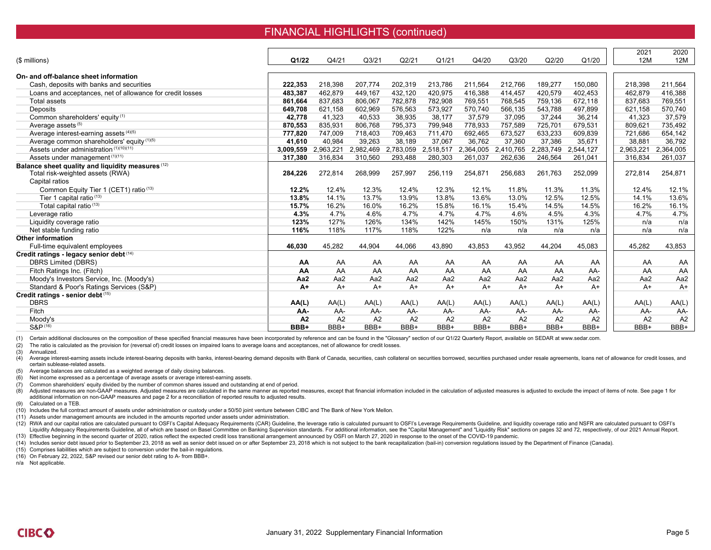### FINANCIAL HIGHLIGHTS (continued)

| (\$ millions)                                             | Q1/22          | Q4/21     | Q <sub>3/21</sub> | Q2/21     | Q1/21     | Q4/20     | Q3/20     | Q2/20     | Q1/20          | 2021<br>12M | 2020<br>12M |
|-----------------------------------------------------------|----------------|-----------|-------------------|-----------|-----------|-----------|-----------|-----------|----------------|-------------|-------------|
| On- and off-balance sheet information                     |                |           |                   |           |           |           |           |           |                |             |             |
| Cash, deposits with banks and securities                  | 222,353        | 218,398   | 207,774           | 202,319   | 213,786   | 211,564   | 212,766   | 189,277   | 150,080        | 218,398     | 211,564     |
| Loans and acceptances, net of allowance for credit losses | 483,387        | 462,879   | 449,167           | 432,120   | 420,975   | 416,388   | 414,457   | 420,579   | 402,453        | 462,879     | 416,388     |
| Total assets                                              | 861,664        | 837,683   | 806,067           | 782,878   | 782,908   | 769,551   | 768,545   | 759,136   | 672,118        | 837,683     | 769,551     |
| Deposits                                                  | 649,708        | 621,158   | 602,969           | 576,563   | 573,927   | 570,740   | 566,135   | 543,788   | 497,899        | 621,158     | 570,740     |
| Common shareholders' equity (1)                           | 42.778         | 41,323    | 40,533            | 38,935    | 38,177    | 37,579    | 37,095    | 37,244    | 36,214         | 41,323      | 37,579      |
| Average assets <sup>(5)</sup>                             | 870,553        | 835,931   | 806,768           | 795,373   | 799,948   | 778,933   | 757,589   | 725,701   | 679,531        | 809,621     | 735,492     |
| Average interest-earning assets (4)(5)                    | 777,820        | 747,009   | 718,403           | 709,463   | 711,470   | 692,465   | 673,527   | 633,233   | 609,839        | 721,686     | 654,142     |
| Average common shareholders' equity (1)(5)                | 41,610         | 40,984    | 39,263            | 38,189    | 37,067    | 36,762    | 37,360    | 37,386    | 35,671         | 38,881      | 36,792      |
| Assets under administration (1)(10)(11)                   | 3,009,559      | 2,963,221 | 2,982,469         | 2,783,059 | 2,518,517 | 2,364,005 | 2,410,765 | 2,283,749 | 2,544,127      | 2,963,221   | 2,364,005   |
| Assets under management (1)(11)                           | 317,380        | 316,834   | 310,560           | 293,488   | 280,303   | 261,037   | 262,636   | 246,564   | 261,041        | 316,834     | 261,037     |
| Balance sheet quality and liquidity measures (12)         |                |           |                   |           |           |           |           |           |                |             |             |
| Total risk-weighted assets (RWA)                          | 284,226        | 272,814   | 268,999           | 257,997   | 256,119   | 254,871   | 256,683   | 261,763   | 252,099        | 272,814     | 254,871     |
| Capital ratios                                            |                |           |                   |           |           |           |           |           |                |             |             |
| Common Equity Tier 1 (CET1) ratio (13)                    | 12.2%          | 12.4%     | 12.3%             | 12.4%     | 12.3%     | 12.1%     | 11.8%     | 11.3%     | 11.3%          | 12.4%       | 12.1%       |
| Tier 1 capital ratio (13)                                 | 13.8%          | 14.1%     | 13.7%             | 13.9%     | 13.8%     | 13.6%     | 13.0%     | 12.5%     | 12.5%          | 14.1%       | 13.6%       |
| Total capital ratio (13)                                  | 15.7%          | 16.2%     | 16.0%             | 16.2%     | 15.8%     | 16.1%     | 15.4%     | 14.5%     | 14.5%          | 16.2%       | 16.1%       |
| Leverage ratio                                            | 4.3%           | 4.7%      | 4.6%              | 4.7%      | 4.7%      | 4.7%      | 4.6%      | 4.5%      | 4.3%           | 4.7%        | 4.7%        |
| Liquidity coverage ratio                                  | 123%           | 127%      | 126%              | 134%      | 142%      | 145%      | 150%      | 131%      | 125%           | n/a         | n/a         |
| Net stable funding ratio                                  | 116%           | 118%      | 117%              | 118%      | 122%      | n/a       | n/a       | n/a       | n/a            | n/a         | n/a         |
| <b>Other information</b>                                  |                |           |                   |           |           |           |           |           |                |             |             |
| Full-time equivalent employees                            | 46,030         | 45,282    | 44,904            | 44,066    | 43,890    | 43,853    | 43,952    | 44,204    | 45,083         | 45,282      | 43,853      |
| Credit ratings - legacy senior debt (14)                  |                |           |                   |           |           |           |           |           |                |             |             |
| <b>DBRS Limited (DBRS)</b>                                | AA             | AA        | AA                | AA        | AA        | AA        | AA        | AA        | AA             | AA          | AA          |
| Fitch Ratings Inc. (Fitch)                                | AA             | AA        | AA                | AA        | AA        | AA        | AA        | AA        | AA-            | AA          | AA          |
| Moody's Investors Service, Inc. (Moody's)                 | Aa2            | Aa2       | Aa2               | Aa2       | Aa2       | Aa2       | Aa2       | Aa2       | Aa2            | Aa2         | Aa2         |
| Standard & Poor's Ratings Services (S&P)                  | $A+$           | $A+$      | $A+$              | $A+$      | $A+$      | $A+$      | $A+$      | $A+$      | $A+$           | $A+$        | $A+$        |
| Credit ratings - senior debt (15)                         |                |           |                   |           |           |           |           |           |                |             |             |
| <b>DBRS</b>                                               | AA(L)          | AA(L)     | AA(L)             | AA(L)     | AA(L)     | AA(L)     | AA(L)     | AA(L)     | AA(L)          | AA(L)       | AA(L)       |
| Fitch                                                     | AA-            | AA-       | AA-               | AA-       | AA-       | AA-       | AA-       | AA-       | AA-            | AA-         | AA-         |
| Moody's                                                   | A <sub>2</sub> | A2        | A2                | A2        | A2        | A2        | A2        | A2        | A <sub>2</sub> | A2          | A2          |
| S&P (16)                                                  | BBB+           | BBB+      | BBB+              | BBB+      | BBB+      | BBB+      | BBB+      | BBB+      | BBB+           | BBB+        | BBB+        |

(1) Certain additional disclosures on the composition of these specified financial measures have been incorporated by reference and can be found in the "Glossary" section of our Q1/22 Quarterly Report, available on SEDAR a

(2) The ratio is calculated as the provision for (reversal of) credit losses on impaired loans to average loans and acceptances, net of allowance for credit losses.<br>(3) Annualized.

Annualized.

(4) Average interest-earning assets include interest-bearing deposits with banks, interest-bearing deposits with banks, interest-bearing demand deposits with Bank of Canada, securities, cash collateral on securities borrow certain sublease-related assets.

(5) Average balances are calculated as a weighted average of daily closing balances.

(6) Net income expressed as a percentage of average assets or average interest-earning assets.

(7) Common shareholders' equity divided by the number of common shares issued and outstanding at end of period.

(8) Adjusted measures are non-GAAP measures. Adjusted measures are calculated in the same manner as reported measures, except that financial information included in the calculation of adjusted measures is adjusted to exclu additional information on non-GAAP measures and page 2 for a reconciliation of reported results to adjusted results.

(9) Calculated on a TEB.

(10) Includes the full contract amount of assets under administration or custody under a 50/50 joint venture between CIBC and The Bank of New York Mellon.

(11) Assets under management amounts are included in the amounts reported under assets under administration.

(12) RWA and our capital ratios are calculated pursuant to OSFI's Capital Adequacy Requirements (CAR) Guideline, the leverage ratio is calculated pursuant to OSFI's Leverage Requirements Guideline, and liquidity coverage r Liquidity Adequacy Requirements Guideline, all of which are based on Basel Committee on Banking Supervision standards. For additional information, see the "Capital Management" and "Liquidity Risk" sections on pages 32 and (13) Effective beginning in the second quarter of 2020, ratios reflect the expected credit loss transitional arrangement announced by OSFI on March 27, 2020 in response to the onset of the COVID-19 pandemic.

(14) Includes senior debt issued prior to September 23, 2018 as well as senior debt issued on or after September 23, 2018 which is not subject to the bank recapitalization (bail-in) conversion regulations issued by the Dep

(15) Comprises liabilities which are subject to conversion under the bail-in regulations.

(16) On February 22, 2022, S&P revised our senior debt rating to A- from BBB+.

n/a Not applicable.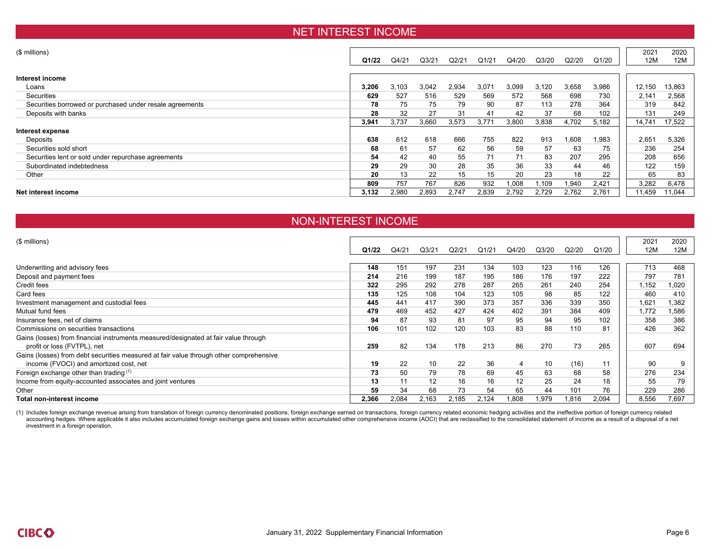### NET INTEREST INCOME

| (\$ millions)                                            |       |       |                   |       |       |       |       |       |        | 2021   | 2020   |
|----------------------------------------------------------|-------|-------|-------------------|-------|-------|-------|-------|-------|--------|--------|--------|
|                                                          | Q1/22 | Q4/21 | Q <sub>3/21</sub> | Q2/21 | Q1/21 | Q4/20 | Q3/20 | Q2/20 | Q1/20  | 12M    | 12M    |
|                                                          |       |       |                   |       |       |       |       |       |        |        |        |
| Interest income                                          |       |       |                   |       |       |       |       |       |        |        |        |
| Loans                                                    | 3,206 | 3,103 | 3,042             | 2,934 | 3,071 | 3,099 | 3,120 | 3,658 | 3,986  | 12,150 | 13,863 |
| Securities                                               | 629   | 527   | 516               | 529   | 569   | 572   | 568   | 698   | 730    | 2,141  | 2,568  |
| Securities borrowed or purchased under resale agreements | 78    | 75    | 75                | 79    | 90    | 87    | 113   | 278   | 364    | 319    | 842    |
| Deposits with banks                                      | 28    | 32    | 27                | 31    | 41    | 42    | 37    | 68    | 102    | 131    | 249    |
|                                                          | 3,941 | 3,737 | 3,660             | 3,573 | 3,771 | 3,800 | 3,838 | 4,702 | 5,182  | 14,741 | 17,522 |
| Interest expense                                         |       |       |                   |       |       |       |       |       |        |        |        |
| Deposits                                                 | 638   | 612   | 618               | 666   | 755   | 822   | 913   | 1,608 | 983. ا | 2,651  | 5,326  |
| Securities sold short                                    | 68    | 61    | 57                | 62    | 56    | 59    | 57    | 63    | 75     | 236    | 254    |
| Securities lent or sold under repurchase agreements      | 54    | 42    | 40                | 55    | 71    | 71    | 83    | 207   | 295    | 208    | 656    |
| Subordinated indebtedness                                | 29    | 29    | 30                | 28    | 35    | 36    | 33    | 44    | 46     | 122    | 159    |
| Other                                                    | 20    | 13    | 22                | 15    | 15    | 20    | 23    | 18    | 22     | 65     | 83     |
|                                                          | 809   | 757   | 767               | 826   | 932   | 1,008 | .109  | 1,940 | 2,421  | 3,282  | 6,478  |
| Net interest income                                      | 3,132 | 2,980 | 2,893             | 2,747 | 2,839 | 2,792 | 2,729 | 2,762 | 2,761  | 11,459 | 11,044 |
|                                                          |       |       |                   |       |       |       |       |       |        |        |        |

#### NON-INTEREST INCOME

| $($$ millions)                                                                         |       |       |                    |       |       |       |       |       |       | 2021  | 2020  |
|----------------------------------------------------------------------------------------|-------|-------|--------------------|-------|-------|-------|-------|-------|-------|-------|-------|
|                                                                                        | Q1/22 | Q4/21 | Q <sub>3</sub> /21 | Q2/21 | Q1/21 | Q4/20 | Q3/20 | Q2/20 | Q1/20 | 12M   | 12M   |
|                                                                                        |       |       |                    |       |       |       |       |       |       |       |       |
| Underwriting and advisory fees                                                         | 148   | 151   | 197                | 231   | 134   | 103   | 123   | 116   | 126   | 713   | 468   |
| Deposit and payment fees                                                               | 214   | 216   | 199                | 187   | 195   | 186   | 176   | 197   | 222   | 797   | 781   |
| Credit fees                                                                            | 322   | 295   | 292                | 278   | 287   | 265   | 261   | 240   | 254   | 1,152 | 1,020 |
| Card fees                                                                              | 135   | 125   | 108                | 104   | 123   | 105   | 98    | 85    | 122   | 460   | 410   |
| Investment management and custodial fees                                               | 445   | 441   | 417                | 390   | 373   | 357   | 336   | 339   | 350   | 1,621 | 1,382 |
| Mutual fund fees                                                                       | 479   | 469   | 452                | 427   | 424   | 402   | 391   | 384   | 409   | 1,772 | 1,586 |
| Insurance fees, net of claims                                                          | 94    | 87    | 93                 | 81    | 97    | 95    | 94    | 95    | 102   | 358   | 386   |
| Commissions on securities transactions                                                 | 106   | 101   | 102                | 120   | 103   | 83    | 88    | 110   | 81    | 426   | 362   |
| Gains (losses) from financial instruments measured/designated at fair value through    |       |       |                    |       |       |       |       |       |       |       |       |
| profit or loss (FVTPL), net                                                            | 259   | 82    | 134                | 178   | 213   | 86    | 270   | 73    | 265   | 607   | 694   |
| Gains (losses) from debt securities measured at fair value through other comprehensive |       |       |                    |       |       |       |       |       |       |       |       |
| income (FVOCI) and amortized cost, net                                                 | 19    | 22    | 10                 | 22    | 36    | 4     | 10    | (16)  | 11    | 90    | 9     |
| Foreign exchange other than trading (1)                                                | 73    | 50    | 79                 | 78    | 69    | 45    | 63    | 68    | 58    | 276   | 234   |
| Income from equity-accounted associates and joint ventures                             | 13    | 11    | 12                 | 16    | 16    | 12    | 25    | 24    | 18    | 55    | 79    |
| Other                                                                                  | 59    | 34    | 68                 | 73    | 54    | 65    | 44    | 101   | 76    | 229   | 286   |
| Total non-interest income                                                              | 2.366 | 2,084 | 2,163              | 2.185 | 2.124 | 0.808 | .979  | 1.816 | 2.094 | 8,556 | 7.697 |

(1) Includes foreign exchange revenue arising from translation of foreign currency denominated positions, foreign exchange earned on transactions, foreign currency related economic hedging activities and the ineffective po accounting hedges. Where applicable it also includes accumulated foreign exchange gains and losses within accumulated other comprehensive income (AOCI) that are reclassified to the consolidated statement of income as a res investment in a foreign operation.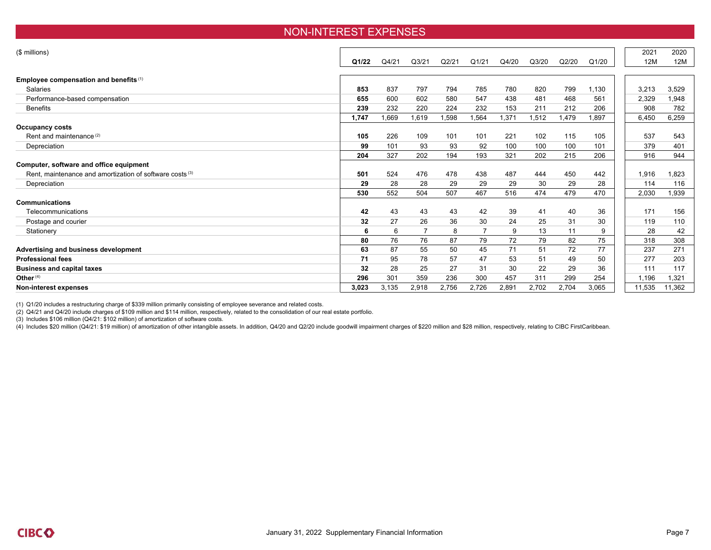#### NON-INTEREST EXPENSES

| (\$ millions)                                                       |       |       |       |       |       |       |       |       |       | 2021   | 2020   |
|---------------------------------------------------------------------|-------|-------|-------|-------|-------|-------|-------|-------|-------|--------|--------|
|                                                                     | Q1/22 | Q4/21 | Q3/21 | Q2/21 | Q1/21 | Q4/20 | Q3/20 | Q2/20 | Q1/20 | 12M    | 12M    |
|                                                                     |       |       |       |       |       |       |       |       |       |        |        |
| Employee compensation and benefits (1)                              |       |       |       |       |       |       |       |       |       |        |        |
| <b>Salaries</b>                                                     | 853   | 837   | 797   | 794   | 785   | 780   | 820   | 799   | 1,130 | 3,213  | 3,529  |
| Performance-based compensation                                      | 655   | 600   | 602   | 580   | 547   | 438   | 481   | 468   | 561   | 2,329  | 1,948  |
| <b>Benefits</b>                                                     | 239   | 232   | 220   | 224   | 232   | 153   | 211   | 212   | 206   | 908    | 782    |
|                                                                     | 1,747 | 1,669 | 1,619 | 1,598 | .564  | 1,371 | 1,512 | 1,479 | 1,897 | 6,450  | 6,259  |
| Occupancy costs                                                     |       |       |       |       |       |       |       |       |       |        |        |
| Rent and maintenance <sup>(2)</sup>                                 | 105   | 226   | 109   | 101   | 101   | 221   | 102   | 115   | 105   | 537    | 543    |
| Depreciation                                                        | 99    | 101   | 93    | 93    | 92    | 100   | 100   | 100   | 101   | 379    | 401    |
|                                                                     | 204   | 327   | 202   | 194   | 193   | 321   | 202   | 215   | 206   | 916    | 944    |
| Computer, software and office equipment                             |       |       |       |       |       |       |       |       |       |        |        |
| Rent, maintenance and amortization of software costs <sup>(3)</sup> | 501   | 524   | 476   | 478   | 438   | 487   | 444   | 450   | 442   | 1,916  | 1.823  |
| Depreciation                                                        | 29    | 28    | 28    | 29    | 29    | 29    | 30    | 29    | 28    | 114    | 116    |
|                                                                     | 530   | 552   | 504   | 507   | 467   | 516   | 474   | 479   | 470   | 2,030  | 1,939  |
| <b>Communications</b>                                               |       |       |       |       |       |       |       |       |       |        |        |
| Telecommunications                                                  | 42    | 43    | 43    | 43    | 42    | 39    | 41    | 40    | 36    | 171    | 156    |
| Postage and courier                                                 | 32    | 27    | 26    | 36    | 30    | 24    | 25    | 31    | 30    | 119    | 110    |
| Stationery                                                          | 6     | 6     |       | 8     | 7     | 9     | 13    | 11    | 9     | 28     | 42     |
|                                                                     | 80    | 76    | 76    | 87    | 79    | 72    | 79    | 82    | 75    | 318    | 308    |
| Advertising and business development                                | 63    | 87    | 55    | 50    | 45    | 71    | 51    | 72    | 77    | 237    | 271    |
| <b>Professional fees</b>                                            | 71    | 95    | 78    | 57    | 47    | 53    | 51    | 49    | 50    | 277    | 203    |
| <b>Business and capital taxes</b>                                   | 32    | 28    | 25    | 27    | 31    | 30    | 22    | 29    | 36    | 111    | 117    |
| Other <sup>(4)</sup>                                                | 296   | 301   | 359   | 236   | 300   | 457   | 311   | 299   | 254   | 1,196  | 1,321  |
| Non-interest expenses                                               | 3,023 | 3,135 | 2,918 | 2,756 | 2,726 | 2,891 | 2,702 | 2,704 | 3,065 | 11,535 | 11,362 |

(1) Q1/20 includes a restructuring charge of \$339 million primarily consisting of employee severance and related costs.

(2) Q4/21 and Q4/20 include charges of \$109 million and \$114 million, respectively, related to the consolidation of our real estate portfolio.

(3) Includes \$106 million (Q4/21: \$102 million) of amortization of software costs.

(4) Includes \$20 million (Q4/21: \$19 million) of amortization of other intangible assets. In addition, Q4/20 and Q2/20 include goodwill impairment charges of \$220 million and \$28 million, respectively, relating to CIBC Fir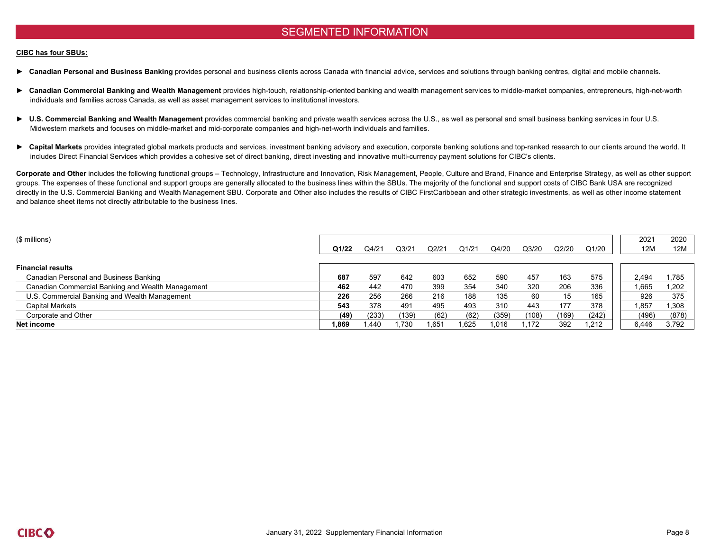### SEGMENTED INFORMATION

#### **CIBC has four SBUs:**

- ▶ Canadian Personal and Business Banking provides personal and business clients across Canada with financial advice, services and solutions through banking centres, digital and mobile channels.
- ► Canadian Commercial Banking and Wealth Management provides high-touch, relationship-oriented banking and wealth management services to middle-market companies, entrepreneurs, high-net-worth individuals and families across Canada, as well as asset management services to institutional investors.
- ► U.S. Commercial Banking and Wealth Management provides commercial banking and private wealth services across the U.S., as well as personal and small business banking services in four U.S. Midwestern markets and focuses on middle-market and mid-corporate companies and high-net-worth individuals and families.
- ► Capital Markets provides integrated global markets products and services, investment banking advisory and execution, corporate banking solutions and top-ranked research to our clients around the world. It includes Direct Financial Services which provides a cohesive set of direct banking, direct investing and innovative multi-currency payment solutions for CIBC's clients.

Corporate and Other includes the following functional groups – Technology, Infrastructure and Innovation, Risk Management, People, Culture and Brand, Finance and Enterprise Strategy, as well as other support groups. The expenses of these functional and support groups are generally allocated to the business lines within the SBUs. The majority of the functional and support costs of CIBC Bank USA are recognized directly in the U.S. Commercial Banking and Wealth Management SBU. Corporate and Other also includes the results of CIBC FirstCaribbean and other strategic investments, as well as other income statement and balance sheet items not directly attributable to the business lines.

| $$$ millions)                                     | Q1/22 | Q4/21 | Q3/21 | Q2/21 | Q1/21 | Q4/20 | Q3/20 | Q2/20 | Q1/20 | 2021<br>12M | 2020<br>12M |
|---------------------------------------------------|-------|-------|-------|-------|-------|-------|-------|-------|-------|-------------|-------------|
| <b>Financial results</b>                          |       |       |       |       |       |       |       |       |       |             |             |
| Canadian Personal and Business Banking            | 687   | 597   | 642   | 603   | 652   | 590   | 457   | 163   | 575   | 2,494       | 1,785       |
| Canadian Commercial Banking and Wealth Management | 462   | 442   | 470   | 399   | 354   | 340   | 320   | 206   | 336   | 1,665       | 1,202       |
| U.S. Commercial Banking and Wealth Management     | 226   | 256   | 266   | 216   | 188   | 135   | 60    | 15    | 165   | 926         | 375         |
| Capital Markets                                   | 543   | 378   | 491   | 495   | 493   | 310   | 443   | 177   | 378   | .857        | 1,308       |
| Corporate and Other                               | (49)  | (233) | (139) | (62)  | (62)  | (359) | (108) | (169) | (242) | (496)       | (878)       |
| Net income                                        | 1,869 | ∣.440 | 1.730 | 1.651 | 1,625 | 1.016 | 1.172 | 392   | 1,212 | 6.446       | 3,792       |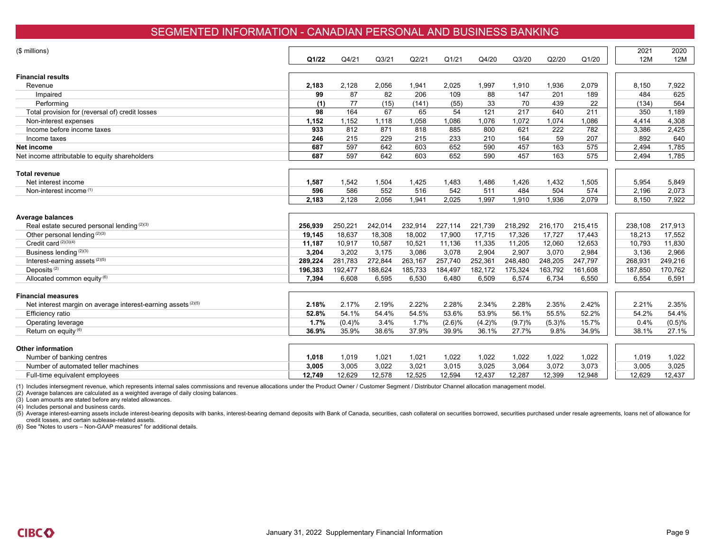### SEGMENTED INFORMATION - CANADIAN PERSONAL AND BUSINESS BANKING

| (\$ millions)                                                 |              |              |                    |              |              |              |              |              |              | 2021           | 2020           |
|---------------------------------------------------------------|--------------|--------------|--------------------|--------------|--------------|--------------|--------------|--------------|--------------|----------------|----------------|
|                                                               | Q1/22        | Q4/21        | Q <sub>3</sub> /21 | Q2/21        | Q1/21        | Q4/20        | Q3/20        | Q2/20        | Q1/20        | 12M            | 12M            |
|                                                               |              |              |                    |              |              |              |              |              |              |                |                |
| <b>Financial results</b>                                      |              |              |                    |              |              |              |              |              |              |                |                |
| Revenue                                                       | 2.183        | 2,128        | 2,056              | 1,941        | 2,025        | 1,997        | 1,910        | 1,936        | 2,079        | 8,150          | 7,922          |
| Impaired                                                      | 99           | 87           | 82                 | 206          | 109          | 88           | 147          | 201          | 189          | 484            | 625            |
| Performing                                                    | (1)          | 77           | (15)               | (141)        | (55)         | 33           | 70           | 439          | 22           | (134)          | 564            |
| Total provision for (reversal of) credit losses               | 98           | 164          | 67                 | 65           | 54           | 121          | 217          | 640          | 211          | 350            | 1,189          |
| Non-interest expenses                                         | 1,152        | 1,152        | 1,118              | 1,058        | 1,086        | 1,076        | 1,072        | 1,074        | 1,086        | 4,414          | 4,308          |
| Income before income taxes                                    | 933          | 812          | 871                | 818          | 885          | 800          | 621          | 222          | 782          | 3,386          | 2,425          |
| Income taxes                                                  | 246          | 215          | 229                | 215          | 233          | 210          | 164          | 59           | 207          | 892            | 640            |
| Net income                                                    | 687          | 597          | 642                | 603          | 652          | 590          | 457          | 163          | 575          | 2,494          | 1.785          |
| Net income attributable to equity shareholders                | 687          | 597          | 642                | 603          | 652          | 590          | 457          | 163          | 575          | 2,494          | 1.785          |
|                                                               |              |              |                    |              |              |              |              |              |              |                |                |
| Total revenue                                                 |              |              |                    |              |              |              |              |              |              |                |                |
| Net interest income<br>Non-interest income <sup>(1)</sup>     | 1,587<br>596 | 1,542<br>586 | 1,504<br>552       | 1,425<br>516 | 1,483<br>542 | 1,486<br>511 | 1,426<br>484 | 1,432<br>504 | 1,505<br>574 | 5,954          | 5,849<br>2,073 |
|                                                               | 2,183        | 2,128        | 2,056              | 1,941        | 2,025        | 1,997        | 1,910        | 1,936        | 2,079        | 2,196<br>8,150 | 7,922          |
|                                                               |              |              |                    |              |              |              |              |              |              |                |                |
| <b>Average balances</b>                                       |              |              |                    |              |              |              |              |              |              |                |                |
| Real estate secured personal lending (2)(3)                   | 256.939      | 250,221      | 242,014            | 232,914      | 227,114      | 221,739      | 218,292      | 216,170      | 215,415      | 238,108        | 217,913        |
| Other personal lending (2)(3)                                 | 19,145       | 18,637       | 18,308             | 18,002       | 17,900       | 17,715       | 17,326       | 17,727       | 17,443       | 18,213         | 17,552         |
| Credit card (2)(3)(4)                                         | 11,187       | 10,917       | 10,587             | 10,521       | 11,136       | 11,335       | 11,205       | 12,060       | 12,653       | 10.793         | 11,830         |
| Business lending (2)(3)                                       | 3,204        | 3,202        | 3,175              | 3,086        | 3,078        | 2,904        | 2,907        | 3,070        | 2,984        | 3,136          | 2,966          |
| Interest-earning assets (2)(5)                                | 289,224      | 281,783      | 272,844            | 263,167      | 257,740      | 252,361      | 248,480      | 248,205      | 247,797      | 268,931        | 249,216        |
| Deposits <sup>(2)</sup>                                       | 196,383      | 192,477      | 188,624            | 185,733      | 184,497      | 182,172      | 175,324      | 163,792      | 161,608      | 187,850        | 170,762        |
| Allocated common equity (6)                                   | 7,394        | 6,608        | 6,595              | 6,530        | 6,480        | 6,509        | 6,574        | 6,734        | 6,550        | 6,554          | 6,591          |
| <b>Financial measures</b>                                     |              |              |                    |              |              |              |              |              |              |                |                |
| Net interest margin on average interest-earning assets (2)(5) | 2.18%        | 2.17%        | 2.19%              | 2.22%        | 2.28%        | 2.34%        | 2.28%        | 2.35%        | 2.42%        | 2.21%          | 2.35%          |
| Efficiency ratio                                              | 52.8%        | 54.1%        | 54.4%              | 54.5%        | 53.6%        | 53.9%        | 56.1%        | 55.5%        | 52.2%        | 54.2%          | 54.4%          |
| Operating leverage                                            | 1.7%         | (0.4)%       | 3.4%               | 1.7%         | (2.6)%       | (4.2)%       | (9.7)%       | (5.3)%       | 15.7%        | 0.4%           | (0.5)%         |
| Return on equity (6)                                          | 36.9%        | 35.9%        | 38.6%              | 37.9%        | 39.9%        | 36.1%        | 27.7%        | 9.8%         | 34.9%        | 38.1%          | 27.1%          |
|                                                               |              |              |                    |              |              |              |              |              |              |                |                |
| <b>Other information</b>                                      |              |              |                    |              |              |              |              |              |              |                |                |
| Number of banking centres                                     | 1,018        | 1,019        | 1,021              | 1,021        | 1,022        | 1,022        | 1,022        | 1,022        | 1,022        | 1,019          | 1,022          |
| Number of automated teller machines                           | 3,005        | 3,005        | 3,022              | 3,021        | 3,015        | 3,025        | 3,064        | 3,072        | 3,073        | 3,005          | 3,025          |
| Full-time equivalent employees                                | 12,749       | 12,629       | 12,578             | 12,525       | 12,594       | 12,437       | 12,287       | 12,399       | 12,948       | 12,629         | 12,437         |

(1) Includes intersegment revenue, which represents internal sales commissions and revenue allocations under the Product Owner / Customer Segment / Distributor Channel allocation management model.

(2) Average balances are calculated as a weighted average of daily closing balances.

(3) Loan amounts are stated before any related allowances.

(4) Includes personal and business cards.

(5) Average interest-earning assets include interest-bearing deposits with banks, interest-bearing demand deposits with Bank of Canada, securities, cash collateral on securities borrowed, securities purchased under resale credit losses, and certain sublease-related assets.

(6) See "Notes to users – Non-GAAP measures" for additional details.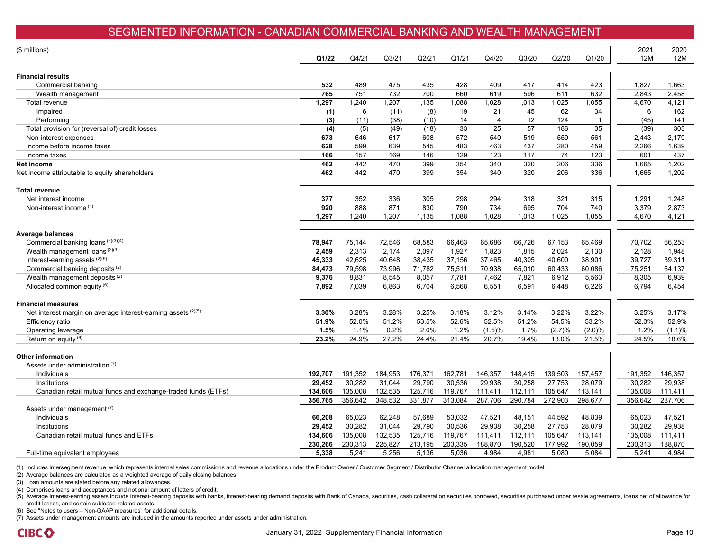### SEGMENTED INFORMATION - CANADIAN COMMERCIAL BANKING AND WEALTH MANAGEMENT

| (\$ millions)                                                 | Q1/22   | Q4/21   | Q <sub>3/21</sub> | Q2/21   | Q1/21   | Q4/20          | Q3/20   | Q2/20   | Q1/20        | 2021<br>12M | 2020<br>12M |
|---------------------------------------------------------------|---------|---------|-------------------|---------|---------|----------------|---------|---------|--------------|-------------|-------------|
| <b>Financial results</b>                                      |         |         |                   |         |         |                |         |         |              |             |             |
| Commercial banking                                            | 532     | 489     | 475               | 435     | 428     | 409            | 417     | 414     | 423          | 1,827       | 1,663       |
| Wealth management                                             | 765     | 751     | 732               | 700     | 660     | 619            | 596     | 611     | 632          | 2,843       | 2,458       |
| Total revenue                                                 | 1,297   | 1,240   | 1,207             | 1,135   | 1,088   | 1,028          | 1,013   | 1,025   | 1,055        | 4,670       | 4,121       |
| Impaired                                                      | (1)     | 6       | (11)              | (8)     | 19      | 21             | 45      | 62      | 34           | 6           | 162         |
| Performing                                                    | (3)     | (11)    | (38)              | (10)    | 14      | $\overline{4}$ | 12      | 124     | $\mathbf{1}$ | (45)        | 141         |
| Total provision for (reversal of) credit losses               | (4)     | (5)     | (49)              | (18)    | 33      | 25             | 57      | 186     | 35           | (39)        | 303         |
| Non-interest expenses                                         | 673     | 646     | 617               | 608     | 572     | 540            | 519     | 559     | 561          | 2,443       | 2,179       |
| Income before income taxes                                    | 628     | 599     | 639               | 545     | 483     | 463            | 437     | 280     | 459          | 2,266       | 1,639       |
| Income taxes                                                  | 166     | 157     | 169               | 146     | 129     | 123            | 117     | 74      | 123          | 601         | 437         |
| Net income                                                    | 462     | 442     | 470               | 399     | 354     | 340            | 320     | 206     | 336          | 1,665       | 1,202       |
| Net income attributable to equity shareholders                | 462     | 442     | 470               | 399     | 354     | 340            | 320     | 206     | 336          | 1,665       | 1,202       |
| <b>Total revenue</b>                                          |         |         |                   |         |         |                |         |         |              |             |             |
| Net interest income                                           | 377     | 352     | 336               | 305     | 298     | 294            | 318     | 321     | 315          | 1,291       | 1,248       |
| Non-interest income (1)                                       | 920     | 888     | 871               | 830     | 790     | 734            | 695     | 704     | 740          | 3,379       | 2,873       |
|                                                               | 1,297   | 1,240   | 1,207             | 1,135   | 1,088   | 1,028          | 1,013   | 1,025   | 1,055        | 4,670       | 4,121       |
| Average balances                                              |         |         |                   |         |         |                |         |         |              |             |             |
| Commercial banking loans (2)(3)(4)                            | 78,947  | 75,144  | 72,546            | 68,583  | 66,463  | 65,686         | 66,726  | 67,153  | 65,469       | 70,702      | 66,253      |
| Wealth management loans (2)(3)                                | 2,459   | 2,313   | 2,174             | 2,097   | 1,927   | 1,823          | 1,815   | 2,024   | 2,130        | 2,128       | 1,948       |
| Interest-earning assets (2)(5)                                | 45,333  | 42,625  | 40,648            | 38,435  | 37,156  | 37,465         | 40,305  | 40,600  | 38,901       | 39,727      | 39,311      |
| Commercial banking deposits <sup>(2)</sup>                    | 84,473  | 79,598  | 73,996            | 71,782  | 75,511  | 70,938         | 65,010  | 60,433  | 60,086       | 75,251      | 64,137      |
| Wealth management deposits <sup>(2)</sup>                     | 9,376   | 8,831   | 8,545             | 8,057   | 7,781   | 7,462          | 7,821   | 6,912   | 5,563        | 8,305       | 6,939       |
| Allocated common equity (6)                                   | 7,892   | 7,039   | 6,863             | 6,704   | 6,568   | 6,551          | 6,591   | 6,448   | 6,226        | 6,794       | 6,454       |
| <b>Financial measures</b>                                     |         |         |                   |         |         |                |         |         |              |             |             |
| Net interest margin on average interest-earning assets (2)(5) | 3.30%   | 3.28%   | 3.28%             | 3.25%   | 3.18%   | 3.12%          | 3.14%   | 3.22%   | 3.22%        | 3.25%       | 3.17%       |
| Efficiency ratio                                              | 51.9%   | 52.0%   | 51.2%             | 53.5%   | 52.6%   | 52.5%          | 51.2%   | 54.5%   | 53.2%        | 52.3%       | 52.9%       |
| Operating leverage                                            | 1.5%    | 1.1%    | 0.2%              | 2.0%    | 1.2%    | (1.5)%         | 1.7%    | (2.7)%  | (2.0)%       | 1.2%        | $(1.1)\%$   |
| Return on equity (6)                                          | 23.2%   | 24.9%   | 27.2%             | 24.4%   | 21.4%   | 20.7%          | 19.4%   | 13.0%   | 21.5%        | 24.5%       | 18.6%       |
| <b>Other information</b><br>Assets under administration (7)   |         |         |                   |         |         |                |         |         |              |             |             |
| Individuals                                                   | 192,707 | 191,352 | 184,953           | 176,371 | 162,781 | 146,357        | 148,415 | 139,503 | 157,457      | 191,352     | 146,357     |
| Institutions                                                  | 29,452  | 30,282  | 31,044            | 29,790  | 30,536  | 29,938         | 30,258  | 27,753  | 28,079       | 30,282      | 29,938      |
| Canadian retail mutual funds and exchange-traded funds (ETFs) | 134,606 | 135,008 | 132,535           | 125,716 | 119,767 | 111,411        | 112,111 | 105,647 | 113,141      | 135,008     | 111,411     |
|                                                               | 356,765 | 356,642 | 348,532           | 331,877 | 313,084 | 287,706        | 290,784 | 272,903 | 298,677      | 356,642     | 287,706     |
| Assets under management <sup>(7)</sup>                        |         |         |                   |         |         |                |         |         |              |             |             |
| Individuals                                                   | 66,208  | 65,023  | 62,248            | 57,689  | 53,032  | 47,521         | 48,151  | 44,592  | 48,839       | 65,023      | 47.521      |
| Institutions                                                  | 29,452  | 30,282  | 31,044            | 29,790  | 30,536  | 29,938         | 30,258  | 27,753  | 28,079       | 30,282      | 29,938      |
| Canadian retail mutual funds and ETFs                         | 134,606 | 135,008 | 132,535           | 125,716 | 119,767 | 111,411        | 112,111 | 105,647 | 113,141      | 135,008     | 111,411     |
|                                                               | 230,266 | 230,313 | 225,827           | 213,195 | 203,335 | 188,870        | 190,520 | 177,992 | 190,059      | 230,313     | 188,870     |
| Full-time equivalent employees                                | 5,338   | 5,241   | 5,256             | 5,136   | 5,036   | 4,984          | 4,981   | 5,080   | 5,084        | 5,241       | 4,984       |
|                                                               |         |         |                   |         |         |                |         |         |              |             |             |

(1) Includes intersegment revenue, which represents internal sales commissions and revenue allocations under the Product Owner / Customer Segment / Distributor Channel allocation management model.

(2) Average balances are calculated as a weighted average of daily closing balances.

(3) Loan amounts are stated before any related allowances.

(4) Comprises loans and acceptances and notional amount of letters of credit.

(5) Average interest-earning assets include interest-bearing deposits with banks, interest-bearing demand deposits with Bank of Canada, securities, cash collateral on securities borrowed, securities purchased under resale credit losses, and certain sublease-related assets.

(6) See "Notes to users – Non-GAAP measures" for additional details.

(7) Assets under management amounts are included in the amounts reported under assets under administration.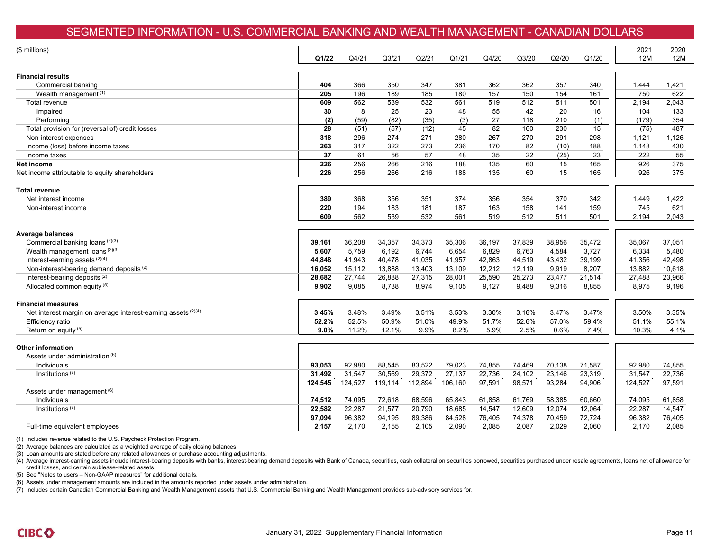### SEGMENTED INFORMATION - U.S. COMMERCIAL BANKING AND WEALTH MANAGEMENT - CANADIAN DOLLARS

| (\$ millions)                                                   | Q1/22   | Q4/21            | Q <sub>3</sub> /21 | Q2/21   | Q1/21   | Q4/20  | Q3/20  | Q2/20  | Q1/20  | 2021<br>12M | 2020<br>12M |
|-----------------------------------------------------------------|---------|------------------|--------------------|---------|---------|--------|--------|--------|--------|-------------|-------------|
|                                                                 |         |                  |                    |         |         |        |        |        |        |             |             |
| <b>Financial results</b>                                        |         |                  |                    |         |         |        |        |        |        |             |             |
| Commercial banking                                              | 404     | 366              | 350                | 347     | 381     | 362    | 362    | 357    | 340    | 1,444       | 1,421       |
| Wealth management <sup>(1)</sup>                                | 205     | 196              | 189                | 185     | 180     | 157    | 150    | 154    | 161    | 750         | 622         |
| Total revenue                                                   | 609     | 562              | 539                | 532     | 561     | 519    | 512    | 511    | 501    | 2,194       | 2,043       |
| Impaired                                                        | 30      | 8                | 25                 | 23      | 48      | 55     | 42     | 20     | 16     | 104         | 133         |
| Performing                                                      | (2)     | (59)             | (82)               | (35)    | (3)     | 27     | 118    | 210    | (1)    | (179)       | 354         |
| Total provision for (reversal of) credit losses                 | 28      | (51)             | (57)               | (12)    | 45      | 82     | 160    | 230    | 15     | (75)        | 487         |
| Non-interest expenses                                           | 318     | 296              | 274                | 271     | 280     | 267    | 270    | 291    | 298    | 1,121       | 1,126       |
| Income (loss) before income taxes                               | 263     | $\overline{317}$ | 322                | 273     | 236     | 170    | 82     | (10)   | 188    | 1,148       | 430         |
| Income taxes                                                    | 37      | 61               | 56                 | 57      | 48      | 35     | 22     | (25)   | 23     | 222         | 55          |
| Net income                                                      | 226     | 256              | 266                | 216     | 188     | 135    | 60     | 15     | 165    | 926         | 375         |
| Net income attributable to equity shareholders                  | 226     | 256              | 266                | 216     | 188     | 135    | 60     | 15     | 165    | 926         | 375         |
| <b>Total revenue</b>                                            |         |                  |                    |         |         |        |        |        |        |             |             |
| Net interest income                                             | 389     | 368              | 356                | 351     | 374     | 356    | 354    | 370    | 342    | 1,449       | 1,422       |
| Non-interest income                                             | 220     | 194              | 183                | 181     | 187     | 163    | 158    | 141    | 159    | 745         | 621         |
|                                                                 | 609     | 562              | 539                | 532     | 561     | 519    | 512    | 511    | 501    | 2.194       | 2.043       |
| <b>Average balances</b>                                         |         |                  |                    |         |         |        |        |        |        |             |             |
| Commercial banking loans (2)(3)                                 | 39,161  | 36,208           | 34,357             | 34,373  | 35,306  | 36,197 | 37,839 | 38,956 | 35,472 | 35,067      | 37,051      |
| Wealth management loans (2)(3)                                  | 5,607   | 5,759            | 6,192              | 6,744   | 6,654   | 6,829  | 6,763  | 4,584  | 3,727  | 6,334       | 5,480       |
| Interest-earning assets (2)(4)                                  | 44,848  | 41,943           | 40,478             | 41,035  | 41,957  | 42,863 | 44,519 | 43,432 | 39,199 | 41,356      | 42,498      |
| Non-interest-bearing demand deposits <sup>(2)</sup>             | 16,052  | 15,112           | 13,888             | 13,403  | 13,109  | 12,212 | 12,119 | 9,919  | 8,207  | 13,882      | 10,618      |
| Interest-bearing deposits <sup>(2)</sup>                        | 28,682  | 27,744           | 26,888             | 27,315  | 28,001  | 25,590 | 25,273 | 23,477 | 21,514 | 27,488      | 23,966      |
| Allocated common equity (5)                                     | 9,902   | 9,085            | 8,738              | 8,974   | 9,105   | 9,127  | 9,488  | 9,316  | 8,855  | 8,975       | 9,196       |
| <b>Financial measures</b>                                       |         |                  |                    |         |         |        |        |        |        |             |             |
| Net interest margin on average interest-earning assets $(2)(4)$ | 3.45%   | 3.48%            | 3.49%              | 3.51%   | 3.53%   | 3.30%  | 3.16%  | 3.47%  | 3.47%  | 3.50%       | 3.35%       |
| Efficiency ratio                                                | 52.2%   | 52.5%            | 50.9%              | 51.0%   | 49.9%   | 51.7%  | 52.6%  | 57.0%  | 59.4%  | 51.1%       | 55.1%       |
| Return on equity (5)                                            | 9.0%    | 11.2%            | 12.1%              | 9.9%    | 8.2%    | 5.9%   | 2.5%   | 0.6%   | 7.4%   | 10.3%       | 4.1%        |
| <b>Other information</b>                                        |         |                  |                    |         |         |        |        |        |        |             |             |
| Assets under administration (6)                                 |         |                  |                    |         |         |        |        |        |        |             |             |
| Individuals                                                     | 93.053  | 92,980           | 88,545             | 83,522  | 79,023  | 74,855 | 74,469 | 70,138 | 71,587 | 92,980      | 74,855      |
| Institutions $(7)$                                              | 31.492  | 31,547           | 30,569             | 29,372  | 27,137  | 22,736 | 24,102 | 23,146 | 23,319 | 31,547      | 22,736      |
|                                                                 | 124,545 | 124,527          | 119,114            | 112,894 | 106,160 | 97,591 | 98,571 | 93,284 | 94,906 | 124,527     | 97,591      |
| Assets under management (6)                                     |         |                  |                    |         |         |        |        |        |        |             |             |
| Individuals                                                     | 74,512  | 74,095           | 72,618             | 68,596  | 65,843  | 61,858 | 61,769 | 58,385 | 60,660 | 74,095      | 61,858      |
| Institutions $(7)$                                              | 22,582  | 22,287           | 21,577             | 20,790  | 18,685  | 14,547 | 12,609 | 12,074 | 12,064 | 22,287      | 14,547      |
|                                                                 | 97,094  | 96,382           | 94,195             | 89,386  | 84,528  | 76,405 | 74,378 | 70,459 | 72,724 | 96,382      | 76,405      |
| Full-time equivalent employees                                  | 2,157   | 2,170            | 2,155              | 2,105   | 2,090   | 2,085  | 2,087  | 2,029  | 2,060  | 2.170       | 2,085       |

(1) Includes revenue related to the U.S. Paycheck Protection Program.

(2) Average balances are calculated as a weighted average of daily closing balances.

(3) Loan amounts are stated before any related allowances or purchase accounting adjustments.

(4) Average interest-earning assets include interest-bearing deposits with banks, interest-bearing demand deposits with Bank of Canada, securities, cash collateral on securities borrowed, securities purchased under resale credit losses, and certain sublease-related assets.

(5) See "Notes to users – Non-GAAP measures" for additional details.

(6) Assets under management amounts are included in the amounts reported under assets under administration.

(7) Includes certain Canadian Commercial Banking and Wealth Management assets that U.S. Commercial Banking and Wealth Management provides sub-advisory services for.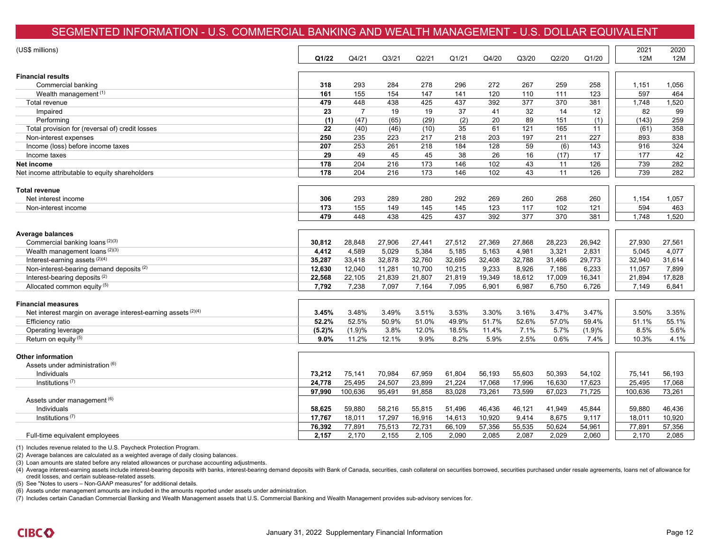### SEGMENTED INFORMATION - U.S. COMMERCIAL BANKING AND WEALTH MANAGEMENT - U.S. DOLLAR EQUIVALENT

| (US\$ millions)                                               | Q1/22  | Q4/21          | Q <sub>3</sub> /21 | Q2/21  | Q1/21  | Q4/20  | Q3/20            | Q2/20  | Q1/20  | 2021<br>12M | 2020<br>12M |
|---------------------------------------------------------------|--------|----------------|--------------------|--------|--------|--------|------------------|--------|--------|-------------|-------------|
|                                                               |        |                |                    |        |        |        |                  |        |        |             |             |
| <b>Financial results</b>                                      |        |                |                    |        |        |        |                  |        |        |             |             |
| Commercial banking                                            | 318    | 293            | 284                | 278    | 296    | 272    | 267              | 259    | 258    | 1,151       | 1,056       |
| Wealth management (1)                                         | 161    | 155            | 154                | 147    | 141    | 120    | 110              | 111    | 123    | 597         | 464         |
| Total revenue                                                 | 479    | 448            | 438                | 425    | 437    | 392    | $\overline{377}$ | 370    | 381    | 1,748       | 1,520       |
| Impaired                                                      | 23     | $\overline{7}$ | 19                 | 19     | 37     | 41     | 32               | 14     | 12     | 82          | 99          |
| Performing                                                    | (1)    | (47)           | (65)               | (29)   | (2)    | 20     | 89               | 151    | (1)    | (143)       | 259         |
| Total provision for (reversal of) credit losses               | 22     | (40)           | (46)               | (10)   | 35     | 61     | 121              | 165    | 11     | (61)        | 358         |
| Non-interest expenses                                         | 250    | 235            | 223                | 217    | 218    | 203    | 197              | 211    | 227    | 893         | 838         |
| Income (loss) before income taxes                             | 207    | 253            | 261                | 218    | 184    | 128    | 59               | (6)    | 143    | 916         | 324         |
| Income taxes                                                  | 29     | 49             | 45                 | 45     | 38     | 26     | 16               | (17)   | 17     | 177         | 42          |
| Net income                                                    | 178    | 204            | 216                | 173    | 146    | 102    | 43               | 11     | 126    | 739         | 282         |
| Net income attributable to equity shareholders                | 178    | 204            | 216                | 173    | 146    | 102    | 43               | 11     | 126    | 739         | 282         |
| Total revenue                                                 |        |                |                    |        |        |        |                  |        |        |             |             |
| Net interest income                                           | 306    | 293            | 289                | 280    | 292    | 269    | 260              | 268    | 260    | 1,154       | 1,057       |
| Non-interest income                                           | 173    | 155            | 149                | 145    | 145    | 123    | 117              | 102    | 121    | 594         | 463         |
|                                                               | 479    | 448            | 438                | 425    | 437    | 392    | 377              | 370    | 381    | 1,748       | 1,520       |
| Average balances                                              |        |                |                    |        |        |        |                  |        |        |             |             |
| Commercial banking loans (2)(3)                               | 30,812 | 28,848         | 27,906             | 27,441 | 27,512 | 27,369 | 27,868           | 28,223 | 26,942 | 27,930      | 27,561      |
| Wealth management loans (2)(3)                                | 4,412  | 4,589          | 5,029              | 5,384  | 5,185  | 5,163  | 4,981            | 3,321  | 2,831  | 5,045       | 4,077       |
| Interest-earning assets (2)(4)                                | 35,287 | 33,418         | 32,878             | 32,760 | 32,695 | 32,408 | 32,788           | 31,466 | 29,773 | 32,940      | 31,614      |
| Non-interest-bearing demand deposits <sup>(2)</sup>           | 12,630 | 12,040         | 11,281             | 10,700 | 10,215 | 9,233  | 8,926            | 7,186  | 6,233  | 11,057      | 7,899       |
| Interest-bearing deposits (2)                                 | 22,568 | 22,105         | 21,839             | 21,807 | 21,819 | 19,349 | 18,612           | 17,009 | 16,341 | 21,894      | 17,828      |
| Allocated common equity (5)                                   | 7,792  | 7,238          | 7,097              | 7,164  | 7,095  | 6,901  | 6,987            | 6,750  | 6,726  | 7,149       | 6,841       |
| <b>Financial measures</b>                                     |        |                |                    |        |        |        |                  |        |        |             |             |
| Net interest margin on average interest-earning assets (2)(4) | 3.45%  | 3.48%          | 3.49%              | 3.51%  | 3.53%  | 3.30%  | 3.16%            | 3.47%  | 3.47%  | 3.50%       | 3.35%       |
| Efficiency ratio                                              | 52.2%  | 52.5%          | 50.9%              | 51.0%  | 49.9%  | 51.7%  | 52.6%            | 57.0%  | 59.4%  | 51.1%       | 55.1%       |
| Operating leverage                                            | (5.2)% | (1.9)%         | 3.8%               | 12.0%  | 18.5%  | 11.4%  | 7.1%             | 5.7%   | (1.9)% | 8.5%        | 5.6%        |
| Return on equity (5)                                          | 9.0%   | 11.2%          | 12.1%              | 9.9%   | 8.2%   | 5.9%   | 2.5%             | 0.6%   | 7.4%   | 10.3%       | 4.1%        |
| <b>Other information</b>                                      |        |                |                    |        |        |        |                  |        |        |             |             |
| Assets under administration (6)                               |        |                |                    |        |        |        |                  |        |        |             |             |
| Individuals                                                   | 73,212 | 75,141         | 70,984             | 67,959 | 61,804 | 56,193 | 55,603           | 50,393 | 54,102 | 75,141      | 56,193      |
| Institutions $(7)$                                            | 24,778 | 25,495         | 24,507             | 23,899 | 21,224 | 17,068 | 17,996           | 16,630 | 17,623 | 25,495      | 17,068      |
|                                                               | 97,990 | 100,636        | 95,491             | 91,858 | 83,028 | 73,261 | 73,599           | 67,023 | 71,725 | 100,636     | 73,261      |
| Assets under management (6)                                   |        |                |                    |        |        |        |                  |        |        |             |             |
| Individuals                                                   | 58,625 | 59,880         | 58,216             | 55,815 | 51,496 | 46,436 | 46,121           | 41,949 | 45,844 | 59,880      | 46,436      |
| Institutions $(7)$                                            | 17,767 | 18,011         | 17,297             | 16,916 | 14,613 | 10,920 | 9,414            | 8,675  | 9,117  | 18,011      | 10,920      |
|                                                               | 76,392 | 77,891         | 75,513             | 72,731 | 66,109 | 57,356 | 55,535           | 50,624 | 54,961 | 77,891      | 57,356      |
| Full-time equivalent employees                                | 2,157  | 2,170          | 2,155              | 2,105  | 2,090  | 2,085  | 2,087            | 2,029  | 2,060  | 2,170       | 2,085       |
|                                                               |        |                |                    |        |        |        |                  |        |        |             |             |

(1) Includes revenue related to the U.S. Paycheck Protection Program.

(2) Average balances are calculated as a weighted average of daily closing balances.

(3) Loan amounts are stated before any related allowances or purchase accounting adjustments.

(4) Average interest-earning assets include interest-bearing deposits with banks, interest-bearing demand deposits with Bank of Canada, securities, cash collateral on securities borrowed, securities purchased under resale credit losses, and certain sublease-related assets.

(5) See "Notes to users – Non-GAAP measures" for additional details.

(6) Assets under management amounts are included in the amounts reported under assets under administration.

(7) Includes certain Canadian Commercial Banking and Wealth Management assets that U.S. Commercial Banking and Wealth Management provides sub-advisory services for.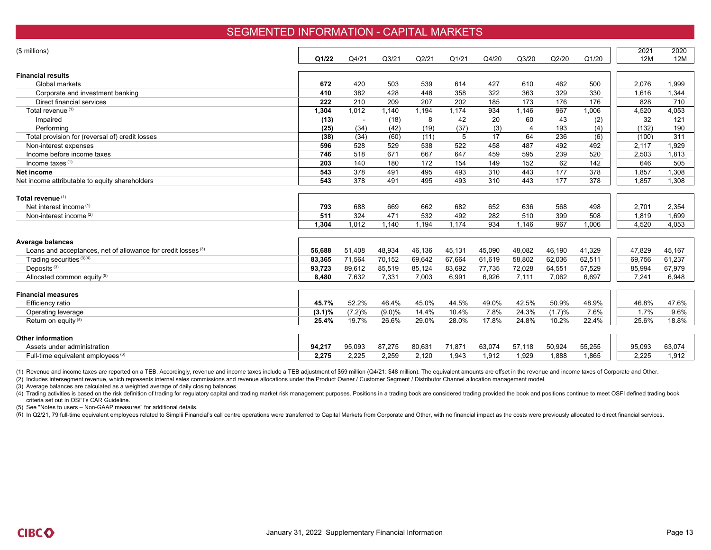#### SEGMENTED INFORMATION - CAPITAL MARKETS

| (\$ millions)<br>2021<br><b>12M</b><br>Q3/20<br>Q2/20<br>Q1/20<br>Q1/22<br>Q4/21<br>Q <sub>3</sub> /21<br>Q2/21<br>Q1/21<br>Q4/20<br><b>Financial results</b><br>672<br>420<br>503<br>539<br>614<br>427<br>610<br>462<br>500<br>2,076<br>Global markets<br>410<br>382<br>428<br>358<br>322<br>363<br>329<br>330<br>Corporate and investment banking<br>448<br>1,616<br>210<br>173<br>Direct financial services<br>222<br>209<br>207<br>202<br>185<br>176<br>176<br>828<br>Total revenue <sup>(1)</sup><br>1,304<br>1.174<br>967<br>4,520<br>1,012<br>1,140<br>1.194<br>934<br>1,146<br>1,006<br>20<br>32<br>(13)<br>42<br>60<br>43<br>(2)<br>(18)<br>8<br>Impaired<br>(37)<br>193<br>Performing<br>(34)<br>(19)<br>(3)<br>$\overline{4}$<br>(4)<br>(132)<br>(25)<br>(42)<br>64<br>236<br>(34)<br>(60)<br>5<br>17<br>(6)<br>Total provision for (reversal of) credit losses<br>(38)<br>(11)<br>(100)<br>596<br>528<br>529<br>538<br>522<br>458<br>487<br>492<br>492<br>2,117<br>Non-interest expenses<br>239<br>520<br>Income before income taxes<br>746<br>518<br>671<br>667<br>647<br>459<br>595<br>2,503<br>Income taxes $(1)$<br>140<br>154<br>149<br>152<br>62<br>142<br>646<br>203<br>180<br>172<br>378<br>177<br>378<br>543<br>491<br>495<br>493<br>310<br>443<br>1,857<br>Net income<br>543<br>$\overline{378}$<br>495<br>493<br>443<br>177<br>378<br>491<br>310<br>1,857<br>Net income attributable to equity shareholders | 2020<br>12M     |
|------------------------------------------------------------------------------------------------------------------------------------------------------------------------------------------------------------------------------------------------------------------------------------------------------------------------------------------------------------------------------------------------------------------------------------------------------------------------------------------------------------------------------------------------------------------------------------------------------------------------------------------------------------------------------------------------------------------------------------------------------------------------------------------------------------------------------------------------------------------------------------------------------------------------------------------------------------------------------------------------------------------------------------------------------------------------------------------------------------------------------------------------------------------------------------------------------------------------------------------------------------------------------------------------------------------------------------------------------------------------------------------------------------------------------------|-----------------|
|                                                                                                                                                                                                                                                                                                                                                                                                                                                                                                                                                                                                                                                                                                                                                                                                                                                                                                                                                                                                                                                                                                                                                                                                                                                                                                                                                                                                                                    |                 |
|                                                                                                                                                                                                                                                                                                                                                                                                                                                                                                                                                                                                                                                                                                                                                                                                                                                                                                                                                                                                                                                                                                                                                                                                                                                                                                                                                                                                                                    |                 |
|                                                                                                                                                                                                                                                                                                                                                                                                                                                                                                                                                                                                                                                                                                                                                                                                                                                                                                                                                                                                                                                                                                                                                                                                                                                                                                                                                                                                                                    |                 |
|                                                                                                                                                                                                                                                                                                                                                                                                                                                                                                                                                                                                                                                                                                                                                                                                                                                                                                                                                                                                                                                                                                                                                                                                                                                                                                                                                                                                                                    | 1,999           |
|                                                                                                                                                                                                                                                                                                                                                                                                                                                                                                                                                                                                                                                                                                                                                                                                                                                                                                                                                                                                                                                                                                                                                                                                                                                                                                                                                                                                                                    | 1,344           |
|                                                                                                                                                                                                                                                                                                                                                                                                                                                                                                                                                                                                                                                                                                                                                                                                                                                                                                                                                                                                                                                                                                                                                                                                                                                                                                                                                                                                                                    | 710             |
|                                                                                                                                                                                                                                                                                                                                                                                                                                                                                                                                                                                                                                                                                                                                                                                                                                                                                                                                                                                                                                                                                                                                                                                                                                                                                                                                                                                                                                    | 4,053           |
|                                                                                                                                                                                                                                                                                                                                                                                                                                                                                                                                                                                                                                                                                                                                                                                                                                                                                                                                                                                                                                                                                                                                                                                                                                                                                                                                                                                                                                    | 121             |
|                                                                                                                                                                                                                                                                                                                                                                                                                                                                                                                                                                                                                                                                                                                                                                                                                                                                                                                                                                                                                                                                                                                                                                                                                                                                                                                                                                                                                                    | 190             |
|                                                                                                                                                                                                                                                                                                                                                                                                                                                                                                                                                                                                                                                                                                                                                                                                                                                                                                                                                                                                                                                                                                                                                                                                                                                                                                                                                                                                                                    | 311             |
|                                                                                                                                                                                                                                                                                                                                                                                                                                                                                                                                                                                                                                                                                                                                                                                                                                                                                                                                                                                                                                                                                                                                                                                                                                                                                                                                                                                                                                    | 1.929           |
|                                                                                                                                                                                                                                                                                                                                                                                                                                                                                                                                                                                                                                                                                                                                                                                                                                                                                                                                                                                                                                                                                                                                                                                                                                                                                                                                                                                                                                    | 1,813           |
|                                                                                                                                                                                                                                                                                                                                                                                                                                                                                                                                                                                                                                                                                                                                                                                                                                                                                                                                                                                                                                                                                                                                                                                                                                                                                                                                                                                                                                    | 505             |
|                                                                                                                                                                                                                                                                                                                                                                                                                                                                                                                                                                                                                                                                                                                                                                                                                                                                                                                                                                                                                                                                                                                                                                                                                                                                                                                                                                                                                                    | 1,308           |
|                                                                                                                                                                                                                                                                                                                                                                                                                                                                                                                                                                                                                                                                                                                                                                                                                                                                                                                                                                                                                                                                                                                                                                                                                                                                                                                                                                                                                                    | 1,308           |
| Total revenue (1)<br>688<br>669<br>652<br>636<br>568<br>498<br>2,701<br>Net interest income (1)<br>793<br>662<br>682                                                                                                                                                                                                                                                                                                                                                                                                                                                                                                                                                                                                                                                                                                                                                                                                                                                                                                                                                                                                                                                                                                                                                                                                                                                                                                               | 2,354           |
| 324<br>492<br>282<br>510<br>399<br>508<br>Non-interest income <sup>(2)</sup><br>511<br>471<br>532<br>1,819                                                                                                                                                                                                                                                                                                                                                                                                                                                                                                                                                                                                                                                                                                                                                                                                                                                                                                                                                                                                                                                                                                                                                                                                                                                                                                                         | 1,699           |
| 934<br>1,304<br>1,012<br>1.194<br>1,174<br>1,146<br>967<br>1,006<br>4,520<br>1,140                                                                                                                                                                                                                                                                                                                                                                                                                                                                                                                                                                                                                                                                                                                                                                                                                                                                                                                                                                                                                                                                                                                                                                                                                                                                                                                                                 | 4,053           |
|                                                                                                                                                                                                                                                                                                                                                                                                                                                                                                                                                                                                                                                                                                                                                                                                                                                                                                                                                                                                                                                                                                                                                                                                                                                                                                                                                                                                                                    |                 |
| Average balances                                                                                                                                                                                                                                                                                                                                                                                                                                                                                                                                                                                                                                                                                                                                                                                                                                                                                                                                                                                                                                                                                                                                                                                                                                                                                                                                                                                                                   |                 |
| 45,090<br>41,329<br>Loans and acceptances, net of allowance for credit losses <sup>(3)</sup><br>56,688<br>51,408<br>48,934<br>46,136<br>45,131<br>48,082<br>46,190<br>47.829                                                                                                                                                                                                                                                                                                                                                                                                                                                                                                                                                                                                                                                                                                                                                                                                                                                                                                                                                                                                                                                                                                                                                                                                                                                       | 45,167          |
| Trading securities (3)(4)<br>67.664<br>61,619<br>58.802<br>62,036<br>62,511<br>83,365<br>71,564<br>70.152<br>69.642<br>69.756                                                                                                                                                                                                                                                                                                                                                                                                                                                                                                                                                                                                                                                                                                                                                                                                                                                                                                                                                                                                                                                                                                                                                                                                                                                                                                      | 61,237          |
| Deposits <sup>(3)</sup><br>77,735<br>57,529<br>93,723<br>89,612<br>85,519<br>85,124<br>83,692<br>72,028<br>64,551<br>85,994                                                                                                                                                                                                                                                                                                                                                                                                                                                                                                                                                                                                                                                                                                                                                                                                                                                                                                                                                                                                                                                                                                                                                                                                                                                                                                        | 67,979          |
| Allocated common equity (5)<br>6,926<br>6,697<br>8.480<br>7,632<br>7,331<br>7,003<br>6,991<br>7,111<br>7,062<br>7.241                                                                                                                                                                                                                                                                                                                                                                                                                                                                                                                                                                                                                                                                                                                                                                                                                                                                                                                                                                                                                                                                                                                                                                                                                                                                                                              | 6,948           |
|                                                                                                                                                                                                                                                                                                                                                                                                                                                                                                                                                                                                                                                                                                                                                                                                                                                                                                                                                                                                                                                                                                                                                                                                                                                                                                                                                                                                                                    |                 |
| <b>Financial measures</b>                                                                                                                                                                                                                                                                                                                                                                                                                                                                                                                                                                                                                                                                                                                                                                                                                                                                                                                                                                                                                                                                                                                                                                                                                                                                                                                                                                                                          |                 |
| 45.7%<br>52.2%<br>45.0%<br>44.5%<br>49.0%<br>42.5%<br>50.9%<br>48.9%<br>46.8%<br>46.4%<br>Efficiency ratio                                                                                                                                                                                                                                                                                                                                                                                                                                                                                                                                                                                                                                                                                                                                                                                                                                                                                                                                                                                                                                                                                                                                                                                                                                                                                                                         | 47.6%           |
| 7.8%<br>Operating leverage<br>(7.2)%<br>14.4%<br>10.4%<br>24.3%<br>7.6%<br>1.7%<br>$(3.1)\%$<br>$(9.0)\%$<br>(1.7)%                                                                                                                                                                                                                                                                                                                                                                                                                                                                                                                                                                                                                                                                                                                                                                                                                                                                                                                                                                                                                                                                                                                                                                                                                                                                                                                | 9.6%            |
| Return on equity (5)<br>19.7%<br>17.8%<br>24.8%<br>22.4%<br>25.4%<br>26.6%<br>29.0%<br>28.0%<br>10.2%<br>25.6%                                                                                                                                                                                                                                                                                                                                                                                                                                                                                                                                                                                                                                                                                                                                                                                                                                                                                                                                                                                                                                                                                                                                                                                                                                                                                                                     | 18.8%           |
|                                                                                                                                                                                                                                                                                                                                                                                                                                                                                                                                                                                                                                                                                                                                                                                                                                                                                                                                                                                                                                                                                                                                                                                                                                                                                                                                                                                                                                    |                 |
| <b>Other information</b>                                                                                                                                                                                                                                                                                                                                                                                                                                                                                                                                                                                                                                                                                                                                                                                                                                                                                                                                                                                                                                                                                                                                                                                                                                                                                                                                                                                                           |                 |
| 94,217<br>95,093<br>87,275<br>80,631<br>71,871<br>63,074<br>57,118<br>50,924<br>55,255<br>95,093<br>Assets under administration                                                                                                                                                                                                                                                                                                                                                                                                                                                                                                                                                                                                                                                                                                                                                                                                                                                                                                                                                                                                                                                                                                                                                                                                                                                                                                    |                 |
| 2,120<br>2.275<br>2.225<br>2,259<br>1,943<br>1,912<br>1,929<br>1.888<br>1,865<br>2.225<br>Full-time equivalent employees (6)                                                                                                                                                                                                                                                                                                                                                                                                                                                                                                                                                                                                                                                                                                                                                                                                                                                                                                                                                                                                                                                                                                                                                                                                                                                                                                       | 63,074<br>1,912 |

(1) Revenue and income taxes are reported on a TEB. Accordingly, revenue and income taxes include a TEB adjustment of \$59 million (Q4/21: \$48 million). The equivalent amounts are offset in the revenue and income taxes of C

(2) Includes intersegment revenue, which represents internal sales commissions and revenue allocations under the Product Owner / Customer Segment / Distributor Channel allocation management model.

(3) Average balances are calculated as a weighted average of daily closing balances.

(4) Trading activities is based on the risk definition of trading for regulatory capital and trading market risk management purposes. Positions in a trading book are considered trading provided the book and positions conti criteria set out in OSFI's CAR Guideline.

(5) See "Notes to users – Non-GAAP measures" for additional details.

(6) In Q2/21, 79 full-time equivalent employees related to Simplii Financial's call centre operations were transferred to Capital Markets from Corporate and Other, with no financial impact as the costs were previously allo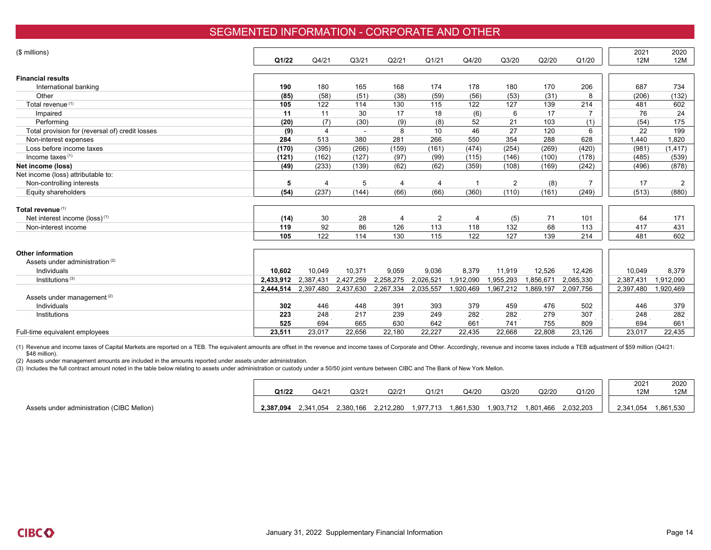### SEGMENTED INFORMATION - CORPORATE AND OTHER

| (\$ millions)                                   |           |                |                    |           |                |           |                |           |                | 2021      | 2020           |
|-------------------------------------------------|-----------|----------------|--------------------|-----------|----------------|-----------|----------------|-----------|----------------|-----------|----------------|
|                                                 | Q1/22     | Q4/21          | Q <sub>3</sub> /21 | Q2/21     | Q1/21          | Q4/20     | Q3/20          | Q2/20     | Q1/20          | 12M       | 12M            |
|                                                 |           |                |                    |           |                |           |                |           |                |           |                |
| <b>Financial results</b>                        |           |                |                    |           |                |           |                |           |                |           |                |
| International banking                           | 190       | 180            | 165                | 168       | 174            | 178       | 180            | 170       | 206            | 687       | 734            |
| Other                                           | (85)      | (58)           | (51)               | (38)      | (59)           | (56)      | (53)           | (31)      | 8              | (206)     | (132)          |
| Total revenue <sup>(1)</sup>                    | 105       | 122            | 114                | 130       | 115            | 122       | 127            | 139       | 214            | 481       | 602            |
| Impaired                                        | 11        | 11             | 30                 | 17        | 18             | (6)       | 6              | 17        | $\overline{7}$ | 76        | 24             |
| Performing                                      | (20)      | (7)            | (30)               | (9)       | (8)            | 52        | 21             | 103       | (1)            | (54)      | 175            |
| Total provision for (reversal of) credit losses | (9)       | $\overline{4}$ | $\sim$             | 8         | 10             | 46        | 27             | 120       | 6              | 22        | 199            |
| Non-interest expenses                           | 284       | 513            | 380                | 281       | 266            | 550       | 354            | 288       | 628            | 1,440     | 1,820          |
| Loss before income taxes                        | (170)     | (395)          | (266)              | (159)     | (161)          | (474)     | (254)          | (269)     | (420)          | (981)     | (1, 417)       |
| Income taxes <sup>(1)</sup>                     | (121)     | (162)          | (127)              | (97)      | (99)           | (115)     | (146)          | (100)     | (178)          | (485)     | (539)          |
| Net income (loss)                               | (49)      | (233)          | (139)              | (62)      | (62)           | (359)     | (108)          | (169)     | (242)          | (496)     | (878)          |
| Net income (loss) attributable to:              |           |                |                    |           |                |           |                |           |                |           |                |
| Non-controlling interests                       | 5         | $\overline{4}$ | 5                  | 4         | $\overline{4}$ |           | $\overline{2}$ | (8)       |                | 17        | $\overline{2}$ |
| Equity shareholders                             | (54)      | (237)          | (144)              | (66)      | (66)           | (360)     | (110)          | (161)     | (249)          | (513)     | (880)          |
|                                                 |           |                |                    |           |                |           |                |           |                |           |                |
| Total revenue <sup>(1)</sup>                    |           |                |                    |           |                |           |                |           |                |           |                |
| Net interest income (loss) <sup>(1)</sup>       | (14)      | 30             | 28                 | 4         | $\overline{2}$ | 4         | (5)            | 71        | 101            | 64        | 171            |
| Non-interest income                             | 119       | 92             | 86                 | 126       | 113            | 118       | 132            | 68        | 113            | 417       | 431            |
|                                                 | 105       | 122            | 114                | 130       | 115            | 122       | 127            | 139       | 214            | 481       | 602            |
|                                                 |           |                |                    |           |                |           |                |           |                |           |                |
| <b>Other information</b>                        |           |                |                    |           |                |           |                |           |                |           |                |
| Assets under administration <sup>(2)</sup>      |           |                |                    |           |                |           |                |           |                |           |                |
| Individuals                                     | 10.602    | 10.049         | 10,371             | 9.059     | 9,036          | 8,379     | 11,919         | 12,526    | 12,426         | 10,049    | 8,379          |
| Institutions <sup>(3)</sup>                     | 2,433,912 | 2,387,431      | 2,427,259          | 2,258,275 | 2,026,521      | 1,912,090 | 1,955,293      | 1,856,671 | 2,085,330      | 2,387,431 | ,912,090       |
|                                                 | 2,444,514 | 2,397,480      | 2,437,630          | 2,267,334 | 2,035,557      | 1,920,469 | 1,967,212      | ,869,197  | 2,097,756      | 2,397,480 | ,920,469       |
| Assets under management <sup>(2)</sup>          |           |                |                    |           |                |           |                |           |                |           |                |
| Individuals                                     | 302       | 446            | 448                | 391       | 393            | 379       | 459            | 476       | 502            | 446       | 379            |
| Institutions                                    | 223       | 248            | 217                | 239       | 249            | 282       | 282            | 279       | 307            | 248       | 282            |
|                                                 | 525       | 694            | 665                | 630       | 642            | 661       | 741            | 755       | 809            | 694       | 661            |
| Full-time equivalent employees                  | 23,511    | 23,017         | 22,656             | 22,180    | 22,227         | 22,435    | 22,668         | 22,808    | 23,126         | 23,017    | 22,435         |

(1) Revenue and income taxes of Capital Markets are reported on a TEB. The equivalent amounts are offset in the revenue and income taxes of Corporate and Other. Accordingly, revenue and income taxes include a TEB adjustmen \$48 million).

(2) Assets under management amounts are included in the amounts reported under assets under administration.

(3) Includes the full contract amount noted in the table below relating to assets under administration or custody under a 50/50 joint venture between CIBC and The Bank of New York Mellon.

|                                           | Q1/22     | Q4/21     | Q3/21     | Q2/21     | Q1/21    | Q4/20     | Q3/20     | Q2/20     | Q1/20     | 2021<br>12 <sub>N</sub> | 2020<br><b>12M</b> |  |
|-------------------------------------------|-----------|-----------|-----------|-----------|----------|-----------|-----------|-----------|-----------|-------------------------|--------------------|--|
| Assets under administration (CIBC Mellon) | 2,387,094 | 2,341,054 | 2,380,166 | 2.212.280 | ,977,713 | 1,861,530 | 1,903,712 | 1,801,466 | 2.032.203 | 2,341,054               | 1,861,530          |  |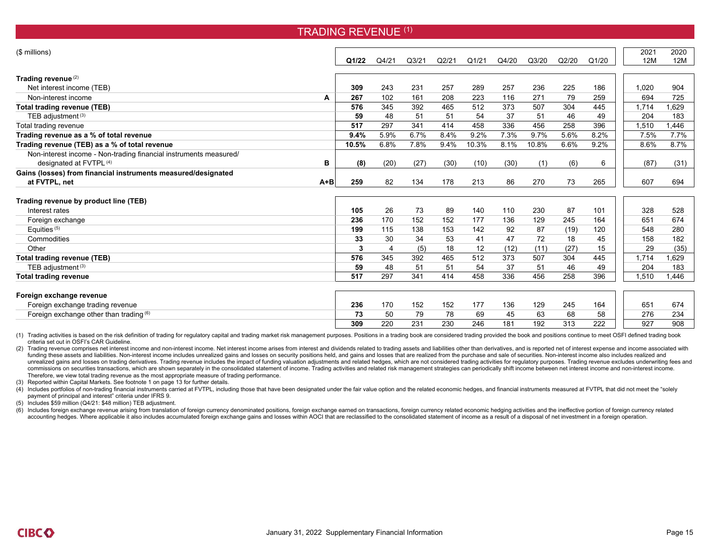| (\$ millions)                                                     |         |       |                |                    |                    |       |       |       |       |       | 2021  | 2020  |
|-------------------------------------------------------------------|---------|-------|----------------|--------------------|--------------------|-------|-------|-------|-------|-------|-------|-------|
|                                                                   |         | Q1/22 | Q4/21          | Q <sub>3</sub> /21 | Q <sub>2</sub> /21 | Q1/21 | Q4/20 | Q3/20 | Q2/20 | Q1/20 | 12M   | 12M   |
|                                                                   |         |       |                |                    |                    |       |       |       |       |       |       |       |
| Trading revenue <sup>(2)</sup>                                    |         |       |                |                    |                    |       |       |       |       |       |       |       |
| Net interest income (TEB)                                         |         | 309   | 243            | 231                | 257                | 289   | 257   | 236   | 225   | 186   | 1,020 | 904   |
| Non-interest income                                               | A       | 267   | 102            | 161                | 208                | 223   | 116   | 271   | 79    | 259   | 694   | 725   |
| <b>Total trading revenue (TEB)</b>                                |         | 576   | 345            | 392                | 465                | 512   | 373   | 507   | 304   | 445   | 1,714 | 1.629 |
| TEB adjustment (3)                                                |         | 59    | 48             | 51                 | 51                 | 54    | 37    | 51    | 46    | 49    | 204   | 183   |
| Total trading revenue                                             |         | 517   | 297            | 341                | 414                | 458   | 336   | 456   | 258   | 396   | 1,510 | 1.446 |
| Trading revenue as a % of total revenue                           |         | 9.4%  | 5.9%           | 6.7%               | 8.4%               | 9.2%  | 7.3%  | 9.7%  | 5.6%  | 8.2%  | 7.5%  | 7.7%  |
| Trading revenue (TEB) as a % of total revenue                     |         | 10.5% | 6.8%           | 7.8%               | 9.4%               | 10.3% | 8.1%  | 10.8% | 6.6%  | 9.2%  | 8.6%  | 8.7%  |
| Non-interest income - Non-trading financial instruments measured/ |         |       |                |                    |                    |       |       |       |       |       |       |       |
| designated at FVTPL (4)                                           | в       | (8)   | (20)           | (27)               | (30)               | (10)  | (30)  | (1)   | (6)   | 6     | (87)  | (31)  |
| Gains (losses) from financial instruments measured/designated     |         |       |                |                    |                    |       |       |       |       |       |       |       |
| at FVTPL, net                                                     | $A + B$ | 259   | 82             | 134                | 178                | 213   | 86    | 270   | 73    | 265   | 607   | 694   |
|                                                                   |         |       |                |                    |                    |       |       |       |       |       |       |       |
| Trading revenue by product line (TEB)<br>Interest rates           |         |       |                | 73                 |                    |       |       |       |       |       | 328   |       |
|                                                                   |         | 105   | 26             |                    | 89                 | 140   | 110   | 230   | 87    | 101   |       | 528   |
| Foreign exchange                                                  |         | 236   | 170            | 152                | 152                | 177   | 136   | 129   | 245   | 164   | 651   | 674   |
| Equities <sup>(5)</sup>                                           |         | 199   | 115            | 138                | 153                | 142   | 92    | 87    | (19)  | 120   | 548   | 280   |
| Commodities                                                       |         | 33    | 30             | 34                 | 53                 | 41    | 47    | 72    | 18    | 45    | 158   | 182   |
| Other                                                             |         | 3     | $\overline{4}$ | (5)                | 18                 | 12    | (12)  | (11)  | (27)  | 15    | 29    | (35)  |
| <b>Total trading revenue (TEB)</b>                                |         | 576   | 345            | 392                | 465                | 512   | 373   | 507   | 304   | 445   | 1,714 | 1,629 |
| TEB adjustment (3)                                                |         | 59    | 48             | 51                 | 51                 | 54    | 37    | 51    | 46    | 49    | 204   | 183   |
| <b>Total trading revenue</b>                                      |         | 517   | 297            | 341                | 414                | 458   | 336   | 456   | 258   | 396   | 1,510 | 1.446 |
|                                                                   |         |       |                |                    |                    |       |       |       |       |       |       |       |
| Foreign exchange revenue                                          |         |       |                |                    |                    |       |       |       |       |       |       |       |
| Foreign exchange trading revenue                                  |         | 236   | 170            | 152                | 152                | 177   | 136   | 129   | 245   | 164   | 651   | 674   |
| Foreign exchange other than trading (6)                           |         | 73    | 50             | 79                 | 78                 | 69    | 45    | 63    | 68    | 58    | 276   | 234   |
|                                                                   |         | 309   | 220            | 231                | 230                | 246   | 181   | 192   | 313   | 222   | 927   | 908   |

TRADING REVENUE (1)

(1) Trading activities is based on the risk definition of trading for regulatory capital and trading market risk management purposes. Positions in a trading book are considered trading provided the book and positions conti criteria set out in OSFI's CAR Guideline.

(2) Trading revenue comprises net interest income and non-interest income. Net interest income arises from interest and dividends related to trading assets and liabilities other than derivatives, and is reported net of int funding these assets and liabilities. Non-interest income includes unrealized gains and losses on security positions held, and gains and losses that are realized from the purchase and sale of securities. Non-interest incom unrealized gains and losses on trading derivatives. Trading revenue includes the impact of funding valuation adjustments and related hedges, which are not considered trading activities for regulatory purposes. Trading reve commissions on securities transactions, which are shown separately in the consolidated statement of income. Trading activities and related risk management strategies can periodically shift income between net interest incom Therefore, we view total trading revenue as the most appropriate measure of trading performance.

(3) Reported within Capital Markets. See footnote 1 on page 13 for further details.

(4) Includes portfolios of non-trading financial instruments carried at FVTPL, including those that have been designated under the fair value option and the related economic hedges, and financial instruments measured at FV payment of principal and interest" criteria under IFRS 9.

(5) Includes \$59 million (Q4/21: \$48 million) TEB adjustment.

(6) Includes foreign exchange revenue arising from translation of foreign currency denominated positions, foreign exchange earned on transactions, foreign currency related economic hedging activities and the ineffective po accounting hedges. Where applicable it also includes accumulated foreign exchange gains and losses within AOCI that are reclassified to the consolidated statement of income as a result of a disposal of net investment in a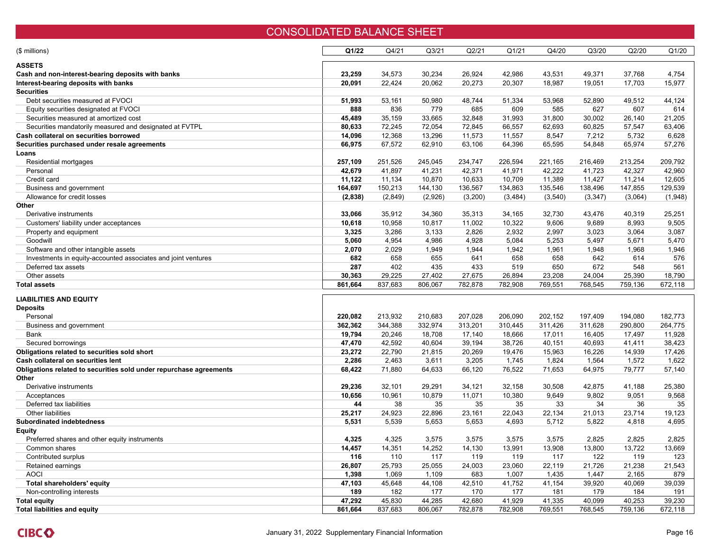### CONSOLIDATED BALANCE SHEET

| (\$ millions)                                                      | Q1/22   | Q4/21   | Q <sub>3</sub> /21 | Q2/21   | Q1/21   | Q4/20    | Q3/20    | Q2/20   | Q1/20   |
|--------------------------------------------------------------------|---------|---------|--------------------|---------|---------|----------|----------|---------|---------|
| ASSETS                                                             |         |         |                    |         |         |          |          |         |         |
| Cash and non-interest-bearing deposits with banks                  | 23,259  | 34,573  | 30,234             | 26,924  | 42,986  | 43,531   | 49,371   | 37,768  | 4,754   |
| Interest-bearing deposits with banks                               | 20,091  | 22,424  | 20,062             | 20,273  | 20,307  | 18,987   | 19,051   | 17,703  | 15,977  |
| <b>Securities</b>                                                  |         |         |                    |         |         |          |          |         |         |
| Debt securities measured at FVOCI                                  | 51,993  | 53,161  | 50,980             | 48,744  | 51,334  | 53,968   | 52,890   | 49,512  | 44,124  |
| Equity securities designated at FVOCI                              | 888     | 836     | 779                | 685     | 609     | 585      | 627      | 607     | 614     |
| Securities measured at amortized cost                              | 45,489  | 35,159  | 33,665             | 32,848  | 31,993  | 31,800   | 30,002   | 26,140  | 21,205  |
| Securities mandatorily measured and designated at FVTPL            | 80,633  | 72,245  | 72,054             | 72,845  | 66,557  | 62,693   | 60,825   | 57,547  | 63,406  |
| Cash collateral on securities borrowed                             | 14,096  | 12,368  | 13,296             | 11,573  | 11,557  | 8,547    | 7,212    | 5,732   | 6,628   |
| Securities purchased under resale agreements                       | 66,975  | 67,572  | 62,910             | 63,106  | 64,396  | 65,595   | 54,848   | 65,974  | 57,276  |
| Loans                                                              |         |         |                    |         |         |          |          |         |         |
| Residential mortgages                                              | 257,109 | 251,526 | 245,045            | 234,747 | 226,594 | 221,165  | 216,469  | 213,254 | 209,792 |
| Personal                                                           | 42,679  | 41,897  | 41,231             | 42,371  | 41,971  | 42,222   | 41,723   | 42,327  | 42,960  |
| Credit card                                                        | 11,122  | 11,134  | 10.870             | 10,633  | 10,709  | 11,389   | 11,427   | 11,214  | 12,605  |
| Business and government                                            | 164,697 | 150,213 | 144,130            | 136,567 | 134,863 | 135,546  | 138,496  | 147,855 | 129,539 |
| Allowance for credit losses                                        | (2,838) | (2,849) | (2,926)            | (3,200) | (3,484) | (3, 540) | (3, 347) | (3,064) | (1,948) |
| Other                                                              |         |         |                    |         |         |          |          |         |         |
| Derivative instruments                                             | 33,066  | 35,912  | 34,360             | 35,313  | 34,165  | 32,730   | 43,476   | 40,319  | 25,251  |
| Customers' liability under acceptances                             | 10,618  | 10,958  | 10,817             | 11,002  | 10,322  | 9,606    | 9,689    | 8,993   | 9,505   |
| Property and equipment                                             | 3,325   | 3,286   | 3,133              | 2,826   | 2,932   | 2,997    | 3,023    | 3,064   | 3,087   |
| Goodwill                                                           | 5,060   | 4,954   | 4,986              | 4,928   | 5,084   | 5,253    | 5,497    | 5,671   | 5,470   |
| Software and other intangible assets                               | 2,070   | 2,029   | 1,949              | 1,944   | 1,942   | 1,961    | 1,948    | 1,968   | 1,946   |
| Investments in equity-accounted associates and joint ventures      | 682     | 658     | 655                | 641     | 658     | 658      | 642      | 614     | 576     |
| Deferred tax assets                                                | 287     | 402     | 435                | 433     | 519     | 650      | 672      | 548     | 561     |
| Other assets                                                       | 30,363  | 29,225  | 27,402             | 27,675  | 26,894  | 23,208   | 24,004   | 25,390  | 18,790  |
| <b>Total assets</b>                                                | 861,664 | 837,683 | 806,067            | 782,878 | 782,908 | 769,551  | 768,545  | 759,136 | 672,118 |
|                                                                    |         |         |                    |         |         |          |          |         |         |
| LIABILITIES AND EQUITY                                             |         |         |                    |         |         |          |          |         |         |
| <b>Deposits</b>                                                    |         |         |                    |         |         |          |          |         |         |
| Personal                                                           | 220,082 | 213,932 | 210,683            | 207,028 | 206,090 | 202,152  | 197,409  | 194,080 | 182,773 |
| Business and government                                            | 362,362 | 344,388 | 332,974            | 313,201 | 310,445 | 311,426  | 311,628  | 290,800 | 264,775 |
| Bank                                                               | 19,794  | 20,246  | 18,708             | 17,140  | 18,666  | 17,011   | 16,405   | 17,497  | 11,928  |
| Secured borrowings                                                 | 47,470  | 42,592  | 40.604             | 39,194  | 38,726  | 40,151   | 40,693   | 41,411  | 38,423  |
| Obligations related to securities sold short                       | 23,272  | 22,790  | 21,815             | 20,269  | 19,476  | 15,963   | 16,226   | 14,939  | 17,426  |
| Cash collateral on securities lent                                 | 2,286   | 2,463   | 3,611              | 3,205   | 1,745   | 1,824    | 1,564    | 1,572   | 1,622   |
| Obligations related to securities sold under repurchase agreements | 68,422  | 71,880  | 64,633             | 66,120  | 76,522  | 71,653   | 64,975   | 79,777  | 57,140  |
| Other                                                              |         |         |                    |         |         |          |          |         |         |
| Derivative instruments                                             | 29,236  | 32,101  | 29,291             | 34,121  | 32,158  | 30,508   | 42,875   | 41,188  | 25,380  |
| Acceptances                                                        | 10,656  | 10,961  | 10,879             | 11,071  | 10,380  | 9,649    | 9,802    | 9,051   | 9,568   |
| Deferred tax liabilities                                           | 44      | 38      | 35                 | 35      | 35      | 33       | 34       | 36      | 35      |
| Other liabilities                                                  | 25,217  | 24,923  | 22,896             | 23,161  | 22,043  | 22,134   | 21,013   | 23,714  | 19,123  |
| Subordinated indebtedness                                          | 5,531   | 5,539   | 5,653              | 5,653   | 4,693   | 5,712    | 5,822    | 4,818   | 4,695   |
| Equity                                                             |         |         |                    |         |         |          |          |         |         |
| Preferred shares and other equity instruments                      | 4,325   | 4,325   | 3,575              | 3,575   | 3,575   | 3,575    | 2,825    | 2,825   | 2,825   |
| Common shares                                                      | 14,457  | 14,351  | 14,252             | 14,130  | 13,991  | 13,908   | 13,800   | 13,722  | 13,669  |
| Contributed surplus                                                | 116     | 110     | 117                | 119     | 119     | 117      | 122      | 119     | 123     |
| Retained earnings                                                  | 26,807  | 25,793  | 25,055             | 24,003  | 23,060  | 22,119   | 21,726   | 21,238  | 21,543  |
| <b>AOCI</b>                                                        | 1,398   | 1,069   | 1,109              | 683     | 1,007   | 1,435    | 1,447    | 2,165   | 879     |
| Total shareholders' equity                                         | 47,103  | 45,648  | 44,108             | 42,510  | 41,752  | 41,154   | 39,920   | 40,069  | 39,039  |
| Non-controlling interests                                          | 189     | 182     | 177                | 170     | 177     | 181      | 179      | 184     | 191     |
| Total equity                                                       | 47,292  | 45,830  | 44,285             | 42,680  | 41,929  | 41,335   | 40,099   | 40,253  | 39,230  |
| <b>Total liabilities and equity</b>                                | 861,664 | 837,683 | 806,067            | 782,878 | 782,908 | 769,551  | 768,545  | 759,136 | 672,118 |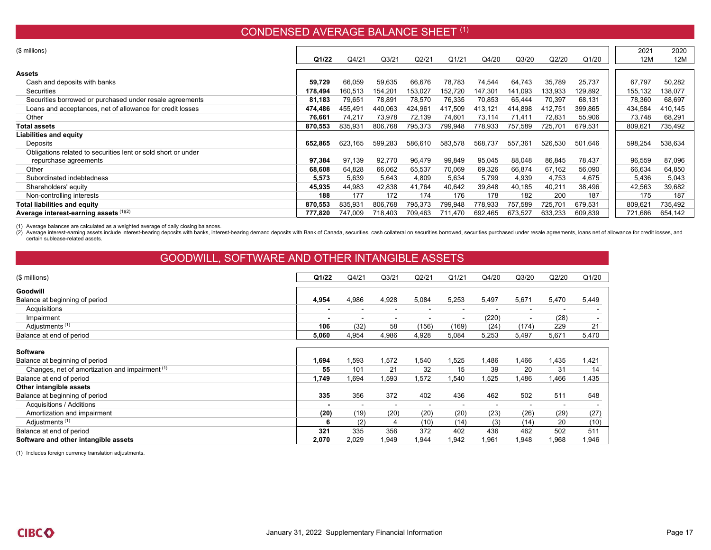## CONDENSED AVERAGE BALANCE SHEET <sup>(1)</sup>

| (\$ millions)                                                 |         |         |                   |         |         |         |                    |         |         | 2021    | 2020    |
|---------------------------------------------------------------|---------|---------|-------------------|---------|---------|---------|--------------------|---------|---------|---------|---------|
|                                                               |         |         |                   |         |         |         |                    |         |         |         |         |
|                                                               | Q1/22   | Q4/21   | Q <sub>3/21</sub> | Q2/21   | Q1/21   | Q4/20   | Q3/20              | Q2/20   | Q1/20   | 12M     | 12M     |
| <b>Assets</b>                                                 |         |         |                   |         |         |         |                    |         |         |         |         |
| Cash and deposits with banks                                  | 59,729  | 66,059  | 59,635            | 66,676  | 78,783  | 74,544  | 64,743             | 35,789  | 25,737  | 67,797  | 50,282  |
| <b>Securities</b>                                             | 178,494 | 160,513 | 154.201           | 153,027 | 152,720 | 147,301 | 141,093            | 133,933 | 129,892 | 155,132 | 138,077 |
| Securities borrowed or purchased under resale agreements      | 81,183  | 79,651  | 78,891            | 78,570  | 76,335  | 70,853  | 65,444             | 70,397  | 68,131  | 78,360  | 68,697  |
| Loans and acceptances, net of allowance for credit losses     | 474,486 | 455,491 | 440,063           | 424,961 | 417,509 | 413,121 | 414,898            | 412,751 | 399,865 | 434,584 | 410,145 |
| Other                                                         | 76,661  | 74,217  | 73,978            | 72,139  | 74,601  | 73,114  | 71,41 <sup>.</sup> | 72,831  | 55,906  | 73,748  | 68,291  |
| <b>Total assets</b>                                           | 870,553 | 835,931 | 806,768           | 795,373 | 799,948 | 778,933 | 757,589            | 725,701 | 679,531 | 809,621 | 735,492 |
| <b>Liabilities and equity</b>                                 |         |         |                   |         |         |         |                    |         |         |         |         |
| Deposits                                                      | 652,865 | 623,165 | 599,283           | 586,610 | 583,578 | 568,737 | 557,361            | 526,530 | 501,646 | 598,254 | 538,634 |
| Obligations related to securities lent or sold short or under |         |         |                   |         |         |         |                    |         |         |         |         |
| repurchase agreements                                         | 97,384  | 97,139  | 92,770            | 96,479  | 99,849  | 95,045  | 88,048             | 86,845  | 78,437  | 96,559  | 87,096  |
| Other                                                         | 68,608  | 64,828  | 66,062            | 65,537  | 70,069  | 69,326  | 66,874             | 67,162  | 56,090  | 66,634  | 64,850  |
| Subordinated indebtedness                                     | 5,573   | 5,639   | 5,643             | 4,809   | 5,634   | 5,799   | 4,939              | 4,753   | 4,675   | 5,436   | 5,043   |
| Shareholders' equity                                          | 45,935  | 44,983  | 42,838            | 41,764  | 40,642  | 39,848  | 40,185             | 40,211  | 38,496  | 42,563  | 39,682  |
| Non-controlling interests                                     | 188     | 177     | 172               | 174     | 176     | 178     | 182                | 200     | 187     | 175     | 187     |
| <b>Total liabilities and equity</b>                           | 870,553 | 835,931 | 806,768           | 795,373 | 799,948 | 778,933 | 757,589            | 725,701 | 679,531 | 809,621 | 735,492 |
| Average interest-earning assets (1)(2)                        | 777,820 | 747,009 | 718,403           | 709,463 | 711.470 | 692,465 | 673,527            | 633,233 | 609,839 | 721,686 | 654,142 |

(1) Average balances are calculated as a weighted average of daily closing balances.

(2) Average interest-earning assets include interest-bearing deposits with banks, interest-bearing demand deposits with Bank of Canada, securities, cash collateral on securities borrowed, securities purchased under resale certain sublease-related assets.

# GOODWILL, SOFTWARE AND OTHER INTANGIBLE ASSETS

| (\$ millions)                                   | Q1/22 | Q4/21 | Q <sub>3</sub> /21 | Q2/21                    | Q1/21                    | Q4/20 | Q3/20          | Q2/20 | Q1/20 |
|-------------------------------------------------|-------|-------|--------------------|--------------------------|--------------------------|-------|----------------|-------|-------|
| Goodwill                                        |       |       |                    |                          |                          |       |                |       |       |
| Balance at beginning of period                  | 4,954 | 4,986 | 4,928              | 5,084                    | 5,253                    | 5,497 | 5,671          | 5,470 | 5,449 |
| Acquisitions                                    |       |       |                    | -                        | ٠                        |       |                |       |       |
| Impairment                                      |       |       | $\blacksquare$     | $\overline{\phantom{a}}$ | $\blacksquare$           | (220) | $\blacksquare$ | (28)  |       |
| Adjustments <sup>(1)</sup>                      | 106   | (32)  | 58                 | (156)                    | (169)                    | (24)  | (174)          | 229   | 21    |
| Balance at end of period                        | 5,060 | 4,954 | 4,986              | 4,928                    | 5,084                    | 5,253 | 5,497          | 5,671 | 5,470 |
| <b>Software</b>                                 |       |       |                    |                          |                          |       |                |       |       |
| Balance at beginning of period                  | 1,694 | 1,593 | 1,572              | ,540                     | 1,525                    | A86,  | A66,           | 1,435 | 1,421 |
| Changes, net of amortization and impairment (1) | 55    | 101   | 21                 | 32                       | 15                       | 39    | 20             | 31    | 14    |
| Balance at end of period                        | 1,749 | .694  | 1,593              | ,572                     | ,540                     | ,525  | ,486           | .466  | 1,435 |
| Other intangible assets                         |       |       |                    |                          |                          |       |                |       |       |
| Balance at beginning of period                  | 335   | 356   | 372                | 402                      | 436                      | 462   | 502            | 511   | 548   |
| Acquisitions / Additions                        |       |       |                    |                          | $\overline{\phantom{0}}$ |       |                |       |       |
| Amortization and impairment                     | (20)  | (19)  | (20)               | (20)                     | (20)                     | (23)  | (26)           | (29)  | (27)  |
| Adjustments <sup>(1)</sup>                      | 6     | (2)   | 4                  | (10)                     | (14)                     | (3)   | (14)           | 20    | (10)  |
| Balance at end of period                        | 321   | 335   | 356                | 372                      | 402                      | 436   | 462            | 502   | 511   |
| Software and other intangible assets            | 2,070 | 2,029 | 1,949              | ,944                     | .942                     | ,961  | ,948           | .968  | 1,946 |

(1) Includes foreign currency translation adjustments.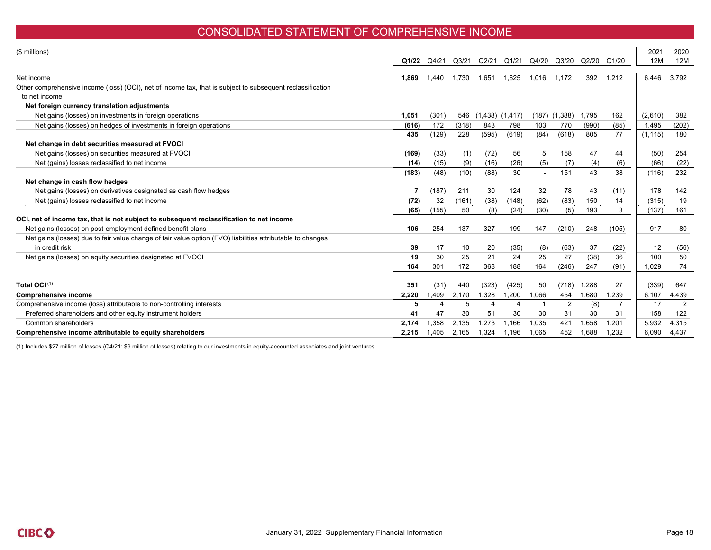### CONSOLIDATED STATEMENT OF COMPREHENSIVE INCOME

| (\$ millions)                                                                                                               | Q1/22 | Q4/21 | Q3/21 | Q2/21               | Q1/21 | Q4/20  | Q3/20             | Q2/20 | Q1/20 | 2021<br>12M | 2020<br>12M |
|-----------------------------------------------------------------------------------------------------------------------------|-------|-------|-------|---------------------|-------|--------|-------------------|-------|-------|-------------|-------------|
| Net income                                                                                                                  | 1.869 | 1,440 | .730  | 1.651               | 1.625 | 1,016  | 1.172             | 392   | 1,212 | 6.446       | 3,792       |
| Other comprehensive income (loss) (OCI), net of income tax, that is subject to subsequent reclassification<br>to net income |       |       |       |                     |       |        |                   |       |       |             |             |
| Net foreign currency translation adjustments                                                                                |       |       |       |                     |       |        |                   |       |       |             |             |
| Net gains (losses) on investments in foreign operations                                                                     | 1,051 | (301) | 546   | $(1,438)$ $(1,417)$ |       |        | $(187)$ $(1,388)$ | 1,795 | 162   | (2,610)     | 382         |
| Net gains (losses) on hedges of investments in foreign operations                                                           | (616) | 172   | (318) | 843                 | 798   | 103    | 770               | (990) | (85)  | 1,495       | (202)       |
|                                                                                                                             | 435   | (129) | 228   | (595)               | (619) | (84)   | (618)             | 805   | 77    | (1, 115)    | 180         |
| Net change in debt securities measured at FVOCI                                                                             |       |       |       |                     |       |        |                   |       |       |             |             |
| Net gains (losses) on securities measured at FVOCI                                                                          | (169) | (33)  | (1)   | (72)                | 56    | 5      | 158               | 47    | 44    | (50)        | 254         |
| Net (gains) losses reclassified to net income                                                                               | (14)  | (15)  | (9)   | (16)                | (26)  | (5)    | (7)               | (4)   | (6)   | (66)        | (22)        |
|                                                                                                                             | (183) | (48)  | (10)  | (88)                | 30    | $\sim$ | 151               | 43    | 38    | (116)       | 232         |
| Net change in cash flow hedges                                                                                              |       |       |       |                     |       |        |                   |       |       |             |             |
| Net gains (losses) on derivatives designated as cash flow hedges                                                            |       | (187) | 211   | 30                  | 124   | 32     | 78                | 43    | (11)  | 178         | 142         |
| Net (gains) losses reclassified to net income                                                                               | (72)  | 32    | (161) | (38)                | (148) | (62)   | (83)              | 150   | 14    | (315)       | 19          |
|                                                                                                                             | (65)  | (155) | 50    | (8)                 | (24)  | (30)   | (5)               | 193   | 3     | (137)       | 161         |
| OCI, net of income tax, that is not subject to subsequent reclassification to net income                                    |       |       |       |                     |       |        |                   |       |       |             |             |
| Net gains (losses) on post-employment defined benefit plans                                                                 | 106   | 254   | 137   | 327                 | 199   | 147    | (210)             | 248   | (105) | 917         | 80          |
| Net gains (losses) due to fair value change of fair value option (FVO) liabilities attributable to changes                  |       |       |       |                     |       |        |                   |       |       |             |             |
| in credit risk                                                                                                              | 39    | 17    | 10    | 20                  | (35)  | (8)    | (63)              | 37    | (22)  | 12          | (56)        |
| Net gains (losses) on equity securities designated at FVOCI                                                                 | 19    | 30    | 25    | 21                  | 24    | 25     | 27                | (38)  | 36    | 100         | 50          |
|                                                                                                                             | 164   | 301   | 172   | 368                 | 188   | 164    | (246)             | 247   | (91)  | 1,029       | 74          |
|                                                                                                                             |       |       |       |                     |       |        |                   |       |       |             |             |
| Total OCI(1)                                                                                                                | 351   | (31)  | 440   | (323)               | (425) | 50     | (718)             | 1,288 | 27    | (339)       | 647         |
| <b>Comprehensive income</b>                                                                                                 | 2,220 | 1.409 | 2,170 | 1,328               | 1,200 | 1,066  | 454               | 1.680 | .239  | 6.107       | 4,439       |
| Comprehensive income (loss) attributable to non-controlling interests                                                       | 5     |       | 5     | 4                   | 4     |        | 2                 | (8)   | 7     | 17          | 2           |
| Preferred shareholders and other equity instrument holders                                                                  | 41    | 47    | 30    | 51                  | 30    | 30     | 31                | 30    | 31    | 158         | 122         |
| Common shareholders                                                                                                         | 2.174 | 1,358 | 2,135 | 1,273               | 1.166 | 1,035  | 421               | 1.658 | .201  | 5,932       | 4,315       |
| Comprehensive income attributable to equity shareholders                                                                    | 2,215 | 1,405 | 2,165 | 1.324               | 1.196 | 1,065  | 452               | 1.688 | .232  | 6.090       | 4,437       |

(1) Includes \$27 million of losses (Q4/21: \$9 million of losses) relating to our investments in equity-accounted associates and joint ventures.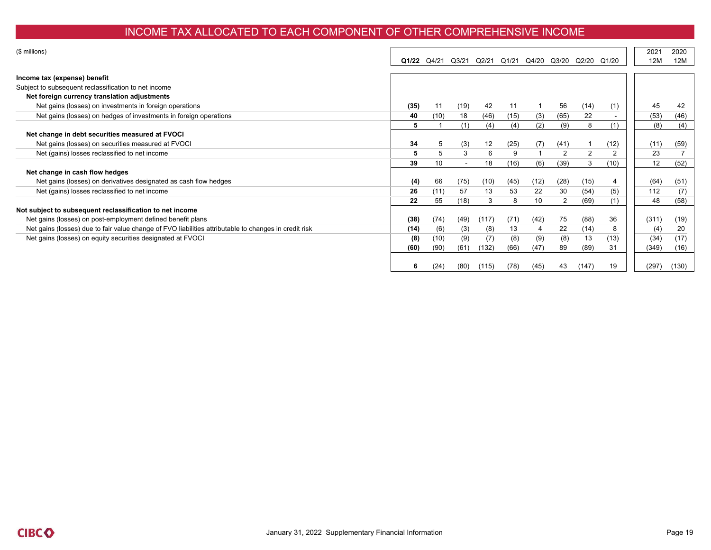### INCOME TAX ALLOCATED TO EACH COMPONENT OF OTHER COMPREHENSIVE INCOME

| (\$ millions)                                                                                         |       |       |       |       |       |       |                |       |                | 2021  | 2020  |
|-------------------------------------------------------------------------------------------------------|-------|-------|-------|-------|-------|-------|----------------|-------|----------------|-------|-------|
|                                                                                                       | Q1/22 | Q4/21 | Q3/21 | Q2/21 | Q1/21 | Q4/20 | Q3/20 Q2/20    |       | Q1/20          | 12M   | 12M   |
|                                                                                                       |       |       |       |       |       |       |                |       |                |       |       |
| Income tax (expense) benefit                                                                          |       |       |       |       |       |       |                |       |                |       |       |
| Subject to subsequent reclassification to net income                                                  |       |       |       |       |       |       |                |       |                |       |       |
| Net foreign currency translation adjustments                                                          |       |       |       |       |       |       |                |       |                |       |       |
| Net gains (losses) on investments in foreign operations                                               | (35)  | 11    | (19)  | 42    | 11    |       | 56             | (14)  | (1)            | 45    | 42    |
| Net gains (losses) on hedges of investments in foreign operations                                     | 40    | (10)  | 18    | (46)  | (15)  | (3)   | (65)           | 22    |                | (53)  | (46)  |
|                                                                                                       | 5     |       | (1)   | (4)   | (4)   | (2)   | (9)            | 8     | (1)            | (8)   | (4)   |
| Net change in debt securities measured at FVOCI                                                       |       |       |       |       |       |       |                |       |                |       |       |
| Net gains (losses) on securities measured at FVOCI                                                    | 34    | 5     | (3)   | 12    | (25)  | (7)   | (41)           |       | (12)           | (11)  | (59)  |
| Net (gains) losses reclassified to net income                                                         | 5     | 5     | 3     | 6     | 9     |       | $\overline{2}$ | 2     | $\overline{2}$ | 23    |       |
|                                                                                                       | 39    | 10    |       | 18    | (16)  | (6)   | (39)           | 3     | (10)           | 12    | (52)  |
| Net change in cash flow hedges                                                                        |       |       |       |       |       |       |                |       |                |       |       |
| Net gains (losses) on derivatives designated as cash flow hedges                                      | (4)   | 66    | (75)  | (10)  | (45)  | (12)  | (28)           | (15)  | 4              | (64)  | (51)  |
| Net (gains) losses reclassified to net income                                                         | 26    | (11)  | 57    | 13    | 53    | 22    | 30             | (54)  | (5)            | 112   | (7)   |
|                                                                                                       | 22    | 55    | (18)  | 3     | 8     | 10    | 2              | (69)  | (1)            | 48    | (58)  |
| Not subject to subsequent reclassification to net income                                              |       |       |       |       |       |       |                |       |                |       |       |
| Net gains (losses) on post-employment defined benefit plans                                           | (38)  | (74)  | (49)  | (117) | (71)  | (42)  | 75             | (88)  | 36             | (311) | (19)  |
| Net gains (losses) due to fair value change of FVO liabilities attributable to changes in credit risk | (14)  | (6)   | (3)   | (8)   | 13    |       | 22             | (14)  | 8              | (4)   | 20    |
| Net gains (losses) on equity securities designated at FVOCI                                           | (8)   | (10)  | (9)   | (7)   | (8)   | (9)   | (8)            | 13    | (13)           | (34)  | (17)  |
|                                                                                                       | (60)  | (90)  | (61)  | (132) | (66)  | (47)  | 89             | (89)  | 31             | (349) | (16)  |
|                                                                                                       |       |       |       |       |       |       |                |       |                |       |       |
|                                                                                                       | 6     | (24)  | (80)  | (115) | (78)  | (45)  | 43             | (147) | 19             | (297) | (130) |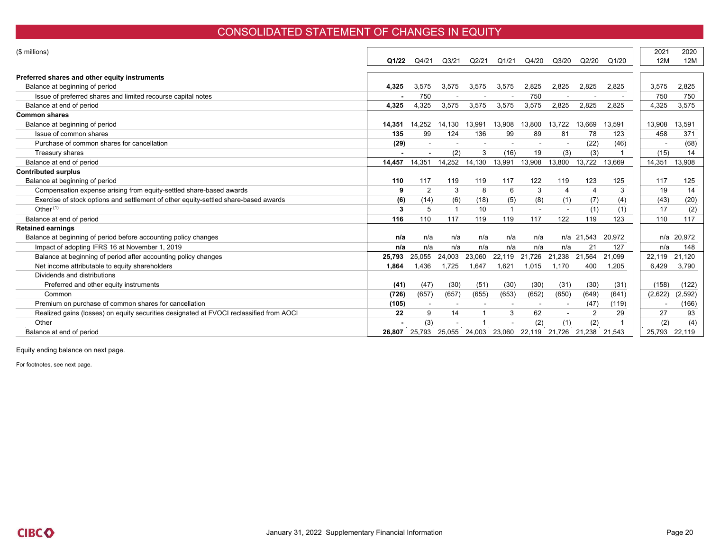#### CONSOLIDATED STATEMENT OF CHANGES IN EQUITY

|        |                |        |                 |                                     |        |                |                |                     | 2021                                 | 2020                                                                             |
|--------|----------------|--------|-----------------|-------------------------------------|--------|----------------|----------------|---------------------|--------------------------------------|----------------------------------------------------------------------------------|
|        |                |        |                 |                                     |        |                |                |                     |                                      | 12M                                                                              |
|        |                |        |                 |                                     |        |                |                |                     |                                      |                                                                                  |
| 4,325  | 3.575          | 3,575  | 3,575           | 3,575                               | 2,825  | 2,825          | 2,825          | 2,825               | 3,575                                | 2,825                                                                            |
|        | 750            |        |                 |                                     | 750    |                |                |                     | 750                                  | 750                                                                              |
| 4.325  | 4,325          | 3.575  | 3,575           | 3,575                               | 3,575  | 2.825          | 2.825          | 2.825               | 4,325                                | 3,575                                                                            |
|        |                |        |                 |                                     |        |                |                |                     |                                      |                                                                                  |
| 14.351 | 14.252         | 14.130 | 13.991          | 13.908                              | 13,800 | 13.722         | 13.669         | 13,591              | 13.908                               | 13.591                                                                           |
| 135    | 99             | 124    | 136             | 99                                  | 89     | 81             | 78             | 123                 | 458                                  | 371                                                                              |
| (29)   |                |        |                 |                                     |        |                | (22)           | (46)                |                                      | (68)                                                                             |
|        |                | (2)    | 3               | (16)                                | 19     | (3)            | (3)            |                     |                                      | 14                                                                               |
| 14,457 | 14,351         | 14,252 |                 | 13,991                              | 13,908 | 13,800         | 13,722         | 13,669              | 14,351                               | 13,908                                                                           |
|        |                |        |                 |                                     |        |                |                |                     |                                      |                                                                                  |
| 110    | 117            | 119    | 119             | 117                                 | 122    | 119            | 123            | 125                 | 117                                  | 125                                                                              |
| 9      | $\overline{2}$ | 3      | 8               | 6                                   | 3      |                |                | 3                   | 19                                   | 14                                                                               |
| (6)    | (14)           | (6)    | (18)            | (5)                                 | (8)    | (1)            | (7)            | (4)                 |                                      | (20)                                                                             |
| 3      | 5              |        | 10 <sup>1</sup> |                                     |        |                | (1)            | (1)                 | 17                                   | (2)                                                                              |
| 116    | 110            | 117    | 119             | 119                                 | 117    | 122            | 119            | 123                 | 110                                  | 117                                                                              |
|        |                |        |                 |                                     |        |                |                |                     |                                      |                                                                                  |
| n/a    | n/a            | n/a    | n/a             | n/a                                 | n/a    |                |                | 20,972              |                                      | 20,972                                                                           |
| n/a    | n/a            | n/a    | n/a             | n/a                                 | n/a    | n/a            | 21             | 127                 |                                      | 148                                                                              |
| 25,793 | 25,055         | 24,003 |                 | 22,119                              | 21,726 | 21,238         | 21,564         | 21.099              |                                      | 21,120                                                                           |
| 1.864  | 1.436          | 1.725  | 1.647           | 1.621                               | 1.015  | 1.170          | 400            | 1,205               | 6.429                                | 3,790                                                                            |
|        |                |        |                 |                                     |        |                |                |                     |                                      |                                                                                  |
| (41)   | (47)           | (30)   | (51)            | (30)                                | (30)   | (31)           | (30)           | (31)                |                                      | (122)                                                                            |
| (726)  | (657)          | (657)  | (655)           | (653)                               | (652)  | (650)          | (649)          | (641)               |                                      | (2,592)                                                                          |
| (105)  |                |        |                 |                                     |        |                | (47)           | (119)               |                                      | (166)                                                                            |
| 22     | 9              | 14     |                 | 3                                   | 62     | $\blacksquare$ | $\overline{2}$ | 29                  | 27                                   | 93                                                                               |
|        | (3)            |        |                 |                                     | (2)    | (1)            | (2)            |                     |                                      | (4)                                                                              |
| 26.807 | 25,793         |        |                 | 23,060                              |        |                |                |                     |                                      | 22,119                                                                           |
|        | Q1/22          | Q4/21  | Q3/21<br>25,055 | Q2/21<br>14,130<br>23,060<br>24,003 | Q1/21  | Q4/20          | Q3/20          | Q2/20<br>n/a 21,543 | Q1/20<br>22,119 21,726 21,238 21,543 | 12M<br>(15)<br>(43)<br>n/a<br>n/a<br>22,119<br>(158)<br>(2,622)<br>(2)<br>25,793 |

Equity ending balance on next page.

For footnotes, see next page.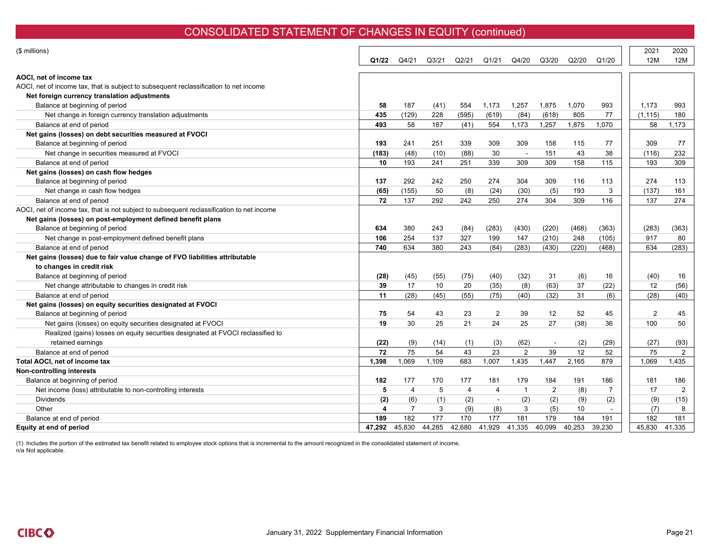# CONSOLIDATED STATEMENT OF CHANGES IN EQUITY (continued)

| (\$ millions)                                                                             | Q1/22                   | Q4/21          | Q <sub>3/21</sub> | Q2/21          | Q1/21          | Q4/20                    | Q3/20  | Q2/20  | Q1/20          | 2021<br>12M | 2020<br>12M    |
|-------------------------------------------------------------------------------------------|-------------------------|----------------|-------------------|----------------|----------------|--------------------------|--------|--------|----------------|-------------|----------------|
| AOCI, net of income tax                                                                   |                         |                |                   |                |                |                          |        |        |                |             |                |
| AOCI, net of income tax, that is subject to subsequent reclassification to net income     |                         |                |                   |                |                |                          |        |        |                |             |                |
| Net foreign currency translation adjustments                                              |                         |                |                   |                |                |                          |        |        |                |             |                |
| Balance at beginning of period                                                            | 58                      | 187            | (41)              | 554            | 1.173          | 1,257                    | 1,875  | 1,070  | 993            | 1.173       | 993            |
| Net change in foreign currency translation adjustments                                    | 435                     | (129)          | 228               | (595)          | (619)          | (84)                     | (618)  | 805    | 77             | (1, 115)    | 180            |
| Balance at end of period                                                                  | 493                     | 58             | 187               | (41)           | 554            | 1,173                    | 1,257  | 1,875  | 1,070          | 58          | 1,173          |
| Net gains (losses) on debt securities measured at FVOCI                                   |                         |                |                   |                |                |                          |        |        |                |             |                |
| Balance at beginning of period                                                            | 193                     | 241            | 251               | 339            | 309            | 309                      | 158    | 115    | 77             | 309         | 77             |
| Net change in securities measured at FVOCI                                                | (183)                   | (48)           | (10)              | (88)           | 30             | $\overline{\phantom{a}}$ | 151    | 43     | 38             | (116)       | 232            |
| Balance at end of period                                                                  | 10                      | 193            | 241               | 251            | 339            | 309                      | 309    | 158    | 115            | 193         | 309            |
| Net gains (losses) on cash flow hedges                                                    |                         |                |                   |                |                |                          |        |        |                |             |                |
| Balance at beginning of period                                                            | 137                     | 292            | 242               | 250            | 274            | 304                      | 309    | 116    | 113            | 274         | 113            |
| Net change in cash flow hedges                                                            | (65)                    | (155)          | 50                | (8)            | (24)           | (30)                     | (5)    | 193    | 3              | (137)       | 161            |
| Balance at end of period                                                                  | 72                      | 137            | 292               | 242            | 250            | 274                      | 304    | 309    | 116            | 137         | 274            |
| AOCI, net of income tax, that is not subject to subsequent reclassification to net income |                         |                |                   |                |                |                          |        |        |                |             |                |
| Net gains (losses) on post-employment defined benefit plans                               |                         |                |                   |                |                |                          |        |        |                |             |                |
| Balance at beginning of period                                                            | 634                     | 380            | 243               | (84)           | (283)          | (430)                    | (220)  | (468)  | (363)          | (283)       | (363)          |
| Net change in post-employment defined benefit plans                                       | 106                     | 254            | 137               | 327            | 199            | 147                      | (210)  | 248    | (105)          | 917         | 80             |
| Balance at end of period                                                                  | 740                     | 634            | 380               | 243            | (84)           | (283)                    | (430)  | (220)  | (468)          | 634         | (283)          |
| Net gains (losses) due to fair value change of FVO liabilities attributable               |                         |                |                   |                |                |                          |        |        |                |             |                |
| to changes in credit risk                                                                 |                         |                |                   |                |                |                          |        |        |                |             |                |
| Balance at beginning of period                                                            | (28)                    | (45)           | (55)              | (75)           | (40)           | (32)                     | 31     | (6)    | 16             | (40)        | 16             |
| Net change attributable to changes in credit risk                                         | 39                      | 17             | 10                | 20             | (35)           | (8)                      | (63)   | 37     | (22)           | 12          | (56)           |
| Balance at end of period                                                                  | 11                      | (28)           | (45)              | (55)           | (75)           | (40)                     | (32)   | 31     | (6)            | (28)        | (40)           |
| Net gains (losses) on equity securities designated at FVOCI                               |                         |                |                   |                |                |                          |        |        |                |             |                |
| Balance at beginning of period                                                            | 75                      | 54             | 43                | 23             | $\overline{2}$ | 39                       | 12     | 52     | 45             | 2           | 45             |
| Net gains (losses) on equity securities designated at FVOCI                               | 19                      | 30             | 25                | 21             | 24             | 25                       | 27     | (38)   | 36             | 100         | 50             |
| Realized (gains) losses on equity securities designated at FVOCI reclassified to          |                         |                |                   |                |                |                          |        |        |                |             |                |
| retained earnings                                                                         | (22)                    | (9)            | (14)              | (1)            | (3)            | (62)                     |        | (2)    | (29)           | (27)        | (93)           |
| Balance at end of period                                                                  | 72                      | 75             | 54                | 43             | 23             | $\overline{2}$           | 39     | 12     | 52             | 75          | $\overline{2}$ |
| Total AOCI, net of income tax                                                             | 1.398                   | 1.069          | 1.109             | 683            | 1.007          | 1,435                    | 1.447  | 2.165  | 879            | 1.069       | 1.435          |
| Non-controlling interests                                                                 |                         |                |                   |                |                |                          |        |        |                |             |                |
| Balance at beginning of period                                                            | 182                     | 177            | 170               | 177            | 181            | 179                      | 184    | 191    | 186            | 181         | 186            |
| Net income (loss) attributable to non-controlling interests                               | 5                       | $\overline{4}$ | 5                 | $\overline{4}$ | 4              | $\overline{1}$           | 2      | (8)    | $\overline{7}$ | 17          | $\overline{2}$ |
| <b>Dividends</b>                                                                          | (2)                     | (6)            | (1)               | (2)            | $\sim$         | (2)                      | (2)    | (9)    | (2)            | (9)         | (15)           |
| Other                                                                                     | $\overline{\mathbf{4}}$ | $\overline{7}$ | 3                 | (9)            | (8)            | 3                        | (5)    | 10     |                | (7)         | 8              |
| Balance at end of period                                                                  | 189                     | 182            | 177               | 170            | 177            | 181                      | 179    | 184    | 191            | 182         | 181            |
| Equity at end of period                                                                   | 47.292                  | 45,830         | 44,285            | 42,680         | 41,929         | 41,335                   | 40,099 | 40,253 | 39,230         | 45,830      | 41,335         |
|                                                                                           |                         |                |                   |                |                |                          |        |        |                |             |                |

(1) Includes the portion of the estimated tax benefit related to employee stock options that is incremental to the amount recognized in the consolidated statement of income. n/a Not applicable.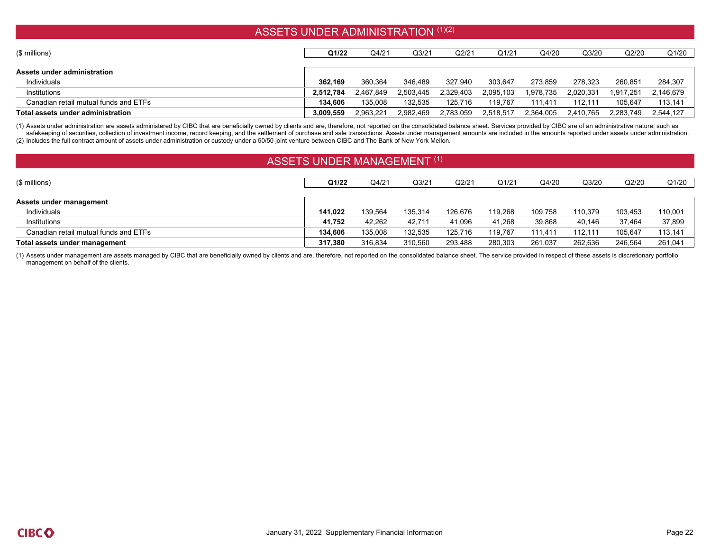# ASSETS UNDER ADMINISTRATION (1)(2)

| $($$ millions)                        | Q1/22     | Q4/21     | Q3/21     | Q2/21     | Q1/21     | Q4/20     | Q3/20     | Q2/20     | Q1/20     |
|---------------------------------------|-----------|-----------|-----------|-----------|-----------|-----------|-----------|-----------|-----------|
| Assets under administration           |           |           |           |           |           |           |           |           |           |
| Individuals                           | 362.169   | 360.364   | 346.489   | 327.940   | 303.647   | 273.859   | 278.323   | 260.851   | 284.307   |
| Institutions                          | 2.512.784 | 2,467,849 | 2,503,445 | 2,329,403 | 2,095,103 | 1,978,735 | 2,020,331 | 1,917,251 | 2,146,679 |
| Canadian retail mutual funds and ETFs | 134.606   | 135.008   | 132.535   | 125,716   | 119.767   | 111.411   | 112.111   | 105.647   | 113,141   |
| Total assets under administration     | 3.009.559 | 2.963.221 | 2.982.469 | 2,783,059 | 2,518,517 | 2,364,005 | 2.410.765 | 2.283.749 | 2.544.127 |

(1) Assets under administration are assets administered by CIBC that are beneficially owned by clients and are, therefore, not reported on the consolidated balance sheet. Services provided by CIBC are of an administrative safekeeping of securities, collection of investment income, record keeping, and the settlement of purchase and sale transactions. Assets under management amounts are included in the amounts reported under assets under admi (2) Includes the full contract amount of assets under administration or custody under a 50/50 joint venture between CIBC and The Bank of New York Mellon.

### ASSETS UNDER MANAGEMENT (1)

| (\$ millions)                         | Q1/22   | Q4/21   | Q <sub>3/21</sub> | Q2/21   | Q1/21   | Q4/20   | Q3/20   | Q2/20   | Q1/20   |
|---------------------------------------|---------|---------|-------------------|---------|---------|---------|---------|---------|---------|
|                                       |         |         |                   |         |         |         |         |         |         |
| Assets under management               |         |         |                   |         |         |         |         |         |         |
| Individuals                           | 141.022 | 139.564 | 135,314           | 126.676 | 119.268 | 109.758 | 110.379 | 103.453 | 110,001 |
| Institutions                          | 41.752  | 42,262  | 42,711            | 41,096  | 41,268  | 39,868  | 40.146  | 37,464  | 37,899  |
| Canadian retail mutual funds and ETFs | 134.606 | 135.008 | 132,535           | 125.716 | 119.767 | 111.411 | 112.111 | 105.647 | 113,141 |
| Total assets under management         | 317.380 | 316,834 | 310,560           | 293,488 | 280,303 | 261,037 | 262,636 | 246,564 | 261,041 |

(1) Assets under management are assets managed by CIBC that are beneficially owned by clients and are, therefore, not reported on the consolidated balance sheet. The service provided in respect of these assets is discretio management on behalf of the clients.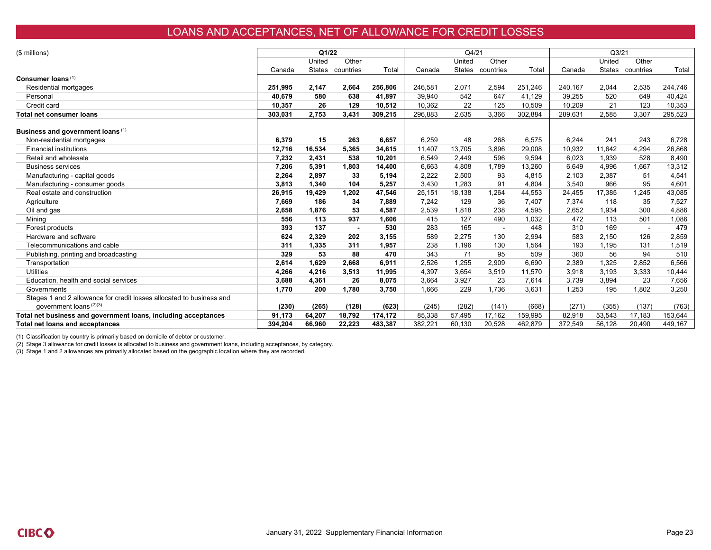# LOANS AND ACCEPTANCES, NET OF ALLOWANCE FOR CREDIT LOSSES

| (\$ millions)                                                        |         | Q1/22  |           |         |         | Q4/21  |                  |         |         | Q <sub>3/21</sub> |                  |         |
|----------------------------------------------------------------------|---------|--------|-----------|---------|---------|--------|------------------|---------|---------|-------------------|------------------|---------|
|                                                                      |         | United | Other     |         |         | United | Other            |         |         | United            | Other            |         |
|                                                                      | Canada  | States | countries | Total   | Canada  |        | States countries | Total   | Canada  |                   | States countries | Total   |
| Consumer loans (1)                                                   |         |        |           |         |         |        |                  |         |         |                   |                  |         |
| Residential mortgages                                                | 251,995 | 2,147  | 2,664     | 256,806 | 246,581 | 2,071  | 2,594            | 251,246 | 240,167 | 2,044             | 2,535            | 244,746 |
| Personal                                                             | 40,679  | 580    | 638       | 41.897  | 39,940  | 542    | 647              | 41.129  | 39,255  | 520               | 649              | 40,424  |
| Credit card                                                          | 10.357  | 26     | 129       | 10.512  | 10,362  | 22     | 125              | 10,509  | 10,209  | 21                | 123              | 10.353  |
| <b>Total net consumer loans</b>                                      | 303,031 | 2,753  | 3,431     | 309,215 | 296,883 | 2,635  | 3,366            | 302,884 | 289,631 | 2,585             | 3,307            | 295,523 |
| Business and government loans (1)                                    |         |        |           |         |         |        |                  |         |         |                   |                  |         |
| Non-residential mortgages                                            | 6,379   | 15     | 263       | 6,657   | 6,259   | 48     | 268              | 6,575   | 6,244   | 241               | 243              | 6,728   |
| <b>Financial institutions</b>                                        | 12,716  | 16,534 | 5,365     | 34,615  | 11.407  | 13,705 | 3.896            | 29,008  | 10,932  | 11.642            | 4.294            | 26,868  |
| Retail and wholesale                                                 | 7,232   | 2,431  | 538       | 10.201  | 6,549   | 2.449  | 596              | 9,594   | 6,023   | 1,939             | 528              | 8,490   |
| <b>Business services</b>                                             | 7,206   | 5,391  | 1,803     | 14,400  | 6,663   | 4,808  | 1,789            | 13,260  | 6,649   | 4,996             | 1,667            | 13,312  |
| Manufacturing - capital goods                                        | 2,264   | 2,897  | 33        | 5,194   | 2,222   | 2,500  | 93               | 4,815   | 2,103   | 2,387             | 51               | 4,541   |
| Manufacturing - consumer goods                                       | 3,813   | 1,340  | 104       | 5,257   | 3,430   | 1,283  | 91               | 4,804   | 3,540   | 966               | 95               | 4,601   |
| Real estate and construction                                         | 26,915  | 19.429 | 1,202     | 47,546  | 25,151  | 18,138 | 1.264            | 44,553  | 24,455  | 17,385            | 1.245            | 43,085  |
| Agriculture                                                          | 7,669   | 186    | 34        | 7.889   | 7,242   | 129    | 36               | 7.407   | 7,374   | 118               | 35               | 7,527   |
| Oil and gas                                                          | 2,658   | 1.876  | 53        | 4,587   | 2,539   | 1,818  | 238              | 4,595   | 2,652   | 1,934             | 300              | 4,886   |
| Mining                                                               | 556     | 113    | 937       | 1.606   | 415     | 127    | 490              | 1.032   | 472     | 113               | 501              | 1,086   |
| Forest products                                                      | 393     | 137    |           | 530     | 283     | 165    |                  | 448     | 310     | 169               |                  | 479     |
| Hardware and software                                                | 624     | 2.329  | 202       | 3,155   | 589     | 2,275  | 130              | 2,994   | 583     | 2,150             | 126              | 2,859   |
| Telecommunications and cable                                         | 311     | 1,335  | 311       | 1,957   | 238     | 1.196  | 130              | 1,564   | 193     | 1,195             | 131              | 1,519   |
| Publishing, printing and broadcasting                                | 329     | 53     | 88        | 470     | 343     | 71     | 95               | 509     | 360     | 56                | 94               | 510     |
| Transportation                                                       | 2,614   | 1.629  | 2,668     | 6,911   | 2,526   | 1,255  | 2,909            | 6.690   | 2,389   | 1,325             | 2.852            | 6,566   |
| Utilities                                                            | 4,266   | 4,216  | 3,513     | 11,995  | 4,397   | 3,654  | 3,519            | 11,570  | 3,918   | 3,193             | 3,333            | 10,444  |
| Education, health and social services                                | 3,688   | 4,361  | 26        | 8.075   | 3,664   | 3,927  | 23               | 7,614   | 3,739   | 3,894             | 23               | 7,656   |
| Governments                                                          | 1,770   | 200    | 1,780     | 3,750   | 1,666   | 229    | 1,736            | 3,631   | 1,253   | 195               | 1,802            | 3,250   |
| Stages 1 and 2 allowance for credit losses allocated to business and |         |        |           |         |         |        |                  |         |         |                   |                  |         |
| government loans (2)(3)                                              | (230)   | (265)  | (128)     | (623)   | (245)   | (282)  | (141)            | (668)   | (271)   | (355)             | (137)            | (763)   |
| Total net business and government loans, including acceptances       | 91,173  | 64,207 | 18,792    | 174,172 | 85,338  | 57,495 | 17,162           | 159,995 | 82,918  | 53,543            | 17,183           | 153,644 |
| <b>Total net loans and acceptances</b>                               | 394,204 | 66,960 | 22,223    | 483,387 | 382,221 | 60,130 | 20,528           | 462,879 | 372,549 | 56,128            | 20,490           | 449,167 |

(1) Classification by country is primarily based on domicile of debtor or customer.

(2) Stage 3 allowance for credit losses is allocated to business and government loans, including acceptances, by category.

(3) Stage 1 and 2 allowances are primarily allocated based on the geographic location where they are recorded.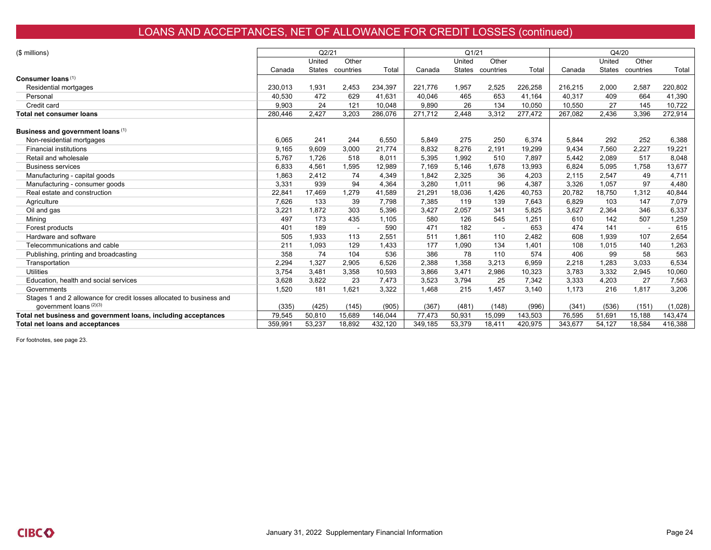# LOANS AND ACCEPTANCES, NET OF ALLOWANCE FOR CREDIT LOSSES (continued)

| (\$ millions)                                                        |         | Q2/21  |                  |         |         | Q1/21  |                  |         |         | Q4/20  |                  |         |
|----------------------------------------------------------------------|---------|--------|------------------|---------|---------|--------|------------------|---------|---------|--------|------------------|---------|
|                                                                      |         | United | Other            |         |         | United | Other            |         |         | United | Other            |         |
|                                                                      | Canada  |        | States countries | Total   | Canada  |        | States countries | Total   | Canada  |        | States countries | Total   |
| Consumer loans (1)                                                   |         |        |                  |         |         |        |                  |         |         |        |                  |         |
| Residential mortgages                                                | 230.013 | 1,931  | 2,453            | 234,397 | 221.776 | 1,957  | 2,525            | 226,258 | 216,215 | 2,000  | 2,587            | 220,802 |
| Personal                                                             | 40,530  | 472    | 629              | 41,631  | 40,046  | 465    | 653              | 41.164  | 40,317  | 409    | 664              | 41,390  |
| Credit card                                                          | 9,903   | 24     | 121              | 10,048  | 9,890   | 26     | 134              | 10,050  | 10,550  | 27     | 145              | 10,722  |
| <b>Total net consumer loans</b>                                      | 280,446 | 2,427  | 3,203            | 286,076 | 271,712 | 2,448  | 3,312            | 277,472 | 267,082 | 2,436  | 3,396            | 272,914 |
| Business and government loans (1)                                    |         |        |                  |         |         |        |                  |         |         |        |                  |         |
| Non-residential mortgages                                            | 6,065   | 241    | 244              | 6,550   | 5,849   | 275    | 250              | 6,374   | 5,844   | 292    | 252              | 6,388   |
| <b>Financial institutions</b>                                        | 9.165   | 9.609  | 3.000            | 21.774  | 8.832   | 8.276  | 2.191            | 19,299  | 9.434   | 7.560  | 2.227            | 19,221  |
| Retail and wholesale                                                 | 5,767   | 1.726  | 518              | 8.011   | 5,395   | 1.992  | 510              | 7.897   | 5,442   | 2.089  | 517              | 8,048   |
| <b>Business services</b>                                             | 6,833   | 4.561  | 1.595            | 12,989  | 7.169   | 5.146  | 1.678            | 13,993  | 6,824   | 5.095  | 1.758            | 13,677  |
| Manufacturing - capital goods                                        | 1,863   | 2.412  | 74               | 4,349   | 1,842   | 2,325  | 36               | 4,203   | 2,115   | 2.547  | 49               | 4,711   |
| Manufacturing - consumer goods                                       | 3,331   | 939    | 94               | 4,364   | 3,280   | 1,011  | 96               | 4,387   | 3,326   | 1,057  | 97               | 4,480   |
| Real estate and construction                                         | 22,841  | 17.469 | 1,279            | 41,589  | 21,291  | 18.036 | 1.426            | 40.753  | 20,782  | 18.750 | 1,312            | 40,844  |
| Agriculture                                                          | 7,626   | 133    | 39               | 7,798   | 7,385   | 119    | 139              | 7,643   | 6,829   | 103    | 147              | 7,079   |
| Oil and gas                                                          | 3,221   | 1,872  | 303              | 5,396   | 3,427   | 2,057  | 341              | 5,825   | 3,627   | 2.364  | 346              | 6,337   |
| Mining                                                               | 497     | 173    | 435              | 1,105   | 580     | 126    | 545              | 1,251   | 610     | 142    | 507              | 1,259   |
| Forest products                                                      | 401     | 189    |                  | 590     | 471     | 182    |                  | 653     | 474     | 141    |                  | 615     |
| Hardware and software                                                | 505     | 1,933  | 113              | 2,551   | 511     | 1,861  | 110              | 2,482   | 608     | 1,939  | 107              | 2,654   |
| Telecommunications and cable                                         | 211     | 1,093  | 129              | 1,433   | 177     | 1,090  | 134              | 1,401   | 108     | 1,015  | 140              | 1,263   |
| Publishing, printing and broadcasting                                | 358     | 74     | 104              | 536     | 386     | 78     | 110              | 574     | 406     | 99     | 58               | 563     |
| Transportation                                                       | 2,294   | 1,327  | 2,905            | 6,526   | 2,388   | 1,358  | 3,213            | 6,959   | 2,218   | 1,283  | 3,033            | 6,534   |
| <b>Utilities</b>                                                     | 3,754   | 3,481  | 3,358            | 10,593  | 3,866   | 3,471  | 2,986            | 10,323  | 3,783   | 3,332  | 2,945            | 10,060  |
| Education, health and social services                                | 3,628   | 3,822  | 23               | 7,473   | 3,523   | 3,794  | 25               | 7,342   | 3,333   | 4,203  | 27               | 7,563   |
| Governments                                                          | 1,520   | 181    | 1,621            | 3,322   | 1,468   | 215    | 1,457            | 3,140   | 1,173   | 216    | 1,817            | 3,206   |
| Stages 1 and 2 allowance for credit losses allocated to business and |         |        |                  |         |         |        |                  |         |         |        |                  |         |
| government loans (2)(3)                                              | (335)   | (425)  | (145)            | (905)   | (367)   | (481)  | (148)            | (996)   | (341)   | (536)  | (151)            | (1,028) |
| Total net business and government loans, including acceptances       | 79,545  | 50,810 | 15,689           | 146.044 | 77,473  | 50,931 | 15,099           | 143,503 | 76,595  | 51,691 | 15.188           | 143,474 |
| <b>Total net loans and acceptances</b>                               | 359.991 | 53,237 | 18,892           | 432,120 | 349,185 | 53,379 | 18,411           | 420,975 | 343,677 | 54,127 | 18,584           | 416,388 |

For footnotes, see page 23.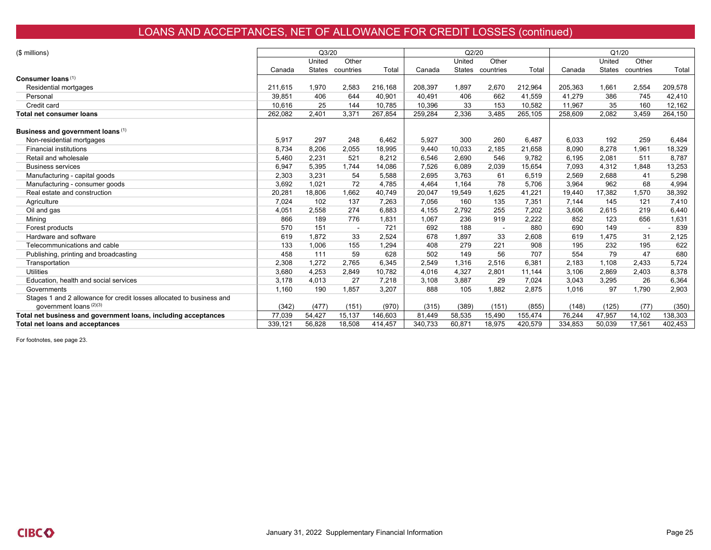# LOANS AND ACCEPTANCES, NET OF ALLOWANCE FOR CREDIT LOSSES (continued)

| (\$ millions)                                                        |         | Q3/20  |                  |         |         | Q2/20  |                  |         |         | Q1/20  |                  |         |
|----------------------------------------------------------------------|---------|--------|------------------|---------|---------|--------|------------------|---------|---------|--------|------------------|---------|
|                                                                      |         | United | Other            |         |         | United | Other            |         |         | United | Other            |         |
|                                                                      | Canada  |        | States countries | Total   | Canada  |        | States countries | Total   | Canada  |        | States countries | Total   |
| Consumer loans (1)                                                   |         |        |                  |         |         |        |                  |         |         |        |                  |         |
| Residential mortgages                                                | 211,615 | 1.970  | 2,583            | 216,168 | 208,397 | 1.897  | 2,670            | 212,964 | 205,363 | 1.661  | 2,554            | 209,578 |
| Personal                                                             | 39,851  | 406    | 644              | 40,901  | 40,491  | 406    | 662              | 41.559  | 41,279  | 386    | 745              | 42,410  |
| Credit card                                                          | 10,616  | 25     | 144              | 10,785  | 10,396  | 33     | 153              | 10,582  | 11,967  | 35     | 160              | 12,162  |
| Total net consumer loans                                             | 262,082 | 2,401  | 3,371            | 267,854 | 259,284 | 2,336  | 3,485            | 265,105 | 258,609 | 2,082  | 3,459            | 264,150 |
| Business and government loans (1)                                    |         |        |                  |         |         |        |                  |         |         |        |                  |         |
| Non-residential mortgages                                            | 5,917   | 297    | 248              | 6.462   | 5,927   | 300    | 260              | 6.487   | 6,033   | 192    | 259              | 6,484   |
| <b>Financial institutions</b>                                        | 8,734   | 8,206  | 2,055            | 18,995  | 9,440   | 10,033 | 2,185            | 21,658  | 8,090   | 8,278  | 1,961            | 18,329  |
| Retail and wholesale                                                 | 5,460   | 2,231  | 521              | 8,212   | 6,546   | 2,690  | 546              | 9,782   | 6,195   | 2,081  | 511              | 8,787   |
| <b>Business services</b>                                             | 6,947   | 5,395  | 1,744            | 14,086  | 7,526   | 6,089  | 2,039            | 15,654  | 7,093   | 4,312  | 1,848            | 13,253  |
| Manufacturing - capital goods                                        | 2,303   | 3.231  | 54               | 5,588   | 2,695   | 3.763  | 61               | 6,519   | 2,569   | 2,688  | 41               | 5,298   |
| Manufacturing - consumer goods                                       | 3,692   | 1.021  | 72               | 4.785   | 4.464   | 1.164  | 78               | 5.706   | 3,964   | 962    | 68               | 4,994   |
| Real estate and construction                                         | 20,281  | 18.806 | 1.662            | 40.749  | 20,047  | 19.549 | 1.625            | 41.221  | 19.440  | 17.382 | 1.570            | 38,392  |
| Agriculture                                                          | 7,024   | 102    | 137              | 7.263   | 7,056   | 160    | 135              | 7.351   | 7,144   | 145    | 121              | 7,410   |
| Oil and gas                                                          | 4,051   | 2.558  | 274              | 6.883   | 4,155   | 2.792  | 255              | 7.202   | 3,606   | 2.615  | 219              | 6,440   |
| Mining                                                               | 866     | 189    | 776              | 1.831   | 1,067   | 236    | 919              | 2.222   | 852     | 123    | 656              | 1,631   |
| Forest products                                                      | 570     | 151    |                  | 721     | 692     | 188    |                  | 880     | 690     | 149    |                  | 839     |
| Hardware and software                                                | 619     | 1.872  | 33               | 2.524   | 678     | 1.897  | 33               | 2,608   | 619     | 1.475  | 31               | 2,125   |
| Telecommunications and cable                                         | 133     | 1.006  | 155              | 1.294   | 408     | 279    | 221              | 908     | 195     | 232    | 195              | 622     |
| Publishing, printing and broadcasting                                | 458     | 111    | 59               | 628     | 502     | 149    | 56               | 707     | 554     | 79     | 47               | 680     |
| Transportation                                                       | 2,308   | 1.272  | 2.765            | 6.345   | 2,549   | 1,316  | 2,516            | 6.381   | 2,183   | 1,108  | 2.433            | 5.724   |
| <b>Utilities</b>                                                     | 3,680   | 4.253  | 2.849            | 10.782  | 4,016   | 4.327  | 2.801            | 11.144  | 3,106   | 2.869  | 2,403            | 8,378   |
| Education, health and social services                                | 3,178   | 4.013  | 27               | 7.218   | 3,108   | 3.887  | 29               | 7.024   | 3,043   | 3.295  | 26               | 6,364   |
| Governments                                                          | 1,160   | 190    | 1,857            | 3,207   | 888     | 105    | 1,882            | 2,875   | 1,016   | 97     | 1,790            | 2,903   |
| Stages 1 and 2 allowance for credit losses allocated to business and |         |        |                  |         |         |        |                  |         |         |        |                  |         |
| government loans (2)(3)                                              | (342)   | (477)  | (151)            | (970)   | (315)   | (389)  | (151)            | (855)   | (148)   | (125)  | (77)             | (350)   |
| Total net business and government loans, including acceptances       | 77,039  | 54,427 | 15,137           | 146,603 | 81,449  | 58,535 | 15,490           | 155,474 | 76,244  | 47,957 | 14,102           | 138,303 |
| Total net loans and acceptances                                      | 339.121 | 56.828 | 18,508           | 414,457 | 340,733 | 60.871 | 18,975           | 420,579 | 334,853 | 50.039 | 17,561           | 402,453 |

For footnotes, see page 23.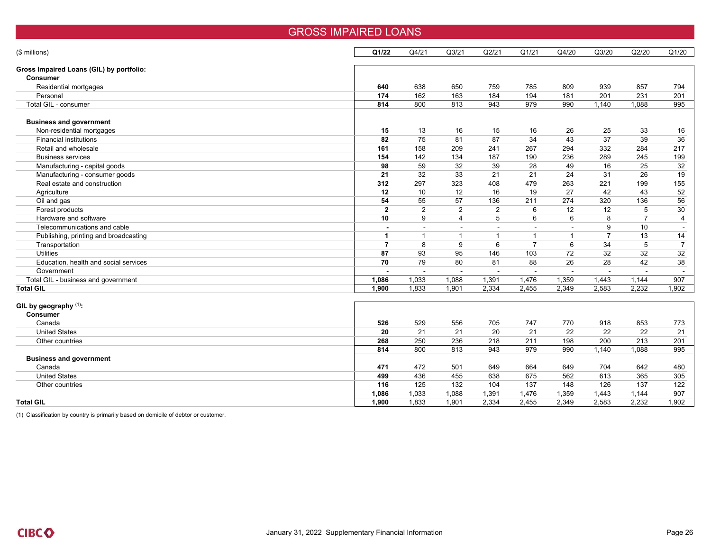| (\$ millions)                            | Q1/22                    | Q4/21          | Q <sub>3/21</sub>     | Q2/21          | Q1/21          | Q4/20          | Q3/20          | Q2/20          | Q1/20                    |
|------------------------------------------|--------------------------|----------------|-----------------------|----------------|----------------|----------------|----------------|----------------|--------------------------|
|                                          |                          |                |                       |                |                |                |                |                |                          |
| Gross Impaired Loans (GIL) by portfolio: |                          |                |                       |                |                |                |                |                |                          |
| <b>Consumer</b>                          |                          |                |                       |                |                |                |                |                |                          |
| Residential mortgages                    | 640                      | 638            | 650                   | 759            | 785            | 809            | 939            | 857            | 794                      |
| Personal                                 | 174                      | 162            | 163                   | 184            | 194            | 181            | 201            | 231            | 201                      |
| Total GIL - consumer                     | 814                      | 800            | 813                   | 943            | 979            | 990            | 1,140          | 1,088          | 995                      |
| <b>Business and government</b>           |                          |                |                       |                |                |                |                |                |                          |
|                                          | 15                       | 13             | 16                    | 15             |                | 26             |                |                |                          |
| Non-residential mortgages                |                          |                |                       |                | 16             |                | 25             | 33             | 16                       |
| <b>Financial institutions</b>            | 82                       | 75             | 81                    | 87             | 34             | 43             | 37             | 39             | 36                       |
| Retail and wholesale                     | 161                      | 158            | 209                   | 241            | 267            | 294            | 332            | 284            | 217                      |
| <b>Business services</b>                 | 154                      | 142            | 134                   | 187            | 190            | 236            | 289            | 245            | 199                      |
| Manufacturing - capital goods            | 98                       | 59             | 32                    | 39             | 28             | 49             | 16             | 25             | 32                       |
| Manufacturing - consumer goods           | 21                       | 32             | 33                    | 21             | 21             | 24             | 31             | 26             | 19                       |
| Real estate and construction             | 312                      | 297            | 323                   | 408            | 479            | 263            | 221            | 199            | 155                      |
| Agriculture                              | 12                       | 10             | 12                    | 16             | 19             | 27             | 42             | 43             | 52                       |
| Oil and gas                              | 54                       | 55             | 57                    | 136            | 211            | 274            | 320            | 136            | 56                       |
| Forest products                          | $\overline{2}$           | $\overline{2}$ | 2                     | $\overline{2}$ | 6              | 12             | 12             | 5              | 30                       |
| Hardware and software                    | 10                       | 9              | $\boldsymbol{\Delta}$ | 5              | 6              | 6              | 8              | $\overline{7}$ | 4                        |
| Telecommunications and cable             | $\overline{\phantom{a}}$ | ÷              | $\sim$                |                | $\sim$         |                | 9              | 10             | $\overline{\phantom{a}}$ |
| Publishing, printing and broadcasting    | -1                       | -1             | $\mathbf 1$           | -1             | $\mathbf{1}$   | $\overline{1}$ | $\overline{7}$ | 13             | 14                       |
| Transportation                           | $\overline{7}$           | 8              | 9                     | 6              | $\overline{7}$ | 6              | 34             | 5              | $\overline{7}$           |
| <b>Utilities</b>                         | 87                       | 93             | 95                    | 146            | 103            | 72             | 32             | 32             | 32                       |
| Education, health and social services    | 70                       | 79             | 80                    | 81             | 88             | 26             | 28             | 42             | 38                       |
| Government                               |                          | $\sim$         | $\sim$                |                | $\sim$         | $\sim$         |                | $\sim$         | $\overline{\phantom{a}}$ |
| Total GIL - business and government      | 1,086                    | 1,033          | 1,088                 | 1,391          | 1,476          | 1,359          | 1,443          | 1,144          | 907                      |
| <b>Total GIL</b>                         | 1,900                    | 1,833          | 1,901                 | 2,334          | 2,455          | 2,349          | 2,583          | 2,232          | 1,902                    |
|                                          |                          |                |                       |                |                |                |                |                |                          |
| GIL by geography (1):                    |                          |                |                       |                |                |                |                |                |                          |
| <b>Consumer</b>                          |                          |                |                       |                |                |                |                |                |                          |
| Canada                                   | 526                      | 529            | 556                   | 705            | 747            | 770            | 918            | 853            | 773                      |
| <b>United States</b>                     | 20                       | 21             | 21                    | 20             | 21             | 22             | 22             | 22             | 21                       |
| Other countries                          | 268                      | 250            | 236                   | 218            | 211            | 198            | 200            | 213            | 201                      |
|                                          | 814                      | 800            | 813                   | 943            | 979            | 990            | 1,140          | 1,088          | 995                      |
| <b>Business and government</b>           |                          |                |                       |                |                |                |                |                |                          |
| Canada                                   | 471                      | 472            | 501                   | 649            | 664            | 649            | 704            | 642            | 480                      |
| <b>United States</b>                     | 499                      | 436            | 455                   | 638            | 675            | 562            | 613            | 365            | 305                      |
| Other countries                          | 116                      | 125            | 132                   | 104            | 137            | 148            | 126            | 137            | 122                      |
|                                          | 1.086                    | 1,033          | 1,088                 | 1.391          | 1.476          | 1,359          | 1.443          | 1.144          | 907                      |

GROSS IMPAIRED LOANS

**Total GIL 1,900** 1,833 1,901 2,334 2,455 2,349 2,583 2,232 1,902

(1) Classification by country is primarily based on domicile of debtor or customer.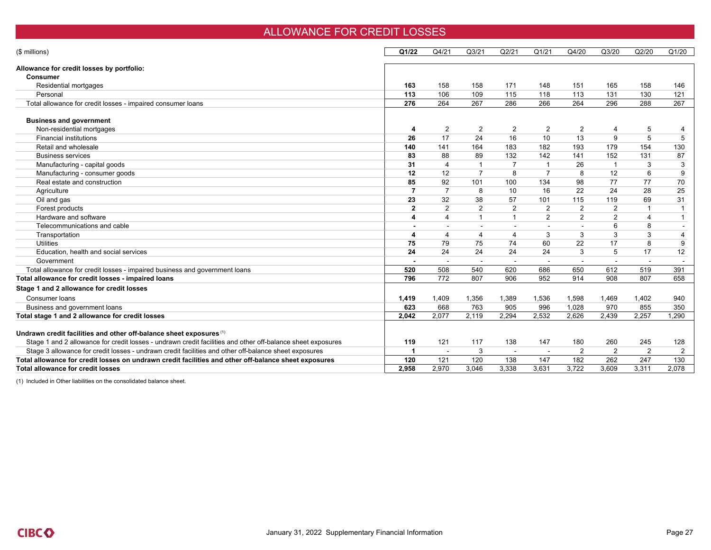### ALLOWANCE FOR CREDIT LOSSES

| (\$ millions)                                                                                               | Q1/22          | Q4/21                 | Q3/21          | Q2/21          | Q1/21          | Q4/20                    | Q3/20          | Q2/20          | Q1/20          |
|-------------------------------------------------------------------------------------------------------------|----------------|-----------------------|----------------|----------------|----------------|--------------------------|----------------|----------------|----------------|
| Allowance for credit losses by portfolio:                                                                   |                |                       |                |                |                |                          |                |                |                |
| <b>Consumer</b>                                                                                             |                |                       |                |                |                |                          |                |                |                |
| Residential mortgages                                                                                       | 163            | 158                   | 158            | 171            | 148            | 151                      | 165            | 158            | 146            |
| Personal                                                                                                    | 113            | 106                   | 109            | 115            | 118            | 113                      | 131            | 130            | 121            |
| Total allowance for credit losses - impaired consumer loans                                                 | 276            | 264                   | 267            | 286            | 266            | 264                      | 296            | 288            | 267            |
| <b>Business and government</b>                                                                              |                |                       |                |                |                |                          |                |                |                |
| Non-residential mortgages                                                                                   | 4              | $\overline{2}$        | $\overline{2}$ | 2              | $\overline{2}$ | $\overline{2}$           | $\overline{4}$ | 5              |                |
| <b>Financial institutions</b>                                                                               | 26             | 17                    | 24             | 16             | 10             | 13                       | 9              | 5              | 5              |
| Retail and wholesale                                                                                        | 140            | 141                   | 164            | 183            | 182            | 193                      | 179            | 154            | 130            |
| <b>Business services</b>                                                                                    | 83             | 88                    | 89             | 132            | 142            | 141                      | 152            | 131            | 87             |
| Manufacturing - capital goods                                                                               | 31             | $\overline{4}$        | $\overline{1}$ | $\overline{7}$ | $\overline{1}$ | 26                       | $\overline{1}$ | 3              | 3              |
| Manufacturing - consumer goods                                                                              | 12             | 12                    | $\overline{7}$ | 8              | $\overline{7}$ | 8                        | 12             | 6              | 9              |
| Real estate and construction                                                                                | 85             | 92                    | 101            | 100            | 134            | 98                       | 77             | 77             | 70             |
| Agriculture                                                                                                 | 7              | $\overline{7}$        | 8              | 10             | 16             | 22                       | 24             | 28             | 25             |
| Oil and gas                                                                                                 | 23             | 32                    | 38             | 57             | 101            | 115                      | 119            | 69             | 31             |
| Forest products                                                                                             | $\overline{2}$ | 2                     | 2              | 2              | 2              | 2                        | 2              |                | $\mathbf{1}$   |
| Hardware and software                                                                                       | 4              | $\boldsymbol{\Delta}$ | $\overline{1}$ | $\overline{1}$ | 2              | 2                        | 2              | $\overline{4}$ | $\mathbf{1}$   |
| Telecommunications and cable                                                                                |                |                       |                |                |                |                          | 6              | 8              |                |
| Transportation                                                                                              | 4              | $\overline{4}$        | 4              | 4              | 3              | 3                        | 3              | 3              | 4              |
| <b>Utilities</b>                                                                                            | 75             | 79                    | 75             | 74             | 60             | 22                       | 17             | 8              | 9              |
| Education, health and social services                                                                       | 24             | 24                    | 24             | 24             | 24             | 3                        | 5              | 17             | 12             |
| Government                                                                                                  |                |                       |                |                |                | $\overline{\phantom{a}}$ |                |                |                |
| Total allowance for credit losses - impaired business and government loans                                  | 520            | 508                   | 540            | 620            | 686            | 650                      | 612            | 519            | 391            |
| Total allowance for credit losses - impaired loans                                                          | 796            | 772                   | 807            | 906            | 952            | 914                      | 908            | 807            | 658            |
| Stage 1 and 2 allowance for credit losses                                                                   |                |                       |                |                |                |                          |                |                |                |
| Consumer loans                                                                                              | 1,419          | 1.409                 | 1,356          | 1,389          | 1,536          | 1.598                    | 1.469          | 1.402          | 940            |
| Business and government loans                                                                               | 623            | 668                   | 763            | 905            | 996            | 1,028                    | 970            | 855            | 350            |
| Total stage 1 and 2 allowance for credit losses                                                             | 2,042          | 2,077                 | 2,119          | 2,294          | 2,532          | 2,626                    | 2,439          | 2,257          | 1.290          |
| Undrawn credit facilities and other off-balance sheet exposures (1)                                         |                |                       |                |                |                |                          |                |                |                |
| Stage 1 and 2 allowance for credit losses - undrawn credit facilities and other off-balance sheet exposures | 119            | 121                   | 117            | 138            | 147            | 180                      | 260            | 245            | 128            |
| Stage 3 allowance for credit losses - undrawn credit facilities and other off-balance sheet exposures       |                |                       | 3              |                |                | 2                        | $\overline{2}$ | $\overline{2}$ | $\overline{2}$ |
| Total allowance for credit losses on undrawn credit facilities and other off-balance sheet exposures        | 120            | 121                   | 120            | 138            | 147            | 182                      | 262            | 247            | 130            |
| <b>Total allowance for credit losses</b>                                                                    | 2.958          | 2.970                 | 3.046          | 3.338          | 3.631          | 3.722                    | 3.609          | 3.311          | 2.078          |

(1) Included in Other liabilities on the consolidated balance sheet.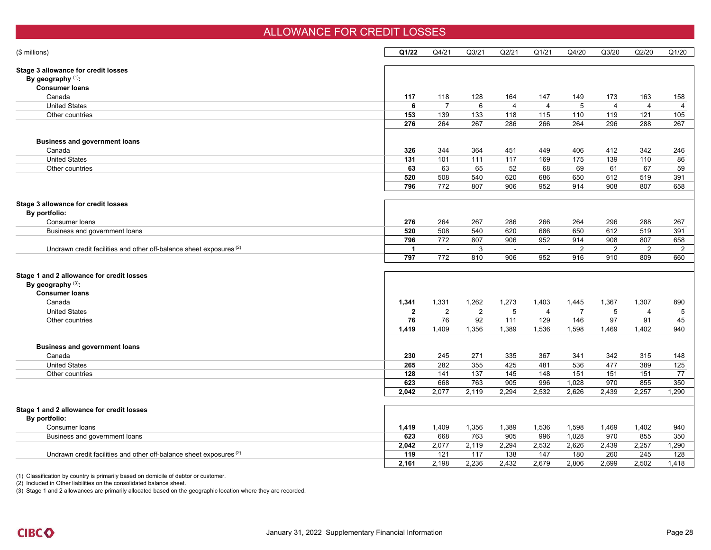#### ALLOWANCE FOR CREDIT LOSSES

| (\$ millions)                                                                  | Q1/22          | Q4/21            | Q <sub>3/21</sub> | Q2/21          | Q1/21          | Q4/20          | Q3/20          | Q2/20          | Q1/20 |
|--------------------------------------------------------------------------------|----------------|------------------|-------------------|----------------|----------------|----------------|----------------|----------------|-------|
| Stage 3 allowance for credit losses<br>By geography $(1)$ :                    |                |                  |                   |                |                |                |                |                |       |
| <b>Consumer loans</b>                                                          |                |                  |                   |                |                |                |                |                |       |
| Canada                                                                         | 117            | 118              | 128               | 164            | 147            | 149            | 173            | 163            | 158   |
| <b>United States</b>                                                           | 6              | $\overline{7}$   | 6                 | $\overline{4}$ | $\overline{4}$ | 5              | $\overline{4}$ | $\overline{4}$ | 4     |
| Other countries                                                                | 153            | 139              | 133               | 118            | 115            | 110            | 119            | 121            | 105   |
|                                                                                | 276            | 264              | 267               | 286            | 266            | 264            | 296            | 288            | 267   |
| <b>Business and government loans</b>                                           |                |                  |                   |                |                |                |                |                |       |
| Canada                                                                         | 326            | 344              | 364               | 451            | 449            | 406            | 412            | 342            | 246   |
| <b>United States</b>                                                           | 131            | 101              | 111               | 117            | 169            | 175            | 139            | 110            | 86    |
| Other countries                                                                | 63             | 63               | 65                | 52             | 68             | 69             | 61             | 67             | 59    |
|                                                                                | 520            | 508              | 540               | 620            | 686            | 650            | 612            | 519            | 391   |
|                                                                                | 796            | $\overline{772}$ | 807               | 906            | 952            | 914            | 908            | 807            | 658   |
| Stage 3 allowance for credit losses                                            |                |                  |                   |                |                |                |                |                |       |
| By portfolio:                                                                  |                |                  |                   |                |                |                |                |                |       |
| Consumer loans                                                                 | 276            | 264              | 267               | 286            | 266            | 264            | 296            | 288            | 267   |
| Business and government loans                                                  | 520            | 508              | 540               | 620            | 686            | 650            | 612            | 519            | 391   |
|                                                                                | 796            | $\frac{1}{772}$  | 807               | 906            | 952            | 914            | 908            | 807            | 658   |
| Undrawn credit facilities and other off-balance sheet exposures (2)            | $\overline{1}$ | $\sim$           | 3                 | $\sim$         | $\sim$         | 2              | $\overline{2}$ | 2              | 2     |
|                                                                                | 797            | 772              | 810               | 906            | 952            | 916            | 910            | 809            | 660   |
| Stage 1 and 2 allowance for credit losses                                      |                |                  |                   |                |                |                |                |                |       |
| By geography (3):                                                              |                |                  |                   |                |                |                |                |                |       |
| <b>Consumer loans</b>                                                          |                |                  |                   |                |                |                |                |                |       |
| Canada                                                                         | 1,341          | 1,331            | 1,262             | 1,273          | 1,403          | 1,445          | 1,367          | 1,307          | 890   |
| <b>United States</b>                                                           | $\overline{2}$ | 2                | $\overline{2}$    | 5              | $\overline{4}$ | $\overline{7}$ | 5              | $\overline{4}$ | 5     |
| Other countries                                                                | 76             | 76               | 92                | 111            | 129            | 146            | 97             | 91             | 45    |
|                                                                                | 1,419          | 1,409            | 1,356             | 1,389          | 1,536          | 1,598          | 1,469          | 1,402          | 940   |
|                                                                                |                |                  |                   |                |                |                |                |                |       |
| <b>Business and government loans</b>                                           |                |                  |                   |                |                |                |                |                |       |
| Canada                                                                         | 230            | 245              | 271               | 335            | 367            | 341            | 342            | 315            | 148   |
| <b>United States</b>                                                           | 265            | 282              | 355               | 425            | 481            | 536            | 477            | 389            | 125   |
| Other countries                                                                | 128            | 141              | 137               | 145            | 148            | 151            | 151            | 151            | 77    |
|                                                                                | 623            | 668              | 763               | 905            | 996            | 1,028          | 970            | 855            | 350   |
|                                                                                | 2,042          | 2,077            | 2,119             | 2,294          | 2,532          | 2,626          | 2,439          | 2,257          | 1,290 |
| Stage 1 and 2 allowance for credit losses                                      |                |                  |                   |                |                |                |                |                |       |
| By portfolio:                                                                  |                |                  |                   |                |                |                |                |                |       |
| Consumer loans                                                                 | 1,419          | 1,409            | 1,356             | 1,389          | 1,536          | 1,598          | 1,469          | 1,402          | 940   |
| Business and government loans                                                  | 623            | 668              | 763               | 905            | 996            | 1,028          | 970            | 855            | 350   |
|                                                                                | 2,042          | 2,077            | 2,119             | 2,294          | 2,532          | 2,626          | 2,439          | 2,257          | 1,290 |
| Undrawn credit facilities and other off-balance sheet exposures <sup>(2)</sup> | 119            | 121              | 117               | 138            | 147            | 180            | 260            | 245            | 128   |
|                                                                                | 2.161          | 2.198            | 2.236             | 2,432          | 2.679          | 2.806          | 2.699          | 2.502          | 1.418 |
|                                                                                |                |                  |                   |                |                |                |                |                |       |

(1) Classification by country is primarily based on domicile of debtor or customer.

(2) Included in Other liabilities on the consolidated balance sheet.

(3) Stage 1 and 2 allowances are primarily allocated based on the geographic location where they are recorded.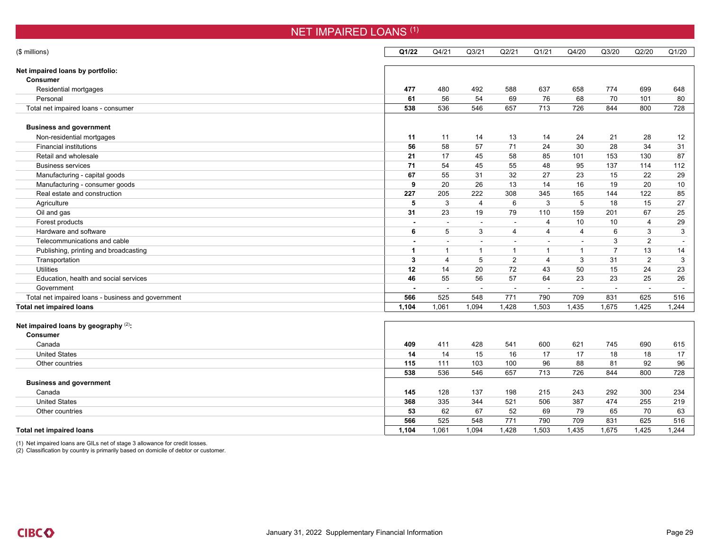| <b>NET IMPAIRED LOANS (1)</b>                      |              |                          |                |                |                |                          |                      |                |                |  |  |  |
|----------------------------------------------------|--------------|--------------------------|----------------|----------------|----------------|--------------------------|----------------------|----------------|----------------|--|--|--|
| (\$ millions)                                      | Q1/22        | Q4/21                    | Q3/21          | Q2/21          | Q1/21          | Q4/20                    | Q3/20                | Q2/20          | Q1/20          |  |  |  |
| Net impaired loans by portfolio:                   |              |                          |                |                |                |                          |                      |                |                |  |  |  |
| <b>Consumer</b>                                    |              |                          |                |                |                |                          |                      |                |                |  |  |  |
| Residential mortgages                              | 477          | 480                      | 492            | 588            | 637            | 658                      | 774                  | 699            | 648            |  |  |  |
| Personal                                           | 61           | 56                       | 54             | 69             | 76             | 68                       | 70                   | 101            | 80             |  |  |  |
| Total net impaired loans - consumer                | 538          | 536                      | 546            | 657            | 713            | 726                      | 844                  | 800            | 728            |  |  |  |
| <b>Business and government</b>                     |              |                          |                |                |                |                          |                      |                |                |  |  |  |
| Non-residential mortgages                          | 11           | 11                       | 14             | 13             | 14             | 24                       | 21                   | 28             | 12             |  |  |  |
| <b>Financial institutions</b>                      | 56           | 58                       | 57             | 71             | 24             | 30                       | 28                   | 34             | 31             |  |  |  |
| Retail and wholesale                               | 21           | 17                       | 45             | 58             | 85             | 101                      | 153                  | 130            | 87             |  |  |  |
| <b>Business services</b>                           | 71           | 54                       | 45             | 55             | 48             | 95                       | 137                  | 114            | 112            |  |  |  |
| Manufacturing - capital goods                      | 67           | 55                       | 31             | 32             | 27             | 23                       | 15                   | 22             | 29             |  |  |  |
| Manufacturing - consumer goods                     | 9            | 20                       | 26             | 13             | 14             | 16                       | 19                   | 20             | 10             |  |  |  |
| Real estate and construction                       | 227          | 205                      | 222            | 308            | 345            | 165                      | 144                  | 122            | 85             |  |  |  |
| Agriculture                                        | 5            | 3                        | $\overline{4}$ | 6              | 3              | 5                        | 18                   | 15             | 27             |  |  |  |
| Oil and gas                                        | 31           | 23                       | 19             | 79             | 110            | 159                      | 201                  | 67             | 25             |  |  |  |
| Forest products                                    |              | $\overline{a}$           | $\overline{a}$ | $\sim$         | $\overline{4}$ | 10                       | 10                   | $\overline{4}$ | 29             |  |  |  |
| Hardware and software                              | 6            | 5                        | 3              | $\overline{4}$ | $\overline{4}$ | $\overline{4}$           | 6                    | 3              | 3              |  |  |  |
| Telecommunications and cable                       |              |                          |                |                |                | $\overline{\phantom{a}}$ | 3                    | 2              |                |  |  |  |
| Publishing, printing and broadcasting              | $\mathbf{1}$ | $\mathbf{1}$             | $\mathbf{1}$   | $\mathbf{1}$   | $\overline{1}$ | $\overline{1}$           | $\overline{7}$       | 13             | 14             |  |  |  |
| Transportation                                     | 3            | $\overline{4}$           | 5              | $\overline{2}$ | $\overline{4}$ | 3                        | 31                   | 2              | 3              |  |  |  |
| <b>Utilities</b>                                   | 12           | 14                       | 20             | 72             | 43             | 50                       | 15                   | 24             | 23             |  |  |  |
| Education, health and social services              | 46           | 55                       | 56             | 57             | 64             | 23                       | 23                   | 25             | 26             |  |  |  |
| Government                                         |              | $\overline{\phantom{a}}$ | $\sim$         |                | $\blacksquare$ | $\blacksquare$           | $\ddot{\phantom{1}}$ |                | $\overline{a}$ |  |  |  |
| Total net impaired loans - business and government | 566          | 525                      | 548            | 771            | 790            | 709                      | 831                  | 625            | 516            |  |  |  |
| <b>Total net impaired loans</b>                    | 1,104        | 1,061                    | 1,094          | 1,428          | 1,503          | 1,435                    | 1,675                | 1,425          | 1,244          |  |  |  |
| Net impaired loans by geography (2):               |              |                          |                |                |                |                          |                      |                |                |  |  |  |
| <b>Consumer</b>                                    |              |                          |                |                |                |                          |                      |                |                |  |  |  |
| Canada                                             | 409          | 411                      | 428            | 541            | 600            | 621                      | 745                  | 690            | 615            |  |  |  |
| <b>United States</b>                               | 14           | 14                       | 15             | 16             | 17             | 17                       | 18                   | 18             | 17             |  |  |  |
| Other countries                                    | 115          | 111                      | 103            | 100            | 96             | 88                       | 81                   | 92             | 96             |  |  |  |
|                                                    | 538          | 536                      | 546            | 657            | 713            | 726                      | 844                  | 800            | 728            |  |  |  |
| <b>Business and government</b>                     |              |                          |                |                |                |                          |                      |                |                |  |  |  |
| Canada                                             | 145          | 128                      | 137            | 198            | 215            | 243                      | 292                  | 300            | 234            |  |  |  |
| <b>United States</b>                               | 368          | 335                      | 344            | 521            | 506            | 387                      | 474                  | 255            | 219            |  |  |  |
| Other countries                                    | 53           | 62                       | 67             | 52             | 69             | 79                       | 65                   | 70             | 63             |  |  |  |
|                                                    | 566          | 525                      | 548            | 771            | 790            | 709                      | 831                  | 625            | 516            |  |  |  |
| <b>Total net impaired loans</b>                    | 1.104        | 1.061                    | 1.094          | 1.428          | 1.503          | 1.435                    | 1.675                | 1.425          | 1.244          |  |  |  |

(1) Net impaired loans are GILs net of stage 3 allowance for credit losses.

(2) Classification by country is primarily based on domicile of debtor or customer.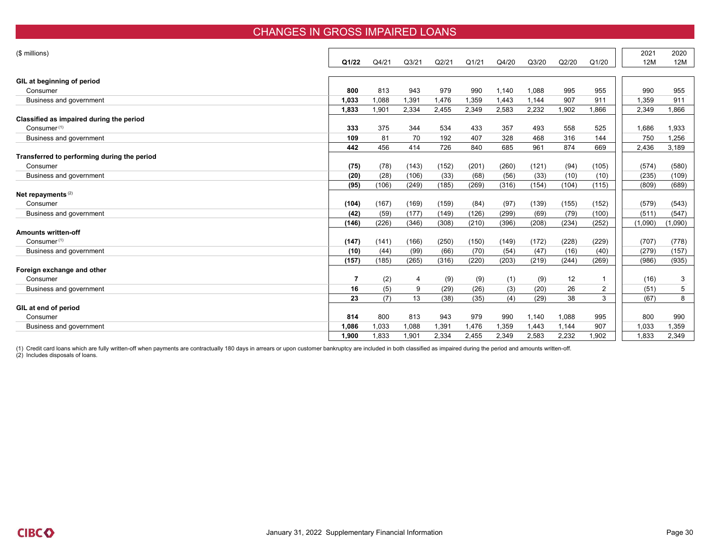#### CHANGES IN GROSS IMPAIRED LOANS

| (\$ millions)                                                       |       |       |                   |       |       |       |       |       |       | 2021       | 2020    |
|---------------------------------------------------------------------|-------|-------|-------------------|-------|-------|-------|-------|-------|-------|------------|---------|
|                                                                     | Q1/22 | Q4/21 | Q <sub>3/21</sub> | Q2/21 | Q1/21 | Q4/20 | Q3/20 | Q2/20 | Q1/20 | <b>12M</b> | 12M     |
|                                                                     |       |       |                   |       |       |       |       |       |       |            |         |
| GIL at beginning of period                                          | 800   | 813   | 943               | 979   | 990   | 1,140 |       | 995   |       | 990        |         |
| Consumer                                                            |       |       |                   |       |       |       | 1,088 |       | 955   |            | 955     |
| Business and government                                             | 1,033 | 1,088 | 1,391             | 1,476 | 1,359 | 1,443 | 1,144 | 907   | 911   | 1,359      | 911     |
|                                                                     | 1,833 | 1,901 | 2,334             | 2,455 | 2,349 | 2,583 | 2,232 | 1,902 | 1,866 | 2,349      | 1,866   |
| Classified as impaired during the period<br>Consumer <sup>(1)</sup> | 333   | 375   | 344               | 534   | 433   | 357   | 493   | 558   |       |            | 1.933   |
|                                                                     |       |       |                   |       |       |       |       |       | 525   | 1,686      |         |
| Business and government                                             | 109   | 81    | 70                | 192   | 407   | 328   | 468   | 316   | 144   | 750        | 1,256   |
|                                                                     | 442   | 456   | 414               | 726   | 840   | 685   | 961   | 874   | 669   | 2,436      | 3,189   |
| Transferred to performing during the period<br>Consumer             |       |       |                   |       |       |       |       |       |       |            |         |
|                                                                     | (75)  | (78)  | (143)             | (152) | (201) | (260) | (121) | (94)  | (105) | (574)      | (580)   |
| Business and government                                             | (20)  | (28)  | (106)             | (33)  | (68)  | (56)  | (33)  | (10)  | (10)  | (235)      | (109)   |
|                                                                     | (95)  | (106) | (249)             | (185) | (269) | (316) | (154) | (104) | (115) | (809)      | (689)   |
| Net repayments <sup>(2)</sup>                                       |       |       |                   |       |       |       |       |       |       |            |         |
| Consumer                                                            | (104) | (167) | (169)             | (159) | (84)  | (97)  | (139) | (155) | (152) | (579)      | (543)   |
| Business and government                                             | (42)  | (59)  | (177)             | (149) | (126) | (299) | (69)  | (79)  | (100) | (511)      | (547)   |
|                                                                     | (146) | (226) | (346)             | (308) | (210) | (396) | (208) | (234) | (252) | (1,090)    | (1,090) |
| <b>Amounts written-off</b>                                          |       |       |                   |       |       |       |       |       |       |            |         |
| Consumer <sup>(1)</sup>                                             | (147) | (141) | (166)             | (250) | (150) | (149) | (172) | (228) | (229) | (707)      | (778)   |
| Business and government                                             | (10)  | (44)  | (99)              | (66)  | (70)  | (54)  | (47)  | (16)  | (40)  | (279)      | (157)   |
|                                                                     | (157) | (185) | (265)             | (316) | (220) | (203) | (219) | (244) | (269) | (986)      | (935)   |
| Foreign exchange and other                                          |       |       |                   |       |       |       |       |       |       |            |         |
| Consumer                                                            | 7     | (2)   | 4                 | (9)   | (9)   | (1)   | (9)   | 12    |       | (16)       | 3       |
| Business and government                                             | 16    | (5)   | 9                 | (29)  | (26)  | (3)   | (20)  | 26    | 2     | (51)       | 5       |
|                                                                     | 23    | (7)   | 13                | (38)  | (35)  | (4)   | (29)  | 38    | 3     | (67)       | 8       |
| GIL at end of period                                                |       |       |                   |       |       |       |       |       |       |            |         |
| Consumer                                                            | 814   | 800   | 813               | 943   | 979   | 990   | 1,140 | 1,088 | 995   | 800        | 990     |
| Business and government                                             | 1.086 | 1,033 | 1,088             | 1,391 | 1,476 | 1,359 | 1.443 | 1,144 | 907   | 1,033      | 1,359   |
|                                                                     | 1,900 | 1,833 | 1,901             | 2,334 | 2,455 | 2,349 | 2,583 | 2,232 | 1,902 | 1.833      | 2,349   |

(1) Credit card loans which are fully written-off when payments are contractually 180 days in arrears or upon customer bankruptcy are included in both classified as impaired during the period and amounts written-off.<br>(2) I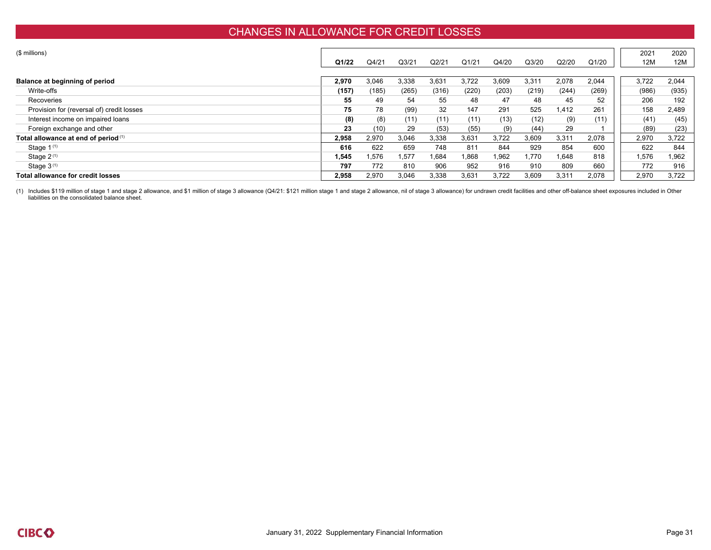### CHANGES IN ALLOWANCE FOR CREDIT LOSSES

| (\$ millions)                             |        |       |       |       |       |       |        |       |       | 2021  | 2020  |
|-------------------------------------------|--------|-------|-------|-------|-------|-------|--------|-------|-------|-------|-------|
|                                           | Q1/22  | Q4/21 | Q3/21 | Q2/21 | Q1/21 | Q4/20 | Q3/20  | Q2/20 | Q1/20 | 12M   | 12M   |
|                                           |        |       |       |       |       |       |        |       |       |       |       |
| Balance at beginning of period            | 2,970  | 3,046 | 3,338 | 3,631 | 3,722 | 3,609 | 3,311  | 2,078 | 2,044 | 3,722 | 2,044 |
| Write-offs                                | (157)  | (185) | (265) | (316) | (220) | (203) | (219)  | (244) | (269) | (986) | (935) |
| Recoveries                                | 55     | 49    | 54    | 55    | 48    | 47    | 48     | 45    | 52    | 206   | 192   |
| Provision for (reversal of) credit losses | 75     | 78    | (99)  | 32    | 147   | 291   | 525    | 1,412 | 261   | 158   | 2,489 |
| Interest income on impaired loans         | (8)    | (8)   | (11)  | (11)  | (11)  | (13)  | (12)   | (9)   | (11)  | (41)  | (45)  |
| Foreign exchange and other                | 23     | (10)  | 29    | (53)  | (55)  | (9)   | (44)   | 29    |       | (89)  | (23)  |
| Total allowance at end of period (1)      | 2,958  | 2,970 | 3,046 | 3,338 | 3,631 | 3,722 | 3,609  | 3,311 | 2,078 | 2,970 | 3,722 |
| Stage $1^{(1)}$                           | 616    | 622   | 659   | 748   | 811   | 844   | 929    | 854   | 600   | 622   | 844   |
| Stage $2^{(1)}$                           | 545. ا | 1,576 | .577  | 1,684 | 1,868 | 1,962 | 770. ، | 1,648 | 818   | .576  | .962  |
| Stage $3^{(1)}$                           | 797    | 772   | 810   | 906   | 952   | 916   | 910    | 809   | 660   | 772   | 916   |
| Total allowance for credit losses         | 2.958  | 2,970 | 3,046 | 3,338 | 3,631 | 3,722 | 3,609  | 3,311 | 2,078 | 2,970 | 3.722 |

(1) Includes \$119 million of stage 1 and stage 2 allowance, and \$1 million of stage 3 allowance (Q4/21: \$121 million stage 1 and stage 2 allowance, nil of stage 3 allowance) for undrawn credit facilities and other off-bala liabilities on the consolidated balance sheet.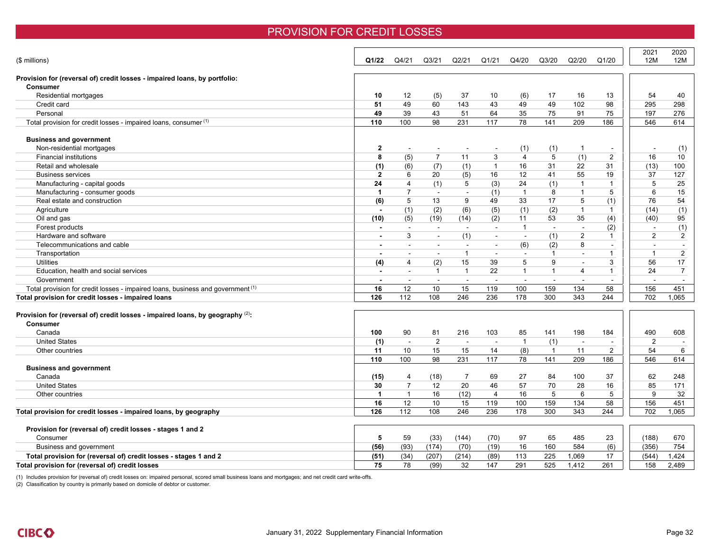### PROVISION FOR CREDIT LOSSES

| (\$ millions)                                                                                          | Q1/22                    | Q4/21          | Q <sub>3/21</sub> | Q2/21          | Q1/21                    | Q4/20          | Q3/20          | Q2/20          | Q1/20                    | 2021<br>12M    | 2020<br>12M    |
|--------------------------------------------------------------------------------------------------------|--------------------------|----------------|-------------------|----------------|--------------------------|----------------|----------------|----------------|--------------------------|----------------|----------------|
| Provision for (reversal of) credit losses - impaired loans, by portfolio:                              |                          |                |                   |                |                          |                |                |                |                          |                |                |
| <b>Consumer</b>                                                                                        |                          |                |                   |                |                          |                |                |                |                          |                |                |
| Residential mortgages                                                                                  | 10                       | 12             | (5)               | 37             | 10                       | (6)            | 17             | 16             | 13                       | 54             | 40             |
| Credit card                                                                                            | 51                       | 49             | 60                | 143            | 43                       | 49             | 49             | 102            | 98                       | 295            | 298            |
| Personal                                                                                               | 49                       | 39             | 43                | 51             | 64                       | 35             | 75             | 91             | 75                       | 197            | 276            |
| Total provision for credit losses - impaired loans, consumer (1)                                       | 110                      | 100            | 98                | 231            | 117                      | 78             | 141            | 209            | 186                      | 546            | 614            |
| <b>Business and government</b>                                                                         |                          |                |                   |                |                          |                |                |                |                          |                |                |
| Non-residential mortgages                                                                              | $\mathbf{2}$             | $\overline{a}$ | $\overline{a}$    | $\overline{a}$ | $\blacksquare$           | (1)            | (1)            | $\mathbf{1}$   | $\overline{\phantom{a}}$ | $\sim$         | (1)            |
| <b>Financial institutions</b>                                                                          | 8                        | (5)            | $\overline{7}$    | 11             | 3                        | $\overline{4}$ | 5              | (1)            | 2                        | 16             | 10             |
| Retail and wholesale                                                                                   | (1)                      | (6)            | (7)               | (1)            | $\mathbf{1}$             | 16             | 31             | 22             | 31                       | (13)           | 100            |
| <b>Business services</b>                                                                               | $\mathbf{2}$             | 6              | 20                | (5)            | 16                       | 12             | 41             | 55             | 19                       | 37             | 127            |
| Manufacturing - capital goods                                                                          | 24                       | 4              | (1)               | 5              | (3)                      | 24             | (1)            | $\overline{1}$ | $\mathbf{1}$             | 5              | 25             |
| Manufacturing - consumer goods                                                                         | $\blacktriangleleft$     | 7              | $\sim$            | $\sim$         | (1)                      | $\mathbf{1}$   | 8              | $\overline{1}$ | 5                        | 6              | 15             |
| Real estate and construction                                                                           | (6)                      | 5              | 13                | 9              | 49                       | 33             | 17             | 5              | (1)                      | 76             | 54             |
| Agriculture                                                                                            | $\blacksquare$           | (1)            | (2)               | (6)            | (5)                      | (1)            | (2)            | $\overline{1}$ | -1                       | (14)           | (1)            |
| Oil and gas                                                                                            | (10)                     | (5)            | (19)              | (14)           | (2)                      | 11             | 53             | 35             | (4)                      | (40)           | 95             |
| Forest products                                                                                        |                          |                | $\sim$            | $\blacksquare$ | $\sim$                   | $\mathbf{1}$   | $\sim$         | $\sim$         | (2)                      |                | (1)            |
| Hardware and software                                                                                  |                          | 3              | $\sim$            | (1)            | $\sim$                   | $\sim$         | (1)            | 2              | $\mathbf{1}$             | 2              | $\overline{2}$ |
| Telecommunications and cable                                                                           |                          | $\sim$         | $\sim$            | $\sim$         | $\sim$                   | (6)            | (2)            | 8              | $\sim$                   | $\sim$         | $\sim$         |
| Transportation                                                                                         | $\blacksquare$           | $\sim$         | $\sim$            | $\overline{1}$ | $\sim$                   | $\sim$         | $\overline{1}$ | $\sim$         | $\mathbf{1}$             | $\mathbf{1}$   | $\overline{c}$ |
| <b>Utilities</b>                                                                                       | (4)                      | 4              | (2)               | 15             | 39                       | 5              | 9              | $\blacksquare$ | 3                        | 56             | 17             |
| Education, health and social services                                                                  | $\blacksquare$           | $\sim$         | $\mathbf{1}$      | $\overline{1}$ | 22                       | $\mathbf{1}$   | $\mathbf 1$    | $\overline{4}$ | $\overline{1}$           | 24             | $\overline{7}$ |
| Government                                                                                             | $\overline{\phantom{a}}$ | $\sim$         | $\sim$            | $\sim$         | $\overline{a}$           | $\sim$         | $\sim$         | $\sim$         | $\sim$                   | $\sim$         | $\sim$         |
| Total provision for credit losses - impaired loans, business and government (1)                        | 16                       | 12             | 10                | 15             | 119                      | 100            | 159            | 134            | 58                       | 156            | 451            |
| Total provision for credit losses - impaired loans                                                     | 126                      | 112            | 108               | 246            | 236                      | 178            | 300            | 343            | 244                      | 702            | 1,065          |
| Provision for (reversal of) credit losses - impaired loans, by geography $(2)$ :<br>Consumer<br>Canada | 100                      | 90             | 81                | 216            | 103                      | 85             | 141            | 198            | 184                      | 490            | 608            |
| <b>United States</b>                                                                                   | (1)                      | $\sim$         | 2                 | $\sim$         | $\overline{\phantom{a}}$ | $\mathbf{1}$   | (1)            | $\sim$         | $\overline{a}$           | $\overline{2}$ | $\sim$         |
| Other countries                                                                                        | 11                       | 10             | 15                | 15             | 14                       | (8)            | $\overline{1}$ | 11             | $\overline{2}$           | 54             | 6              |
|                                                                                                        | 110                      | 100            | 98                | 231            | 117                      | 78             | 141            | 209            | 186                      | 546            | 614            |
| <b>Business and government</b>                                                                         |                          |                |                   |                |                          |                |                |                |                          |                |                |
| Canada                                                                                                 | (15)                     | 4              | (18)              | 7              | 69                       | 27             | 84             | 100            | 37                       | 62             | 248            |
| <b>United States</b>                                                                                   | 30                       | $\overline{7}$ | 12                | 20             | 46                       | 57             | 70             | 28             | 16                       | 85             | 171            |
| Other countries                                                                                        | $\blacktriangleleft$     | $\mathbf{1}$   | 16                | (12)           | $\overline{4}$           | 16             | 5              | 6              | 5                        | 9              | 32             |
|                                                                                                        | 16                       | 12             | 10                | 15             | 119                      | 100            | 159            | 134            | 58                       | 156            | 451            |
| Total provision for credit losses - impaired loans, by geography                                       | 126                      | 112            | 108               | 246            | 236                      | 178            | 300            | 343            | 244                      | 702            | 1.065          |
| Provision for (reversal of) credit losses - stages 1 and 2                                             | 5                        | 59             |                   |                |                          |                | 65             | 485            |                          |                |                |
| Consumer                                                                                               |                          | (93)           | (33)              | (144)          | (70)                     | 97<br>16       | 160            | 584            | 23                       | (188)          | 670<br>754     |
| Business and government                                                                                | (56)                     |                | (174)             | (70)           | (19)                     |                |                |                | (6)                      | (356)          |                |
| Total provision for (reversal of) credit losses - stages 1 and 2                                       | (51)                     | (34)           | (207)             | (214)          | (89)                     | 113            | 225            | 1,069          | 17                       | (544)          | 1,424          |
| Total provision for (reversal of) credit losses                                                        | 75                       | 78             | (99)              | 32             | 147                      | 291            | 525            | 1.412          | 261                      | 158            | 2.489          |

(1) Includes provision for (reversal of) credit losses on: impaired personal, scored small business loans and mortgages; and net credit card write-offs.

(2) Classification by country is primarily based on domicile of debtor or customer.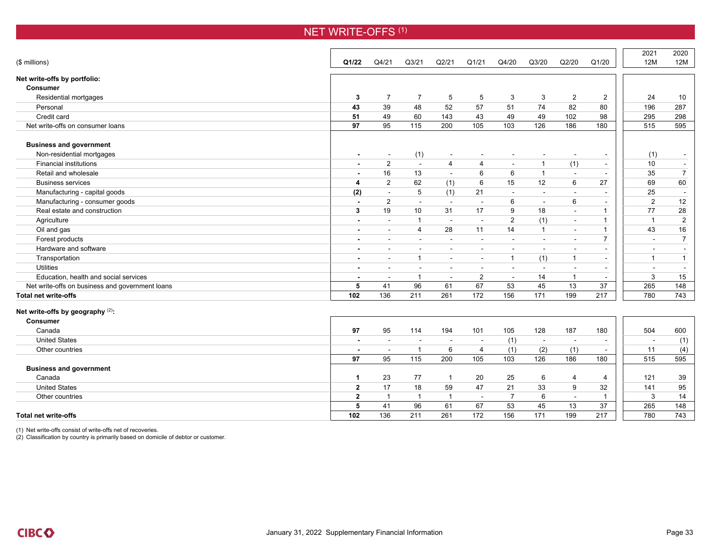|                                                 |                |                          |                          |                          |                          |                          |              |                |                          | 2021                     | 2020                     |
|-------------------------------------------------|----------------|--------------------------|--------------------------|--------------------------|--------------------------|--------------------------|--------------|----------------|--------------------------|--------------------------|--------------------------|
| (\$ millions)                                   | Q1/22          | Q4/21                    | Q <sub>3</sub> /21       | Q2/21                    | Q1/21                    | Q4/20                    | Q3/20        | Q2/20          | Q1/20                    | 12M                      | 12M                      |
| Net write-offs by portfolio:                    |                |                          |                          |                          |                          |                          |              |                |                          |                          |                          |
| <b>Consumer</b>                                 |                |                          |                          |                          |                          |                          |              |                |                          |                          |                          |
| Residential mortgages                           | 3              | $\overline{7}$           | $\overline{7}$           | 5                        | 5                        | 3                        | 3            | $\overline{2}$ | $\overline{2}$           | 24                       | 10                       |
| Personal                                        | 43             | 39                       | 48                       | 52                       | 57                       | 51                       | 74           | 82             | 80                       | 196                      | 287                      |
| Credit card                                     | 51             | 49                       | 60                       | 143                      | 43                       | 49                       | 49           | 102            | 98                       | 295                      | 298                      |
| Net write-offs on consumer loans                | 97             | 95                       | 115                      | 200                      | 105                      | 103                      | 126          | 186            | 180                      | 515                      | 595                      |
| <b>Business and government</b>                  |                |                          |                          |                          |                          |                          |              |                |                          |                          |                          |
| Non-residential mortgages                       | $\blacksquare$ | $\sim$                   | (1)                      | $\sim$                   | $\overline{\phantom{a}}$ | $\overline{\phantom{a}}$ | $\sim$       |                | $\overline{\phantom{a}}$ | (1)                      | $\overline{\phantom{a}}$ |
| <b>Financial institutions</b>                   |                | 2                        | $\sim$                   | $\overline{4}$           | $\overline{4}$           | $\sim$                   | $\mathbf{1}$ | (1)            | $\sim$                   | 10                       | $\sim$                   |
| Retail and wholesale                            |                | 16                       | 13                       | $\sim$                   | 6                        | 6                        | $\mathbf{1}$ |                |                          | 35                       | $\overline{7}$           |
| <b>Business services</b>                        | 4              | 2                        | 62                       | (1)                      | 6                        | 15                       | 12           | 6              | 27                       | 69                       | 60                       |
| Manufacturing - capital goods                   | (2)            |                          | 5                        | (1)                      | 21                       |                          | $\sim$       |                | $\overline{\phantom{a}}$ | 25                       |                          |
| Manufacturing - consumer goods                  |                | $\overline{2}$           | $\sim$                   | $\sim$                   | $\sim$                   | 6                        | $\sim$       | 6              | $\blacksquare$           | $\overline{2}$           | 12                       |
| Real estate and construction                    | 3              | 19                       | 10                       | 31                       | 17                       | 9                        | 18           | $\sim$         | $\mathbf{1}$             | 77                       | 28                       |
| Agriculture                                     |                | $\sim$                   | $\mathbf{1}$             |                          | $\sim$                   | 2                        | (1)          | $\sim$         | $\overline{1}$           | $\overline{1}$           | $\overline{2}$           |
| Oil and gas                                     |                | $\sim$                   | 4                        | 28                       | 11                       | 14                       | $\mathbf{1}$ | $\sim$         | $\mathbf{1}$             | 43                       | 16                       |
| Forest products                                 |                |                          | $\sim$                   |                          | $\sim$                   | $\overline{a}$           | $\sim$       | $\overline{a}$ | $\overline{7}$           | $\sim$                   | $\overline{7}$           |
| Hardware and software                           |                | $\blacksquare$           | $\sim$                   | $\overline{\phantom{a}}$ | $\blacksquare$           | $\overline{a}$           | $\sim$       |                | $\overline{\phantom{a}}$ | $\overline{\phantom{a}}$ | $\sim$                   |
| Transportation                                  |                | $\ddot{\phantom{1}}$     | $\mathbf{1}$             | $\sim$                   | $\overline{\phantom{a}}$ | $\mathbf{1}$             | (1)          | $\overline{1}$ | $\overline{\phantom{a}}$ | $\overline{1}$           | $\mathbf{1}$             |
| <b>Utilities</b>                                |                | $\ddot{\phantom{1}}$     | $\overline{\phantom{a}}$ |                          | $\overline{a}$           | $\overline{a}$           | $\sim$       |                | $\overline{a}$           | $\overline{a}$           | $\overline{\phantom{a}}$ |
| Education, health and social services           |                | $\overline{\phantom{a}}$ | $\mathbf{1}$             |                          | 2                        | $\blacksquare$           | 14           | $\overline{1}$ | $\blacksquare$           | 3                        | 15                       |
| Net write-offs on business and government loans | 5              | 41                       | 96                       | 61                       | 67                       | 53                       | 45           | 13             | 37                       | 265                      | 148                      |
| <b>Total net write-offs</b>                     | 102            | 136                      | 211                      | 261                      | 172                      | 156                      | 171          | 199            | 217                      | 780                      | 743                      |
| Net write-offs by geography (2):                |                |                          |                          |                          |                          |                          |              |                |                          |                          |                          |
| <b>Consumer</b>                                 |                |                          |                          |                          |                          |                          |              |                |                          |                          |                          |
| Canada                                          | 97             | 95                       | 114                      | 194                      | 101                      | 105                      | 128          | 187            | 180                      | 504                      | 600                      |
| <b>United States</b>                            |                | $\sim$                   | $\sim$                   | $\sim$                   | $\sim$                   | (1)                      | $\sim$       | $\sim$         | $\sim$                   | $\sim$                   | (1)                      |
| Other countries                                 |                | $\sim$                   | $\mathbf{1}$             | 6                        | $\overline{4}$           | (1)                      | (2)          | (1)            | $\sim$                   | 11                       | (4)                      |
|                                                 | 97             | 95                       | 115                      | 200                      | 105                      | 103                      | 126          | 186            | 180                      | 515                      | 595                      |
| <b>Business and government</b>                  |                |                          |                          |                          |                          |                          |              |                |                          |                          |                          |
| Canada                                          | -1             | 23                       | 77                       | -1                       | 20                       | 25                       | 6            | 4              | 4                        | 121                      | 39                       |
| <b>United States</b>                            | $\overline{2}$ | 17                       | 18                       | 59                       | 47                       | 21                       | 33           | 9              | 32                       | 141                      | 95                       |

NET WRITE-OFFS<sup>(1)</sup>

#### **Total net write-offs 102** 136 211 261 172 156 171 199 217 780 743

(1) Net write-offs consist of write-offs net of recoveries.

 $\overrightarrow{2}$  Classification by country is primarily based on domicile of debtor or customer.

Other countries **2** 1 1 1 - 7 6 - 1 3 14

**5** 41 96 61 67 53 45 13 37 265 148

 $14$ 

148

743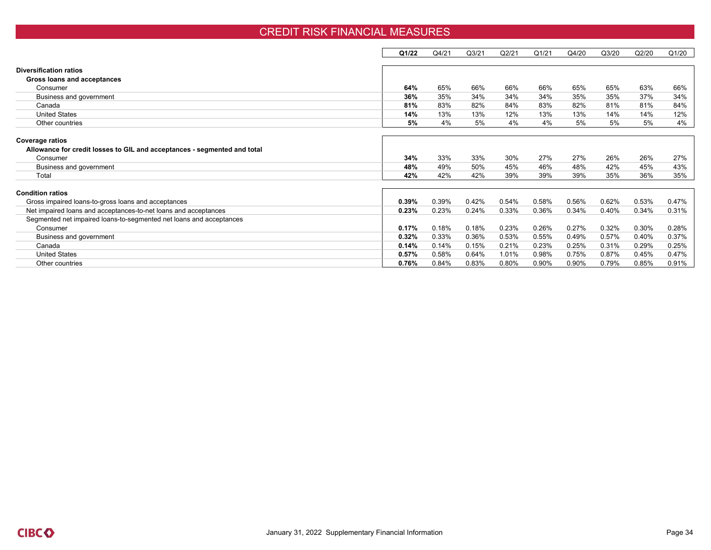#### CREDIT RISK FINANCIAL MEASURES

|                                                                          | Q1/22 | Q4/21 | Q <sub>3/21</sub> | Q2/21 | Q1/21 | Q4/20 | Q3/20 | Q2/20 | Q1/20 |
|--------------------------------------------------------------------------|-------|-------|-------------------|-------|-------|-------|-------|-------|-------|
|                                                                          |       |       |                   |       |       |       |       |       |       |
| <b>Diversification ratios</b>                                            |       |       |                   |       |       |       |       |       |       |
| Gross loans and acceptances                                              |       |       |                   |       |       |       |       |       |       |
| Consumer                                                                 | 64%   | 65%   | 66%               | 66%   | 66%   | 65%   | 65%   | 63%   | 66%   |
| Business and government                                                  | 36%   | 35%   | 34%               | 34%   | 34%   | 35%   | 35%   | 37%   | 34%   |
| Canada                                                                   | 81%   | 83%   | 82%               | 84%   | 83%   | 82%   | 81%   | 81%   | 84%   |
| <b>United States</b>                                                     | 14%   | 13%   | 13%               | 12%   | 13%   | 13%   | 14%   | 14%   | 12%   |
| Other countries                                                          | 5%    | 4%    | 5%                | 4%    | 4%    | 5%    | 5%    | 5%    | 4%    |
|                                                                          |       |       |                   |       |       |       |       |       |       |
| <b>Coverage ratios</b>                                                   |       |       |                   |       |       |       |       |       |       |
| Allowance for credit losses to GIL and acceptances - segmented and total |       |       |                   |       |       |       |       |       |       |
| Consumer                                                                 | 34%   | 33%   | 33%               | 30%   | 27%   | 27%   | 26%   | 26%   | 27%   |
| Business and government                                                  | 48%   | 49%   | 50%               | 45%   | 46%   | 48%   | 42%   | 45%   | 43%   |
| Total                                                                    | 42%   | 42%   | 42%               | 39%   | 39%   | 39%   | 35%   | 36%   | 35%   |
|                                                                          |       |       |                   |       |       |       |       |       |       |
| <b>Condition ratios</b>                                                  |       |       |                   |       |       |       |       |       |       |
| Gross impaired loans-to-gross loans and acceptances                      | 0.39% | 0.39% | 0.42%             | 0.54% | 0.58% | 0.56% | 0.62% | 0.53% | 0.47% |
| Net impaired loans and acceptances-to-net loans and acceptances          | 0.23% | 0.23% | 0.24%             | 0.33% | 0.36% | 0.34% | 0.40% | 0.34% | 0.31% |
| Segmented net impaired loans-to-segmented net loans and acceptances      |       |       |                   |       |       |       |       |       |       |
| Consumer                                                                 | 0.17% | 0.18% | 0.18%             | 0.23% | 0.26% | 0.27% | 0.32% | 0.30% | 0.28% |
| Business and government                                                  | 0.32% | 0.33% | 0.36%             | 0.53% | 0.55% | 0.49% | 0.57% | 0.40% | 0.37% |
| Canada                                                                   | 0.14% | 0.14% | 0.15%             | 0.21% | 0.23% | 0.25% | 0.31% | 0.29% | 0.25% |
| <b>United States</b>                                                     | 0.57% | 0.58% | 0.64%             | 1.01% | 0.98% | 0.75% | 0.87% | 0.45% | 0.47% |
| Other countries                                                          | 0.76% | 0.84% | 0.83%             | 0.80% | 0.90% | 0.90% | 0.79% | 0.85% | 0.91% |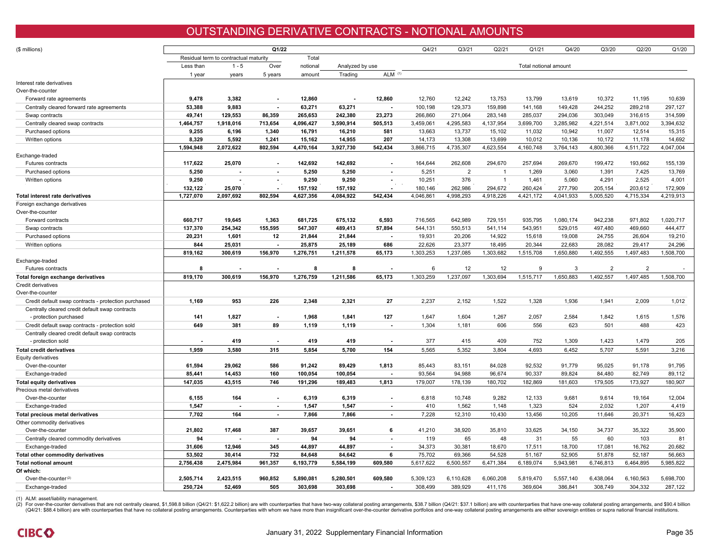### OUTSTANDING DERIVATIVE CONTRACTS - NOTIONAL AMOUNTS

| (\$ millions)                                        |           |                                       | Q1/22                    |                  |                  |            | Q4/21            | Q <sub>3</sub> /21 | Q2/21          | Q1/21                 | Q4/20     | Q3/20            | Q2/20            | Q1/20            |
|------------------------------------------------------|-----------|---------------------------------------|--------------------------|------------------|------------------|------------|------------------|--------------------|----------------|-----------------------|-----------|------------------|------------------|------------------|
|                                                      |           | Residual term to contractual maturity |                          | Total            |                  |            |                  |                    |                |                       |           |                  |                  |                  |
|                                                      | Less than | $1 - 5$                               | Over                     | notional         | Analyzed by use  |            |                  |                    |                | Total notional amount |           |                  |                  |                  |
|                                                      |           | years                                 | 5 years                  | amount           | Trading          | <b>ALM</b> |                  |                    |                |                       |           |                  |                  |                  |
|                                                      | 1 year    |                                       |                          |                  |                  |            |                  |                    |                |                       |           |                  |                  |                  |
| Interest rate derivatives<br>Over-the-counter        |           |                                       |                          |                  |                  |            |                  |                    |                |                       |           |                  |                  |                  |
|                                                      | 9.478     | 3.382                                 |                          | 12.860           |                  | 12.860     | 12.760           | 12.242             | 13.753         | 13.799                | 13.619    | 10.372           | 11.195           | 10.639           |
| Forward rate agreements                              |           |                                       |                          |                  |                  |            |                  |                    |                |                       |           |                  |                  |                  |
| Centrally cleared forward rate agreements            | 53,388    | 9,883                                 |                          | 63,271           | 63,271           |            | 100,198          | 129,373            | 159,898        | 141,168               | 149,428   | 244,252          | 289,218          | 297,127          |
| Swap contracts                                       | 49,741    | 129.553                               | 86,359                   | 265,653          | 242,380          | 23.273     | 266,860          | 271.064            | 283.148        | 285.037               | 294.036   | 303.049          | 316.615          | 314.599          |
| Centrally cleared swap contracts                     | 1,464,757 | 1,918,016                             | 713,654                  | 4,096,427        | 3,590,914        | 505,513    | 3,459,061        | 4,295,583          | 4,137,954      | 3,699,700             | 3,285,982 | 4,221,514        | 3,871,002        | 3,394,632        |
| Purchased options                                    | 9,255     | 6,196<br>5.592                        | 1,340                    | 16,791<br>15.162 | 16,210<br>14.955 | 581<br>207 | 13,663<br>14.173 | 13,737<br>13.308   | 15,102         | 11,032<br>10.012      | 10,942    | 11,007<br>10.172 | 12,514<br>11.178 | 15,315<br>14.692 |
| Written options                                      | 8,329     |                                       | 1.241                    |                  |                  |            |                  |                    | 13,699         |                       | 10,136    |                  |                  |                  |
|                                                      | 1,594,948 | 2,072,622                             | 802,594                  | 4,470,164        | 3,927,730        | 542,434    | 3,866,715        | 4,735,307          | 4,623,554      | 4,160,748             | 3,764,143 | 4,800,366        | 4,511,722        | 4,047,004        |
| Exchange-traded                                      |           |                                       |                          |                  |                  |            |                  |                    |                |                       |           |                  |                  |                  |
| Futures contracts                                    | 117,622   | 25.070                                | $\sim$                   | 142.692          | 142,692          | $\sim$     | 164,644          | 262,608            | 294,670        | 257,694               | 269,670   | 199,472          | 193,662          | 155,139          |
| Purchased options                                    | 5,250     |                                       |                          | 5,250            | 5,250            |            | 5,251            | $\overline{2}$     |                | 1,269                 | 3,060     | 1,391            | 7,425            | 13,769           |
| Written options                                      | 9,250     | $\overline{a}$                        | $\sim$                   | 9,250            | 9,250            | $\sim$     | 10,251           | 376                | $\overline{1}$ | 1,461                 | 5,060     | 4,291            | 2,525            | 4,001            |
|                                                      | 132,122   | 25,070                                |                          | 157,192          | 157,192          |            | 180,146          | 262,986            | 294,672        | 260,424               | 277,790   | 205,154          | 203,612          | 172,909          |
| Total interest rate derivatives                      | 1,727,070 | 2,097,692                             | 802,594                  | 4,627,356        | 4,084,922        | 542.434    | 4,046,861        | 4,998,293          | 4,918,226      | 4,421,172             | 4,041,933 | 5,005,520        | 4,715,334        | 4,219,913        |
| Foreign exchange derivatives                         |           |                                       |                          |                  |                  |            |                  |                    |                |                       |           |                  |                  |                  |
| Over-the-counter                                     |           |                                       |                          |                  |                  |            |                  |                    |                |                       |           |                  |                  |                  |
| Forward contracts                                    | 660.717   | 19.645                                | 1.363                    | 681.725          | 675,132          | 6.593      | 716,565          | 642.989            | 729.151        | 935,795               | 1,080,174 | 942.238          | 971.802          | 1,020,717        |
| Swap contracts                                       | 137,370   | 254,342                               | 155,595                  | 547,307          | 489,413          | 57,894     | 544,131          | 550,513            | 541,114        | 543,951               | 529,015   | 497,480          | 469,660          | 444,477          |
| Purchased options                                    | 20,231    | 1,601                                 | 12                       | 21,844           | 21,844           |            | 19,931           | 20,206             | 14,922         | 15,618                | 19,008    | 24,755           | 26,604           | 19,210           |
| Written options                                      | 844       | 25,031                                |                          | 25,875           | 25,189           | 686        | 22,626           | 23,377             | 18,495         | 20,344                | 22,683    | 28,082           | 29.417           | 24,296           |
|                                                      | 819,162   | 300,619                               | 156,970                  | 1,276,751        | 1,211,578        | 65,173     | 1,303,253        | 1,237,085          | 1,303,682      | 1,515,708             | 1,650,880 | 1,492,555        | 1,497,483        | 1,508,700        |
| Exchange-traded                                      |           |                                       |                          |                  |                  |            |                  |                    |                |                       |           |                  |                  |                  |
| Futures contracts                                    | 8         |                                       |                          | 8                | 8                |            | 6                | 12                 | 12             | 9                     | 3         | $\overline{2}$   | $\overline{2}$   |                  |
| Total foreign exchange derivatives                   | 819,170   | 300,619                               | 156,970                  | 1,276,759        | 1,211,586        | 65,173     | 1,303,259        | 1,237,097          | 1,303,694      | 1,515,717             | 1,650,883 | 1,492,557        | 1,497,485        | 1,508,700        |
| Credit derivatives                                   |           |                                       |                          |                  |                  |            |                  |                    |                |                       |           |                  |                  |                  |
| Over-the-counter                                     |           |                                       |                          |                  |                  |            |                  |                    |                |                       |           |                  |                  |                  |
| Credit default swap contracts - protection purchased | 1,169     | 953                                   | 226                      | 2,348            | 2,321            | 27         | 2,237            | 2,152              | 1,522          | 1,328                 | 1,936     | 1,941            | 2,009            | 1,012            |
| Centrally cleared credit default swap contracts      |           |                                       |                          |                  |                  |            |                  |                    |                |                       |           |                  |                  |                  |
| - protection purchased                               | 141       | 1,827                                 |                          | 1,968            | 1,841            | 127        | 1,647            | 1,604              | 1,267          | 2,057                 | 2,584     | 1,842            | 1,615            | 1,576            |
| Credit default swap contracts - protection sold      | 649       | 381                                   | 89                       | 1,119            | 1,119            |            | 1,304            | 1,181              | 606            | 556                   | 623       | 501              | 488              | 423              |
| Centrally cleared credit default swap contracts      |           |                                       |                          |                  |                  |            |                  |                    |                |                       |           |                  |                  |                  |
| - protection sold                                    |           | 419                                   | $\overline{\phantom{a}}$ | 419              | 419              |            | 377              | 415                | 409            | 752                   | 1,309     | 1,423            | 1,479            | 205              |
| <b>Total credit derivatives</b>                      | 1.959     | 3.580                                 | 315                      | 5,854            | 5,700            | 154        | 5.565            | 5.352              | 3.804          | 4.693                 | 6.452     | 5,707            | 5.591            | 3.216            |
| <b>Equity derivatives</b>                            |           |                                       |                          |                  |                  |            |                  |                    |                |                       |           |                  |                  |                  |
| Over-the-counter                                     | 61,594    | 29,062                                | 586                      | 91,242           | 89,429           | 1,813      | 85,443           | 83,151             | 84,028         | 92,532                | 91,779    | 95,025           | 91,178           | 91,795           |
| Exchange-traded                                      | 85,441    | 14,453                                | 160                      | 100,054          | 100,054          |            | 93,564           | 94.988             | 96,674         | 90,337                | 89,824    | 84.480           | 82,749           | 89,112           |
| Total equity derivatives                             | 147,035   | 43,515                                | 746                      | 191,296          | 189,483          | 1,813      | 179,007          | 178,139            | 180,702        | 182,869               | 181,603   | 179,505          | 173,927          | 180,907          |
| Precious metal derivatives                           |           |                                       |                          |                  |                  |            |                  |                    |                |                       |           |                  |                  |                  |
| Over-the-counter                                     | 6,155     | 164                                   |                          | 6,319            | 6,319            |            | 6,818            | 10,748             | 9,282          | 12,133                | 9,681     | 9,614            | 19,164           | 12,004           |
| Exchange-traded                                      | 1,547     | $\blacksquare$                        | $\sim$                   | 1,547            | 1,547            | $\sim$     | 410              | 1,562              | 1,148          | 1,323                 | 524       | 2,032            | 1,207            | 4,419            |
| Total precious metal derivatives                     | 7.702     | 164                                   | $\sim$                   | 7,866            | 7,866            |            | 7,228            | 12,310             | 10,430         | 13,456                | 10,205    | 11,646           | 20,371           | 16,423           |
| Other commodity derivatives                          |           |                                       |                          |                  |                  |            |                  |                    |                |                       |           |                  |                  |                  |
| Over-the-counter                                     | 21,802    | 17,468                                | 387                      | 39,657           | 39,651           | 6          | 41,210           | 38,920             | 35,810         | 33,625                | 34,150    | 34,737           | 35,322           | 35,900           |
| Centrally cleared commodity derivatives              | 94        | $\blacksquare$                        | $\overline{a}$           | 94               | 94               | $\sim$     | 119              | 65                 | 48             | 31                    | 55        | 60               | 103              | 81               |
| Exchange-traded                                      | 31,606    | 12,946                                | 345                      | 44,897           | 44,897           |            | 34,373           | 30,381             | 18,670         | 17,511                | 18,700    | 17,081           | 16,762           | 20,682           |
| Total other commodity derivatives                    | 53,502    | 30.414                                | 732                      | 84,648           | 84,642           | 6          | 75,702           | 69,366             | 54,528         | 51,167                | 52,905    | 51,878           | 52,187           | 56,663           |
| <b>Total notional amount</b>                         | 2,756,438 | 2,475,984                             | 961,357                  | 6,193,779        | 5,584,199        | 609,580    | 5,617,622        | 6,500,557          | 6,471,384      | 6,189,074             | 5,943,981 | 6,746,813        | 6,464,895        | 5,985,822        |
| Of which:                                            |           |                                       |                          |                  |                  |            |                  |                    |                |                       |           |                  |                  |                  |
| Over-the-counter <sup>(2)</sup>                      | 2.505.714 | 2.423.515                             | 960.852                  | 5,890,081        | 5.280.501        | 609.580    | 5.309.123        | 6,110,628          | 6,060,208      | 5,819,470             | 5,557,140 | 6,438,064        | 6,160,563        | 5,698,700        |
| Exchange-traded                                      | 250,724   | 52,469                                | 505                      | 303,698          | 303,698          |            | 308,499          | 389,929            | 411,176        | 369,604               | 386,841   | 308,749          | 304,332          | 287,122          |

(1) ALM: asset/liability management.

(2) For over-the-counter derivatives that are not centrally cleared, \$1,598.8 billion (Q4/21: \$1,622.2 billion) are with counterparties that have two-way collateral posting arrangements, \$38.7 billion (Q4/21: \$37.1 billion